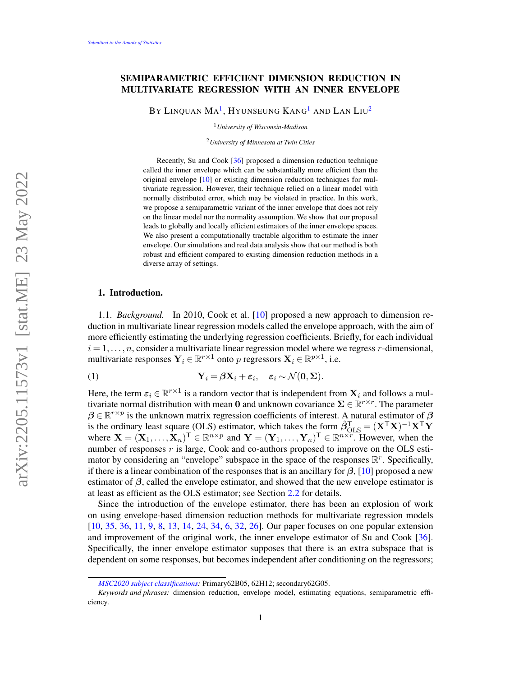# SEMIPARAMETRIC EFFICIENT DIMENSION REDUCTION IN MULTIVARIATE REGRESSION WITH AN INNER ENVELOPE

BY LINQUAN  $\rm{Ma}^{1},$  $\rm{Ma}^{1},$  $\rm{Ma}^{1},$  Hyunseung Kang $^{1}$  and Lan Liu $^{2}$  $^{2}$  $^{2}$ 

<span id="page-0-0"></span><sup>1</sup>*University of Wisconsin-Madison*

<span id="page-0-1"></span><sup>2</sup>*University of Minnesota at Twin Cities*

Recently, Su and Cook [\[36\]](#page-41-0) proposed a dimension reduction technique called the inner envelope which can be substantially more efficient than the original envelope [\[10\]](#page-39-0) or existing dimension reduction techniques for multivariate regression. However, their technique relied on a linear model with normally distributed error, which may be violated in practice. In this work, we propose a semiparametric variant of the inner envelope that does not rely on the linear model nor the normality assumption. We show that our proposal leads to globally and locally efficient estimators of the inner envelope spaces. We also present a computationally tractable algorithm to estimate the inner envelope. Our simulations and real data analysis show that our method is both robust and efficient compared to existing dimension reduction methods in a diverse array of settings.

#### 1. Introduction.

1.1. *Background.* In 2010, Cook et al. [\[10\]](#page-39-0) proposed a new approach to dimension reduction in multivariate linear regression models called the envelope approach, with the aim of more efficiently estimating the underlying regression coefficients. Briefly, for each individual  $i = 1, \ldots, n$ , consider a multivariate linear regression model where we regress r-dimensional, multivariate responses  $\mathbf{Y}_i \in \mathbb{R}^{r \times 1}$  onto p regressors  $\mathbf{X}_i \in \mathbb{R}^{p \times 1}$ , i.e.

<span id="page-0-2"></span>(1) 
$$
\mathbf{Y}_i = \beta \mathbf{X}_i + \varepsilon_i, \quad \varepsilon_i \sim \mathcal{N}(\mathbf{0}, \Sigma).
$$

Here, the term  $\varepsilon_i \in \mathbb{R}^{r \times 1}$  is a random vector that is independent from  $\mathbf{X}_i$  and follows a multivariate normal distribution with mean 0 and unknown covariance  $\Sigma \in \mathbb{R}^{r \times r}$ . The parameter  $\beta \in \mathbb{R}^{r \times p}$  is the unknown matrix regression coefficients of interest. A natural estimator of  $\beta$ is the ordinary least square (OLS) estimator, which takes the form  $\hat{\beta}_{\text{OLS}}^{\text{T}} = (\mathbf{X}^{\text{T}} \mathbf{X})^{-1} \mathbf{X}^{\text{T}} \mathbf{Y}$ where  $\mathbf{X} = (\mathbf{X}_1, \dots, \mathbf{X}_n)^\mathsf{T} \in \mathbb{R}^{n \times p}$  and  $\mathbf{Y} = (\mathbf{Y}_1, \dots, \mathbf{Y}_n)^\mathsf{T} \in \mathbb{R}^{n \times r}$ . However, when the number of responses  $r$  is large, Cook and co-authors proposed to improve on the OLS estimator by considering an "envelope" subspace in the space of the responses  $\mathbb{R}^r$ . Specifically, if there is a linear combination of the responses that is an ancillary for  $\beta$ , [\[10\]](#page-39-0) proposed a new estimator of  $\beta$ , called the envelope estimator, and showed that the new envelope estimator is at least as efficient as the OLS estimator; see Section [2.2](#page-3-0) for details.

Since the introduction of the envelope estimator, there has been an explosion of work on using envelope-based dimension reduction methods for multivariate regression models [\[10,](#page-39-0) [35,](#page-41-1) [36,](#page-41-0) [11,](#page-39-1) [9,](#page-39-2) [8,](#page-39-3) [13,](#page-39-4) [14,](#page-39-5) [24,](#page-40-0) [34,](#page-41-2) [6,](#page-38-0) [32,](#page-41-3) [26\]](#page-40-1). Our paper focuses on one popular extension and improvement of the original work, the inner envelope estimator of Su and Cook [\[36\]](#page-41-0). Specifically, the inner envelope estimator supposes that there is an extra subspace that is dependent on some responses, but becomes independent after conditioning on the regressors;

*[MSC2020 subject classifications:](https://mathscinet.ams.org/mathscinet/msc/msc2020.html)* Primary62B05, 62H12; secondary62G05.

*Keywords and phrases:* dimension reduction, envelope model, estimating equations, semiparametric efficiency.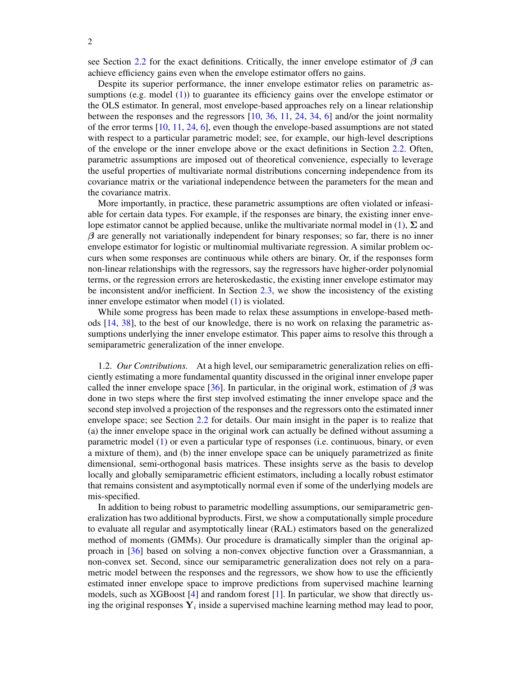see Section [2.2](#page-3-0) for the exact definitions. Critically, the inner envelope estimator of  $\beta$  can achieve efficiency gains even when the envelope estimator offers no gains.

Despite its superior performance, the inner envelope estimator relies on parametric as-sumptions (e.g. model [\(1\)](#page-0-2)) to guarantee its efficiency gains over the envelope estimator or the OLS estimator. In general, most envelope-based approaches rely on a linear relationship between the responses and the regressors [\[10,](#page-39-0) [36,](#page-41-0) [11,](#page-39-1) [24,](#page-40-0) [34,](#page-41-2) [6\]](#page-38-0) and/or the joint normality of the error terms [\[10,](#page-39-0) [11,](#page-39-1) [24,](#page-40-0) [6\]](#page-38-0), even though the envelope-based assumptions are not stated with respect to a particular parametric model; see, for example, our high-level descriptions of the envelope or the inner envelope above or the exact definitions in Section [2.2.](#page-3-0) Often, parametric assumptions are imposed out of theoretical convenience, especially to leverage the useful properties of multivariate normal distributions concerning independence from its covariance matrix or the variational independence between the parameters for the mean and the covariance matrix.

More importantly, in practice, these parametric assumptions are often violated or infeasiable for certain data types. For example, if the responses are binary, the existing inner envelope estimator cannot be applied because, unlike the multivariate normal model in  $(1)$ ,  $\Sigma$  and  $\beta$  are generally not variationally independent for binary responses; so far, there is no inner envelope estimator for logistic or multinomial multivariate regression. A similar problem occurs when some responses are continuous while others are binary. Or, if the responses form non-linear relationships with the regressors, say the regressors have higher-order polynomial terms, or the regression errors are heteroskedastic, the existing inner envelope estimator may be inconsistent and/or inefficient. In Section [2.3,](#page-4-0) we show the incosistency of the existing inner envelope estimator when model [\(1\)](#page-0-2) is violated.

While some progress has been made to relax these assumptions in envelope-based methods [\[14,](#page-39-5) [38\]](#page-41-4), to the best of our knowledge, there is no work on relaxing the parametric assumptions underlying the inner envelope estimator. This paper aims to resolve this through a semiparametric generalization of the inner envelope.

1.2. *Our Contributions.* At a high level, our semiparametric generalization relies on efficiently estimating a more fundamental quantity discussed in the original inner envelope paper called the inner envelope space [\[36\]](#page-41-0). In particular, in the original work, estimation of  $\beta$  was done in two steps where the first step involved estimating the inner envelope space and the second step involved a projection of the responses and the regressors onto the estimated inner envelope space; see Section [2.2](#page-3-0) for details. Our main insight in the paper is to realize that (a) the inner envelope space in the original work can actually be defined without assuming a parametric model [\(1\)](#page-0-2) or even a particular type of responses (i.e. continuous, binary, or even a mixture of them), and (b) the inner envelope space can be uniquely parametrized as finite dimensional, semi-orthogonal basis matrices. These insights serve as the basis to develop locally and globally semiparametric efficient estimators, including a locally robust estimator that remains consistent and asymptotically normal even if some of the underlying models are mis-specified.

In addition to being robust to parametric modelling assumptions, our semiparametric generalization has two additional byproducts. First, we show a computationally simple procedure to evaluate all regular and asymptotically linear (RAL) estimators based on the generalized method of moments (GMMs). Our procedure is dramatically simpler than the original approach in [\[36\]](#page-41-0) based on solving a non-convex objective function over a Grassmannian, a non-convex set. Second, since our semiparametric generalization does not rely on a parametric model between the responses and the regressors, we show how to use the efficiently estimated inner envelope space to improve predictions from supervised machine learning models, such as XGBoost [\[4\]](#page-37-0) and random forest [\[1\]](#page-37-1). In particular, we show that directly using the original responses  $Y_i$  inside a supervised machine learning method may lead to poor,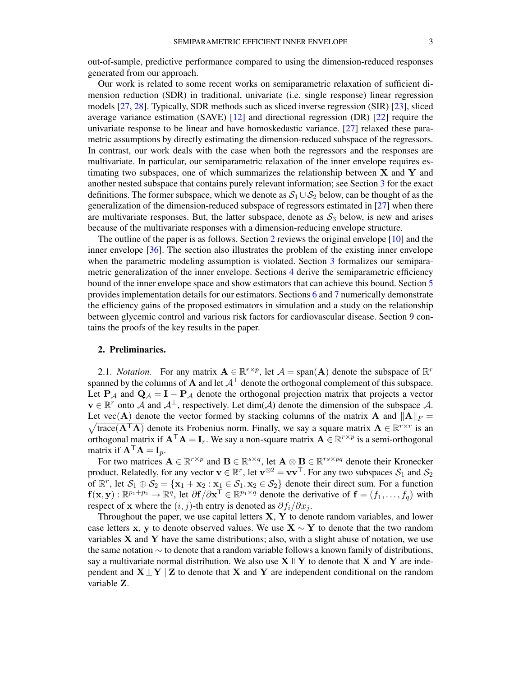out-of-sample, predictive performance compared to using the dimension-reduced responses generated from our approach.

Our work is related to some recent works on semiparametric relaxation of sufficient dimension reduction (SDR) in traditional, univariate (i.e. single response) linear regression models [\[27,](#page-40-2) [28\]](#page-41-5). Typically, SDR methods such as sliced inverse regression (SIR) [\[23\]](#page-40-3), sliced average variance estimation (SAVE) [\[12\]](#page-39-6) and directional regression (DR) [\[22\]](#page-40-4) require the univariate response to be linear and have homoskedastic variance. [\[27\]](#page-40-2) relaxed these parametric assumptions by directly estimating the dimension-reduced subspace of the regressors. In contrast, our work deals with the case when both the regressors and the responses are multivariate. In particular, our semiparametric relaxation of the inner envelope requires estimating two subspaces, one of which summarizes the relationship between  $X$  and  $Y$  and another nested subspace that contains purely relevant information; see Section [3](#page-5-0) for the exact definitions. The former subspace, which we denote as  $S_1 \cup S_2$  below, can be thought of as the generalization of the dimension-reduced subspace of regressors estimated in [\[27\]](#page-40-2) when there are multivariate responses. But, the latter subspace, denote as  $S_3$  below, is new and arises because of the multivariate responses with a dimension-reducing envelope structure.

The outline of the paper is as follows. Section [2](#page-2-0) reviews the original envelope [\[10\]](#page-39-0) and the inner envelope [\[36\]](#page-41-0). The section also illustrates the problem of the existing inner envelope when the parametric modeling assumption is violated. Section [3](#page-5-0) formalizes our semiparametric generalization of the inner envelope. Sections [4](#page-7-0) derive the semiparametric efficiency bound of the inner envelope space and show estimators that can achieve this bound. Section [5](#page-11-0) provides implementation details for our estimators. Sections [6](#page-13-0) and [7](#page-18-0) numerically demonstrate the efficiency gains of the proposed estimators in simulation and a study on the relationship between glycemic control and various risk factors for cardiovascular disease. Section 9 contains the proofs of the key results in the paper.

#### <span id="page-2-0"></span>2. Preliminaries.

2.1. *Notation*. For any matrix  $\mathbf{A} \in \mathbb{R}^{r \times p}$ , let  $\mathcal{A} = \text{span}(\mathbf{A})$  denote the subspace of  $\mathbb{R}^r$ spanned by the columns of A and let  $A^{\perp}$  denote the orthogonal complement of this subspace. Let  $P_A$  and  $Q_A = I - P_A$  denote the orthogonal projection matrix that projects a vector  $\mathbf{v} \in \mathbb{R}^r$  onto A and  $\mathcal{A}^{\perp}$ , respectively. Let  $\dim(\mathcal{A})$  denote the dimension of the subspace A. Let vec(A) denote the vector formed by stacking columns of the matrix A and  $||A||_F =$  $\sqrt{\text{trace}(\mathbf{A}^T\mathbf{A})}$  denote its Frobenius norm. Finally, we say a square matrix  $\mathbf{A} \in \mathbb{R}^{r \times r}$  is an orthogonal matrix if  $A^{\top}A = I_r$ . We say a non-square matrix  $A \in \mathbb{R}^{r \times p}$  is a semi-orthogonal matrix if  $A^{\mathsf{T}}A = I_n$ .

For two matrices  $A \in \mathbb{R}^{r \times p}$  and  $B \in \mathbb{R}^{s \times q}$ , let  $A \otimes B \in \mathbb{R}^{rs \times pq}$  denote their Kronecker product. Relatedly, for any vector  $\mathbf{v} \in \mathbb{R}^r$ , let  $\mathbf{v}^{\otimes 2} = \mathbf{v}\mathbf{v}^\top$ . For any two subspaces  $\mathcal{S}_1$  and  $\mathcal{S}_2$ of  $\mathbb{R}^r$ , let  $S_1 \oplus S_2 = {\mathbf{x}_1 + \mathbf{x}_2 : \mathbf{x}_1 \in S_1, \mathbf{x}_2 \in S_2}$  denote their direct sum. For a function  $f(x,y): \mathbb{R}^{p_1+p_2} \to \mathbb{R}^q$ , let  $\partial f/\partial x^{\mathsf{T}} \in \mathbb{R}^{p_1 \times q}$  denote the derivative of  $f = (f_1, \ldots, f_q)$  with respect of x where the  $(i, j)$ -th entry is denoted as  $\partial f_i/\partial x_j$ .

Throughout the paper, we use capital letters  $X$ ,  $Y$  to denote random variables, and lower case letters x, y to denote observed values. We use  $X \sim Y$  to denote that the two random variables  $X$  and  $Y$  have the same distributions; also, with a slight abuse of notation, we use the same notation ∼ to denote that a random variable follows a known family of distributions, say a multivariate normal distribution. We also use  $X \perp Y$  to denote that X and Y are independent and  $X \perp Y \mid Z$  to denote that X and Y are independent conditional on the random variable Z.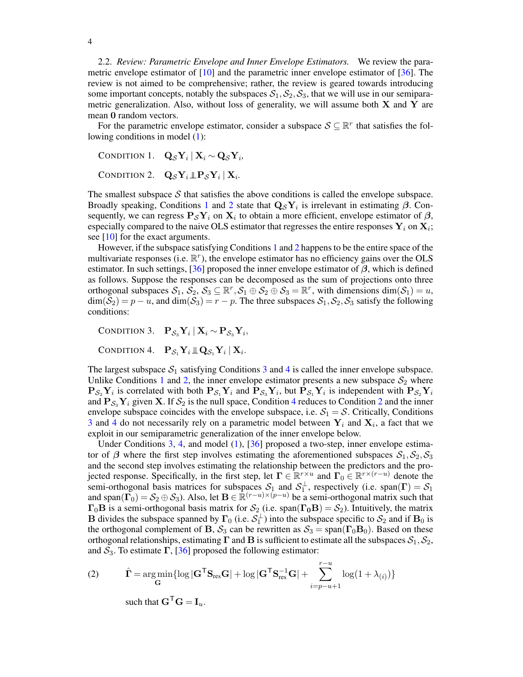<span id="page-3-0"></span>2.2. *Review: Parametric Envelope and Inner Envelope Estimators.* We review the parametric envelope estimator of [\[10\]](#page-39-0) and the parametric inner envelope estimator of [\[36\]](#page-41-0). The review is not aimed to be comprehensive; rather, the review is geared towards introducing some important concepts, notably the subspaces  $S_1, S_2, S_3$ , that we will use in our semiparametric generalization. Also, without loss of generality, we will assume both  $X$  and  $Y$  are mean 0 random vectors.

For the parametric envelope estimator, consider a subspace  $S \subseteq \mathbb{R}^r$  that satisfies the following conditions in model [\(1\)](#page-0-2):

<span id="page-3-2"></span><span id="page-3-1"></span>CONDITION 1.  $\mathbf{Q}_{\mathcal{S}} \mathbf{Y}_i \mid \mathbf{X}_i \sim \mathbf{Q}_{\mathcal{S}} \mathbf{Y}_i$ CONDITION 2.  $\mathbf{Q}_{\mathcal{S}} \mathbf{Y}_i \, \mathbb{L} \mathbf{P}_{\mathcal{S}} \mathbf{Y}_i \, | \, \mathbf{X}_i$ .

The smallest subspace  $S$  that satisfies the above conditions is called the envelope subspace. Broadly speaking, Conditions [1](#page-3-1) and [2](#page-3-2) state that  $Q_{\mathcal{S}}Y_i$  is irrelevant in estimating  $\beta$ . Consequently, we can regress  $P_{\mathcal{S}} Y_i$  on  $X_i$  to obtain a more efficient, envelope estimator of  $\beta$ , especially compared to the naive OLS estimator that regresses the entire responses  $Y_i$  on  $X_i$ ; see [\[10\]](#page-39-0) for the exact arguments.

However, if the subspace satisfying Conditions [1](#page-3-1) and [2](#page-3-2) happens to be the entire space of the multivariate responses (i.e.  $\mathbb{R}^r$ ), the envelope estimator has no efficiency gains over the OLS estimator. In such settings, [\[36\]](#page-41-0) proposed the inner envelope estimator of  $\beta$ , which is defined as follows. Suppose the responses can be decomposed as the sum of projections onto three orthogonal subspaces  $S_1$ ,  $\mathcal{S}_2$ ,  $\mathcal{S}_3 \subseteq \mathbb{R}^r$ ,  $\mathcal{S}_1 \oplus \mathcal{S}_2 \oplus \mathcal{S}_3 = \mathbb{R}^r$ , with dimensions  $\dim(\mathcal{S}_1) = u$ ,  $\dim(\mathcal{S}_2) = p - u$ , and  $\dim(\mathcal{S}_3) = r - p$ . The three subspaces  $\mathcal{S}_1, \mathcal{S}_2, \mathcal{S}_3$  satisfy the following conditions:

<span id="page-3-3"></span>CONDITION 3.  $\mathbf{P}_{\mathcal{S}_3}\mathbf{Y}_i\,|\,\mathbf{X}_i \sim \mathbf{P}_{\mathcal{S}_3}\mathbf{Y}_i,$ 

<span id="page-3-4"></span>CONDITION 4.  $\mathbf{P}_{\mathcal{S}_1}\mathbf{Y}_i \, \mathbb{L} \mathbf{Q}_{\mathcal{S}_1}\mathbf{Y}_i \, | \, \mathbf{X}_i$ .

The largest subspace  $S_1$  satisfying Conditions [3](#page-3-3) and [4](#page-3-4) is called the inner envelope subspace. Unlike Conditions [1](#page-3-1) and [2,](#page-3-2) the inner envelope estimator presents a new subspace  $S_2$  where  $P_{S_2}Y_i$  is correlated with both  $P_{S_1}Y_i$  and  $P_{S_3}Y_i$ , but  $P_{S_1}Y_i$  is independent with  $P_{S_2}Y_i$ and  $P_{S_3}Y_i$  given X. If  $S_2$  $S_2$  is the null space, Condition [4](#page-3-4) reduces to Condition 2 and the inner envelope subspace coincides with the envelope subspace, i.e.  $S_1 = S$ . Critically, Conditions [3](#page-3-3) and [4](#page-3-4) do not necessarily rely on a parametric model between  $Y_i$  and  $X_i$ , a fact that we exploit in our semiparametric generalization of the inner envelope below.

Under Conditions [3,](#page-3-3) [4,](#page-3-4) and model [\(1\)](#page-0-2), [\[36\]](#page-41-0) proposed a two-step, inner envelope estimator of  $\beta$  where the first step involves estimating the aforementioned subspaces  $S_1, S_2, S_3$ and the second step involves estimating the relationship between the predictors and the projected response. Specifically, in the first step, let  $\Gamma \in \mathbb{R}^{r \times u}$  and  $\Gamma_0 \in \mathbb{R}^{r \times (r-u)}$  denote the semi-orthogonal basis matrices for subspaces  $S_1$  and  $S_1^{\perp}$ , respectively (i.e. span( $\Gamma$ ) =  $S_1$ and span( $\Gamma_0$ ) =  $S_2 \oplus S_3$ ). Also, let  $B \in \mathbb{R}^{(r-u)\times (p-u)}$  be a semi-orthogonal matrix such that  $\Gamma_0$ B is a semi-orthogonal basis matrix for  $S_2$  (i.e. span( $\Gamma_0$ B) =  $S_2$ ). Intuitively, the matrix **B** divides the subspace spanned by  $\Gamma_0$  (i.e.  $S_1^{\perp}$ ) into the subspace specific to  $S_2$  and if  $B_0$  is the orthogonal complement of B,  $S_3$  can be rewritten as  $S_3 = \text{span}(\Gamma_0 B_0)$ . Based on these orthogonal relationships, estimating  $\Gamma$  and  $\bf{B}$  is sufficient to estimate all the subspaces  $S_1, S_2$ , and  $S_3$ . To estimate  $\Gamma$ , [\[36\]](#page-41-0) proposed the following estimator:

<span id="page-3-5"></span>(2) 
$$
\hat{\mathbf{\Gamma}} = \underset{\mathbf{G}}{\arg\min} \{ \log |\mathbf{G}^{\mathsf{T}} \mathbf{S}_{\text{res}} \mathbf{G}| + \log |\mathbf{G}^{\mathsf{T}} \mathbf{S}_{\text{res}}^{-1} \mathbf{G}| + \sum_{i=p-u+1}^{r-u} \log(1+\lambda_{(i)}) \}
$$

such that  $G^{\mathsf{T}}G = I_u$ .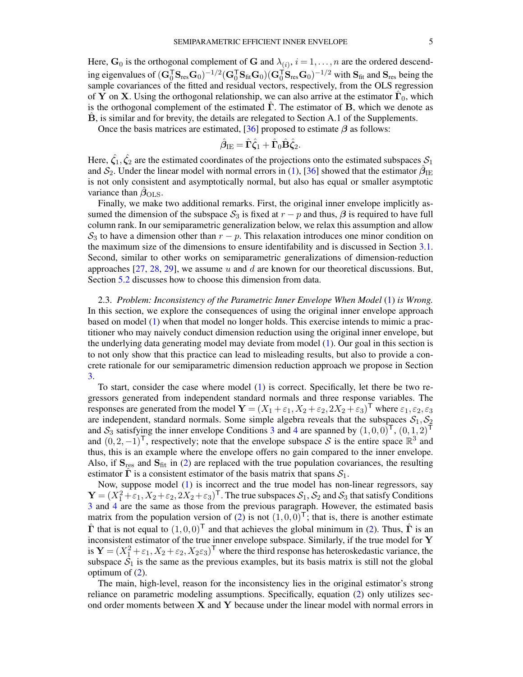Here,  $\mathbf{G}_0$  is the orthogonal complement of G and  $\lambda_{(i)}$ ,  $i = 1, \dots, n$  are the ordered descending eigenvalues of  $(\mathbf{G}_{0}^{\mathsf{T}}\mathbf{S}_{\text{res}}\mathbf{G}_{0})^{-1/2}(\mathbf{G}_{0}^{\mathsf{T}}\mathbf{S}_{\text{fit}}\mathbf{G}_{0})(\mathbf{G}_{0}^{\mathsf{T}}\mathbf{S}_{\text{res}}\mathbf{G}_{0})^{-1/2}$  with  $\mathbf{S}_{\text{fit}}$  and  $\mathbf{S}_{\text{res}}$  being the sample covariances of the fitted and residual vectors, respectively, from the OLS regression of Y on X. Using the orthogonal relationship, we can also arrive at the estimator  $\hat{\Gamma}_0$ , which is the orthogonal complement of the estimated  $\hat{\Gamma}$ . The estimator of B, which we denote as  $\hat{\mathbf{B}}$ , is similar and for brevity, the details are relegated to Section A.1 of the Supplements.

Once the basis matrices are estimated, [\[36\]](#page-41-0) proposed to estimate  $\beta$  as follows:

$$
\hat{\boldsymbol{\beta}}_{\text{IE}} = \hat{\boldsymbol{\Gamma}} \hat{\boldsymbol{\zeta}}_1 + \hat{\boldsymbol{\Gamma}}_0 \hat{\boldsymbol{\mathrm{B}}} \hat{\boldsymbol{\zeta}}_2.
$$

Here,  $\hat{\zeta}_1, \hat{\zeta}_2$  are the estimated coordinates of the projections onto the estimated subspaces  $\mathcal{S}_1$ and  $S_2$ . Under the linear model with normal errors in [\(1\)](#page-0-2), [\[36\]](#page-41-0) showed that the estimator  $\hat{\beta}_{\text{IE}}$ is not only consistent and asymptotically normal, but also has equal or smaller asymptotic variance than  $\beta_{\text{OLS}}$ .

Finally, we make two additional remarks. First, the original inner envelope implicitly assumed the dimension of the subspace  $S_3$  is fixed at  $r - p$  and thus,  $\beta$  is required to have full column rank. In our semiparametric generalization below, we relax this assumption and allow  $S_3$  to have a dimension other than  $r - p$ . This relaxation introduces one minor condition on the maximum size of the dimensions to ensure identifability and is discussed in Section [3.1.](#page-5-1) Second, similar to other works on semiparametric generalizations of dimension-reduction approaches  $[27, 28, 29]$  $[27, 28, 29]$  $[27, 28, 29]$  $[27, 28, 29]$  $[27, 28, 29]$ , we assume u and d are known for our theoretical discussions. But, Section [5.2](#page-13-1) discusses how to choose this dimension from data.

<span id="page-4-0"></span>2.3. *Problem: Inconsistency of the Parametric Inner Envelope When Model* [\(1\)](#page-0-2) *is Wrong.* In this section, we explore the consequences of using the original inner envelope approach based on model [\(1\)](#page-0-2) when that model no longer holds. This exercise intends to mimic a practitioner who may naively conduct dimension reduction using the original inner envelope, but the underlying data generating model may deviate from model [\(1\)](#page-0-2). Our goal in this section is to not only show that this practice can lead to misleading results, but also to provide a concrete rationale for our semiparametric dimension reduction approach we propose in Section [3.](#page-5-0)

To start, consider the case where model [\(1\)](#page-0-2) is correct. Specifically, let there be two regressors generated from independent standard normals and three response variables. The responses are generated from the model  $\mathbf{Y} = (X_1 + \varepsilon_1, X_2 + \varepsilon_2, 2X_2 + \varepsilon_3)^\mathsf{T}$  where  $\varepsilon_1, \varepsilon_2, \varepsilon_3$ are independent, standard normals. Some simple algebra reveals that the subspaces  $S_1, S_2$ and  $S_3$  $S_3$  satisfying the inner envelope Conditions 3 and [4](#page-3-4) are spanned by  $(1,0,0)^T$ ,  $(0,1,2)^T$ and  $(0, 2, -1)^\mathsf{T}$ , respectively; note that the envelope subspace S is the entire space  $\mathbb{R}^3$  and thus, this is an example where the envelope offers no gain compared to the inner envelope. Also, if  $S_{res}$  and  $S_{fit}$  in [\(2\)](#page-3-5) are replaced with the true population covariances, the resulting estimator  $\Gamma$  is a consistent estimator of the basis matrix that spans  $S_1$ .

Now, suppose model [\(1\)](#page-0-2) is incorrect and the true model has non-linear regressors, say  $\mathbf{Y} = (X_1^2 + \varepsilon_1, X_2 + \varepsilon_2, 2X_2 + \varepsilon_3)^\mathsf{T}$ . The true subspaces  $\mathcal{S}_1$ ,  $\mathcal{S}_2$  and  $\mathcal{S}_3$  that satisfy Conditions [3](#page-3-3) and [4](#page-3-4) are the same as those from the previous paragraph. However, the estimated basis matrix from the population version of  $(2)$  is not  $(1, 0, 0)^T$ ; that is, there is another estimate  $\hat{\Gamma}$  that is not equal to  $(1, 0, 0)^{\mathsf{T}}$  and that achieves the global minimum in [\(2\)](#page-3-5). Thus,  $\hat{\Gamma}$  is an inconsistent estimator of the true inner envelope subspace. Similarly, if the true model for Y is  $Y = (X_1^2 + \varepsilon_1, X_2 + \varepsilon_2, X_2 \varepsilon_3)^{\mathsf{T}}$  where the third response has heteroskedastic variance, the subspace  $S_1$  is the same as the previous examples, but its basis matrix is still not the global optimum of [\(2\)](#page-3-5).

The main, high-level, reason for the inconsistency lies in the original estimator's strong reliance on parametric modeling assumptions. Specifically, equation [\(2\)](#page-3-5) only utilizes second order moments between X and Y because under the linear model with normal errors in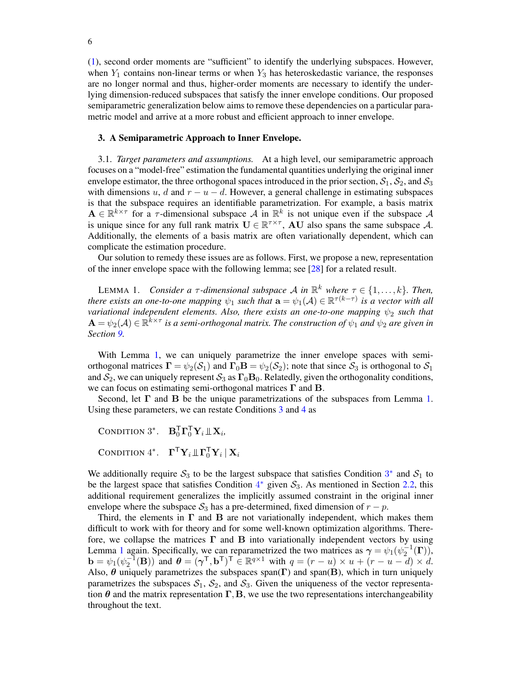[\(1\)](#page-0-2), second order moments are "sufficient" to identify the underlying subspaces. However, when  $Y_1$  contains non-linear terms or when  $Y_3$  has heteroskedastic variance, the responses are no longer normal and thus, higher-order moments are necessary to identify the underlying dimension-reduced subspaces that satisfy the inner envelope conditions. Our proposed semiparametric generalization below aims to remove these dependencies on a particular parametric model and arrive at a more robust and efficient approach to inner envelope.

#### <span id="page-5-0"></span>3. A Semiparametric Approach to Inner Envelope.

<span id="page-5-1"></span>3.1. *Target parameters and assumptions.* At a high level, our semiparametric approach focuses on a "model-free" estimation the fundamental quantities underlying the original inner envelope estimator, the three orthogonal spaces introduced in the prior section,  $S_1$ ,  $S_2$ , and  $S_3$ with dimensions u, d and  $r - u - d$ . However, a general challenge in estimating subspaces is that the subspace requires an identifiable parametrization. For example, a basis matrix  $A \in \mathbb{R}^{k \times \tau}$  for a  $\tau$ -dimensional subspace  $A$  in  $\mathbb{R}^k$  is not unique even if the subspace  $A$ is unique since for any full rank matrix  $U \in \mathbb{R}^{\tau \times \tau}$ , AU also spans the same subspace A. Additionally, the elements of a basis matrix are often variationally dependent, which can complicate the estimation procedure.

Our solution to remedy these issues are as follows. First, we propose a new, representation of the inner envelope space with the following lemma; see [\[28\]](#page-41-5) for a related result.

<span id="page-5-2"></span>LEMMA 1. *Consider a*  $\tau$ *-dimensional subspace A in*  $\mathbb{R}^k$  where  $\tau \in \{1, \ldots, k\}$ . Then, *there exists an one-to-one mapping*  $\psi_1$  *such that*  $\mathbf{a} = \psi_1(\mathcal{A}) \in \mathbb{R}^{\tau(k-\tau)}$  *is a vector with all variational independent elements. Also, there exists an one-to-one mapping*  $ψ<sub>2</sub>$  *such that*  $A = \psi_2(A) \in \mathbb{R}^{\tilde{k} \times \tau}$  is a semi-orthogonal matrix. The construction of  $\psi_1$  and  $\psi_2$  are given in *Section [9.](#page-19-0)*

With Lemma [1,](#page-5-2) we can uniquely parametrize the inner envelope spaces with semiorthogonal matrices  $\Gamma = \psi_2(S_1)$  and  $\Gamma_0 \mathbf{B} = \psi_2(S_2)$ ; note that since  $S_3$  is orthogonal to  $S_1$ and  $S_2$ , we can uniquely represent  $S_3$  as  $\Gamma_0$ **B**<sub>0</sub>. Relatedly, given the orthogonality conditions, we can focus on estimating semi-orthogonal matrices  $\Gamma$  and  $\mathbf{B}$ .

Second, let  $\Gamma$  and  $\bar{B}$  be the unique parametrizations of the subspaces from Lemma [1.](#page-5-2) Using these parameters, we can restate Conditions [3](#page-3-3) and [4](#page-3-4) as

```
CONDITION 3<sup>*</sup>. \mathbf{B}_0^\mathsf{T} \mathbf{\Gamma}_0^\mathsf{T} \mathbf{Y}_i \mathbb{L} \mathbf{X}_i,
CONDITION 4^*. \mathbf{\Gamma}^\mathsf{T} \mathbf{Y}_i \, \mathbb{L} \mathbf{\Gamma}^\mathsf{T}_0 \mathbf{Y}_i \, | \, \mathbf{X}_i
```
We additionally require  $S_3$  $S_3$  to be the largest subspace that satisfies Condition  $3^*$  and  $S_1$  to be the largest space that satisfies Condition  $4^*$  $4^*$  given  $S_3$ . As mentioned in Section [2.2,](#page-3-0) this additional requirement generalizes the implicitly assumed constraint in the original inner envelope where the subspace  $S_3$  has a pre-determined, fixed dimension of  $r - p$ .

Third, the elements in  $\Gamma$  and  $\bf{B}$  are not variationally independent, which makes them difficult to work with for theory and for some well-known optimization algorithms. Therefore, we collapse the matrices  $\Gamma$  and  $\bar{B}$  into variationally independent vectors by using Lemma [1](#page-5-2) again. Specifically, we can reparametrized the two matrices as  $\gamma = \psi_1(\psi_2^{-1}(\Gamma))$ ,  $\mathbf{b} = \psi_1(\psi_2^{-1}(\mathbf{B}))$  and  $\boldsymbol{\theta} = (\boldsymbol{\gamma}^\mathsf{T}, \mathbf{b}^\mathsf{T})^\mathsf{T} \in \mathbb{R}^{q \times 1}$  with  $q = (r - u) \times u + (r - u - d) \times d$ . Also,  $\theta$  uniquely parametrizes the subspaces span( $\Gamma$ ) and span( $\text{B}$ ), which in turn uniquely parametrizes the subspaces  $S_1$ ,  $S_2$ , and  $S_3$ . Given the uniqueness of the vector representation  $\theta$  and the matrix representation  $\Gamma$ , B, we use the two representations interchangeability throughout the text.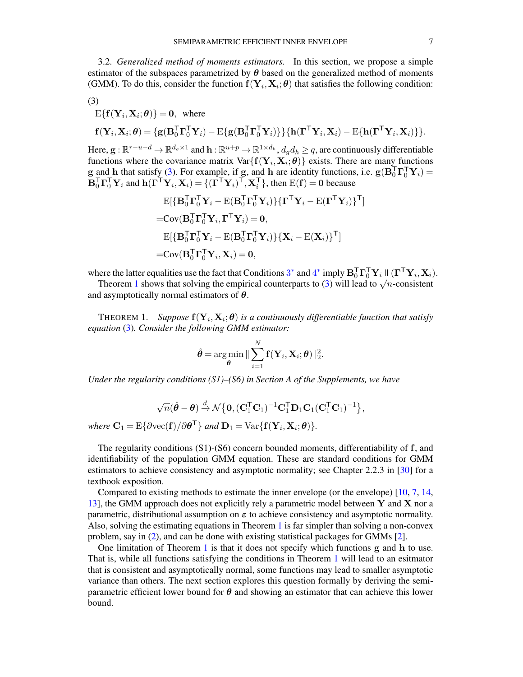3.2. *Generalized method of moments estimators.* In this section, we propose a simple estimator of the subspaces parametrized by  $\theta$  based on the generalized method of moments (GMM). To do this, consider the function  $f(Y_i, X_i; \theta)$  that satisfies the following condition:

<span id="page-6-0"></span>
$$
(3)
$$

$$
\mathbf{E}\{\mathbf{f}(\mathbf{Y}_i, \mathbf{X}_i; \boldsymbol{\theta})\} = \mathbf{0}, \text{ where}
$$
  

$$
\mathbf{f}(\mathbf{Y}_i, \mathbf{X}_i; \boldsymbol{\theta}) = \{\mathbf{g}(\mathbf{B}_0^\mathsf{T} \mathbf{\Gamma}_0^\mathsf{T} \mathbf{Y}_i) - \mathbf{E}\{\mathbf{g}(\mathbf{B}_0^\mathsf{T} \mathbf{\Gamma}_0^\mathsf{T} \mathbf{Y}_i)\}\}\{\mathbf{h}(\mathbf{\Gamma}^\mathsf{T} \mathbf{Y}_i, \mathbf{X}_i) - \mathbf{E}\{\mathbf{h}(\mathbf{\Gamma}^\mathsf{T} \mathbf{Y}_i, \mathbf{X}_i)\}\}.
$$

Here,  $\mathbf{g}: \mathbb{R}^{r-u-d}\to \mathbb{R}^{d_g\times 1}$  and  $\mathbf{h}: \mathbb{R}^{u+p}\to \mathbb{R}^{1\times d_h},$   $d_gd_h\geq q,$  are continuously differentiable functions where the covariance matrix  $Var\{f(Y_i, X_i; \theta)\}$  exists. There are many functions  $g$  and h that satisfy [\(3\)](#page-6-0). For example, if g, and h are identity functions, i.e.  $g(B_0^T \Gamma_0^T Y_i) =$  $\mathbf{B}_0^\mathsf{T} \mathbf{\Gamma}_0^\mathsf{T} \mathbf{Y}_i$  and  $\mathbf{h}(\mathbf{\Gamma}^\mathsf{T} \mathbf{Y}_i, \mathbf{X}_i) = \{(\mathbf{\Gamma}^\mathsf{T} \mathbf{Y}_i)^\mathsf{T}, \mathbf{X}_i^\mathsf{T}\},\$  then  $\mathrm{E}(\mathbf{f}) = \mathbf{0}$  because

$$
E[\{\mathbf{B}_0^{\mathsf{T}} \mathbf{\Gamma}_0^{\mathsf{T}} \mathbf{Y}_i - E(\mathbf{B}_0^{\mathsf{T}} \mathbf{\Gamma}_0^{\mathsf{T}} \mathbf{Y}_i)\} \{\mathbf{\Gamma}^{\mathsf{T}} \mathbf{Y}_i - E(\mathbf{\Gamma}^{\mathsf{T}} \mathbf{Y}_i)\}^{\mathsf{T}}]
$$
  
= Cov( $\mathbf{B}_0^{\mathsf{T}} \mathbf{\Gamma}_0^{\mathsf{T}} \mathbf{Y}_i$ ,  $\mathbf{\Gamma}^{\mathsf{T}} \mathbf{Y}_i$ ) = 0,  

$$
E[\{\mathbf{B}_0^{\mathsf{T}} \mathbf{\Gamma}_0^{\mathsf{T}} \mathbf{Y}_i - E(\mathbf{B}_0^{\mathsf{T}} \mathbf{\Gamma}_0^{\mathsf{T}} \mathbf{Y}_i)\} \{\mathbf{X}_i - E(\mathbf{X}_i)\}^{\mathsf{T}}]
$$
  
= Cov( $\mathbf{B}_0^{\mathsf{T}} \mathbf{\Gamma}_0^{\mathsf{T}} \mathbf{Y}_i$ ,  $\mathbf{X}_i$ ) = 0,

where the latter equalities use the fact that Conditions  $3^*$  $3^*$  and  $4^*$  $4^*$  imply  $\mathbf{B}_0^\mathsf{T} \mathbf{\Gamma}_0^\mathsf{T} \mathbf{Y}_i \mathbb{1}(\mathbf{\Gamma}^\mathsf{T} \mathbf{Y}_i, \mathbf{X}_i)$ .

Theorem [1](#page-6-1) shows that solving the empirical counterparts to [\(3\)](#page-6-0) will lead to  $\sqrt{n}$ -consistent and asymptotically normal estimators of  $\theta$ .

<span id="page-6-1"></span>THEOREM 1. Suppose  $f(Y_i, X_i; \theta)$  is a continuously differentiable function that satisfy *equation* [\(3\)](#page-6-0)*. Consider the following GMM estimator:*

$$
\hat{\boldsymbol{\theta}} = \argmin_{\boldsymbol{\theta}} \|\sum_{i=1}^N \mathbf{f}(\mathbf{Y}_i, \mathbf{X}_i; \boldsymbol{\theta})\|_2^2.
$$

*Under the regularity conditions (S1)–(S6) in Section A of the Supplements, we have*

$$
\sqrt{n}(\hat{\boldsymbol{\theta}}-\boldsymbol{\theta})\xrightarrow{d} \mathcal{N}\big\{\mathbf{0}, (\mathbf{C}_1^{\mathsf{T}}\mathbf{C}_1)^{-1}\mathbf{C}_1^{\mathsf{T}}\mathbf{D}_1\mathbf{C}_1(\mathbf{C}_1^{\mathsf{T}}\mathbf{C}_1)^{-1}\big\},
$$

 $where \ \mathbf{C}_1 = \mathrm{E} \{ \partial \mathrm{vec}(\mathbf{f}) / \partial \boldsymbol{\theta}^{\mathsf{T}} \} \ and \ \mathbf{D}_1 = \mathrm{Var} \{ \mathbf{f}(\mathbf{Y}_i, \mathbf{X}_i; \boldsymbol{\theta}) \}.$ 

The regularity conditions  $(S1)$ - $(S6)$  concern bounded moments, differentiability of f, and identifiability of the population GMM equation. These are standard conditions for GMM estimators to achieve consistency and asymptotic normality; see Chapter 2.2.3 in [\[30\]](#page-41-7) for a textbook exposition.

Compared to existing methods to estimate the inner envelope (or the envelope) [\[10,](#page-39-0) [7,](#page-38-1) [14,](#page-39-5) [13\]](#page-39-4), the GMM approach does not explicitly rely a parametric model between  $Y$  and  $X$  nor a parametric, distributional assumption on  $\varepsilon$  to achieve consistency and asymptotic normality. Also, solving the estimating equations in Theorem [1](#page-6-1) is far simpler than solving a non-convex problem, say in [\(2\)](#page-3-5), and can be done with existing statistical packages for GMMs [\[2\]](#page-37-2).

One limitation of Theorem [1](#page-6-1) is that it does not specify which functions  $g$  and  $h$  to use. That is, while all functions satisfying the conditions in Theorem [1](#page-6-1) will lead to an esitmator that is consistent and asymptotically normal, some functions may lead to smaller asymptotic variance than others. The next section explores this question formally by deriving the semiparametric efficient lower bound for  $\theta$  and showing an estimator that can achieve this lower bound.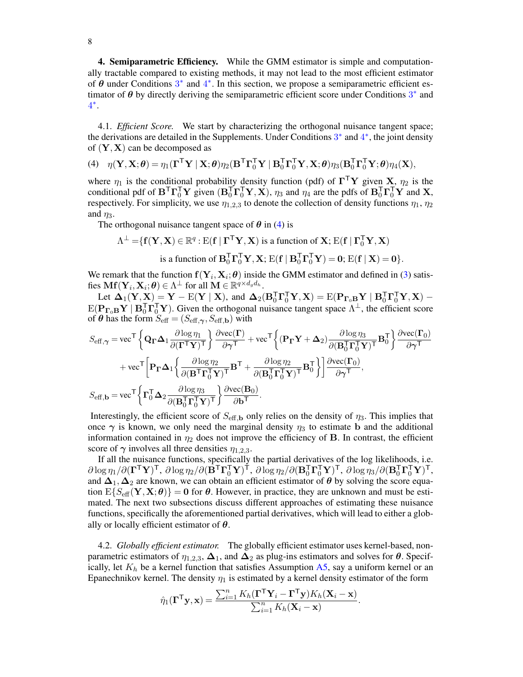<span id="page-7-0"></span>4. Semiparametric Efficiency. While the GMM estimator is simple and computationally tractable compared to existing methods, it may not lead to the most efficient estimator of  $\theta$  under Conditions  $3^*$  $3^*$  and  $4^*$  $4^*$ . In this section, we propose a semiparametric efficient estimator of  $\theta$  by directly deriving the semiparametric efficient score under Conditions  $3^*$  $3^*$  and [4](#page-5-4) ∗ .

4.1. *Efficient Score.* We start by characterizing the orthogonal nuisance tangent space; the derivations are detailed in the Supplements. Under Conditions [3](#page-5-3)<sup>\*</sup> and [4](#page-5-4)<sup>\*</sup>, the joint density of  $(Y, X)$  can be decomposed as

<span id="page-7-1"></span>(4) 
$$
\eta(\mathbf{Y}, \mathbf{X}; \boldsymbol{\theta}) = \eta_1(\boldsymbol{\Gamma}^\mathsf{T} \mathbf{Y} \mid \mathbf{X}; \boldsymbol{\theta}) \eta_2(\mathbf{B}^\mathsf{T} \boldsymbol{\Gamma}_0^\mathsf{T} \mathbf{Y} \mid \mathbf{B}_0^\mathsf{T} \boldsymbol{\Gamma}_0^\mathsf{T} \mathbf{Y}, \mathbf{X}; \boldsymbol{\theta}) \eta_3(\mathbf{B}_0^\mathsf{T} \boldsymbol{\Gamma}_0^\mathsf{T} \mathbf{Y}; \boldsymbol{\theta}) \eta_4(\mathbf{X}),
$$

where  $\eta_1$  is the conditional probability density function (pdf) of  $\mathbf{\Gamma}^\top \mathbf{Y}$  given **X**,  $\eta_2$  is the conditional pdf of  $B^T\Gamma_0^T\mathbf{Y}$  given  $(B_0^T\Gamma_0^T\mathbf{Y}, \mathbf{X})$ ,  $\eta_3$  and  $\eta_4$  are the pdfs of  $B_0^T\Gamma_0^T\mathbf{Y}$  and  $\mathbf{X}$ , respectively. For simplicity, we use  $\eta_{1,2,3}$  to denote the collection of density functions  $\eta_1$ ,  $\eta_2$ and  $\eta_3$ .

The orthogonal nuisance tangent space of  $\theta$  in [\(4\)](#page-7-1) is

$$
\Lambda^{\perp} = \{ \mathbf{f}(\mathbf{Y}, \mathbf{X}) \in \mathbb{R}^q : E(\mathbf{f} \mid \mathbf{\Gamma}^\mathsf{T} \mathbf{Y}, \mathbf{X}) \text{ is a function of } \mathbf{X}; E(\mathbf{f} \mid \mathbf{\Gamma}_0^\mathsf{T} \mathbf{Y}, \mathbf{X})
$$
  
is a function of  $\mathbf{B}_0^\mathsf{T} \mathbf{\Gamma}_0^\mathsf{T} \mathbf{Y}, \mathbf{X}; E(\mathbf{f} \mid \mathbf{B}_0^\mathsf{T} \mathbf{\Gamma}_0^\mathsf{T} \mathbf{Y}) = \mathbf{0}; E(\mathbf{f} \mid \mathbf{X}) = \mathbf{0} \}.$ 

We remark that the function  $f(Y_i, X_i; \theta)$  inside the GMM estimator and defined in [\(3\)](#page-6-0) satisfies  $\mathbf{Mf}(\mathbf{Y}_i, \mathbf{X}_i; \boldsymbol{\theta}) \in \Lambda^\perp$  for all  $\mathbf{M} \in \mathbb{R}^{q \times d_g d_h}$ .

Let  $\Delta_1(Y, \mathbf{X}) = Y - E(Y | X)$ , and  $\Delta_2(B_0^T \Gamma_0^T Y, X) = E(P_{\Gamma_0 B} Y | B_0^T \Gamma_0^T Y, X)$  $E(\mathbf{P}_{\Gamma_0} \mathbf{B} \mathbf{Y} \mid \mathbf{B}_0^T \mathbf{\Gamma}_0^T \mathbf{Y})$ . Given the orthogonal nuisance tangent space  $\Lambda^{\perp}$ , the efficient score of  $\theta$  has the form  $S_{\text{eff}} = (S_{\text{eff},\gamma}, S_{\text{eff},\mathbf{b}})$  with

$$
S_{\text{eff},\gamma} = \text{vec}^{\mathsf{T}} \left\{ \mathbf{Q}_{\Gamma} \mathbf{\Delta}_{1} \frac{\partial \log \eta_{1}}{\partial (\Gamma^{\mathsf{T}} \mathbf{Y})^{\mathsf{T}}} \right\} \frac{\partial \text{vec}(\Gamma)}{\partial \gamma^{\mathsf{T}}} + \text{vec}^{\mathsf{T}} \left\{ (\mathbf{P}_{\Gamma} \mathbf{Y} + \mathbf{\Delta}_{2}) \frac{\partial \log \eta_{3}}{\partial (\mathbf{B}_{0}^{\mathsf{T}} \mathbf{\Gamma}_{0}^{\mathsf{T}} \mathbf{Y})^{\mathsf{T}}} \mathbf{B}_{0}^{\mathsf{T}} \right\} \frac{\partial \text{vec}(\Gamma_{0})}{\partial \gamma^{\mathsf{T}}} + \text{vec}^{\mathsf{T}} \left[ \mathbf{P}_{\Gamma} \mathbf{\Delta}_{1} \left\{ \frac{\partial \log \eta_{2}}{\partial (\mathbf{B}^{\mathsf{T}} \mathbf{\Gamma}_{0}^{\mathsf{T}} \mathbf{Y})^{\mathsf{T}}} \mathbf{B}^{\mathsf{T}} + \frac{\partial \log \eta_{2}}{\partial (\mathbf{B}_{0}^{\mathsf{T}} \mathbf{\Gamma}_{0}^{\mathsf{T}} \mathbf{Y})^{\mathsf{T}}} \mathbf{B}_{0}^{\mathsf{T}} \right\} \right] \frac{\partial \text{vec}(\Gamma_{0})}{\partial \gamma^{\mathsf{T}}},
$$
  

$$
S_{\text{eff},\mathbf{b}} = \text{vec}^{\mathsf{T}} \left\{ \mathbf{\Gamma}_{0}^{\mathsf{T}} \mathbf{\Delta}_{2} \frac{\partial \log \eta_{3}}{\partial (\mathbf{B}_{0}^{\mathsf{T}} \mathbf{\Gamma}_{0}^{\mathsf{T}} \mathbf{Y})^{\mathsf{T}}} \right\} \frac{\partial \text{vec}(\mathbf{B}_{0})}{\partial \mathbf{b}^{\mathsf{T}}}.
$$

Interestingly, the efficient score of  $S_{\text{eff},b}$  only relies on the density of  $\eta_3$ . This implies that once  $\gamma$  is known, we only need the marginal density  $\eta_3$  to estimate b and the additional information contained in  $\eta_2$  does not improve the efficiency of **B**. In contrast, the efficient score of  $\gamma$  involves all three densities  $\eta_{1,2,3}$ .

If all the nuisance functions, specifically the partial derivatives of the log likelihoods, i.e.  $\partial \log \eta_1 / \partial (\mathbf{\Gamma}^\mathsf{T} \mathbf{Y})^\mathsf{T}, \ \partial \log \eta_2 / \partial (\mathbf{B}^\mathsf{T} \mathbf{\Gamma}_0^\mathsf{T} \mathbf{Y})^\mathsf{T}, \ \partial \log \eta_2 / \partial (\mathbf{B}_0^\mathsf{T} \mathbf{\Gamma}_0^\mathsf{T} \mathbf{Y})^\mathsf{T}, \ \partial \log \eta_3 / \partial (\mathbf{B}_0^\mathsf{T} \mathbf{\Gamma}_0^\mathsf{T} \mathbf{Y})^\mathsf{T},$ and  $\Delta_1, \Delta_2$  are known, we can obtain an efficient estimator of  $\theta$  by solving the score equation  $E\{S_{\text{eff}}(\mathbf{Y}, \mathbf{X}; \theta)\} = \mathbf{0}$  for  $\theta$ . However, in practice, they are unknown and must be estimated. The next two subsections discuss different approaches of estimating these nuisance functions, specifically the aforementioned partial derivatives, which will lead to either a globally or locally efficient estimator of  $\theta$ .

<span id="page-7-2"></span>4.2. *Globally efficient estimator.* The globally efficient estimator uses kernel-based, nonparametric estimators of  $\eta_{1,2,3}$ ,  $\Delta_1$ , and  $\Delta_2$  as plug-ins estimators and solves for  $\theta$ . Specifically, let  $K_h$  be a kernel function that satisfies Assumption [A5,](#page-8-0) say a uniform kernel or an Epanechnikov kernel. The density  $\eta_1$  is estimated by a kernel density estimator of the form

$$
\hat{\eta}_1(\boldsymbol{\Gamma}^\mathsf{T}\mathbf{y},\mathbf{x}) = \frac{\sum_{i=1}^n K_h(\boldsymbol{\Gamma}^\mathsf{T}\mathbf{Y}_i - \boldsymbol{\Gamma}^\mathsf{T}\mathbf{y})K_h(\mathbf{X}_i - \mathbf{x})}{\sum_{i=1}^n K_h(\mathbf{X}_i - \mathbf{x})}.
$$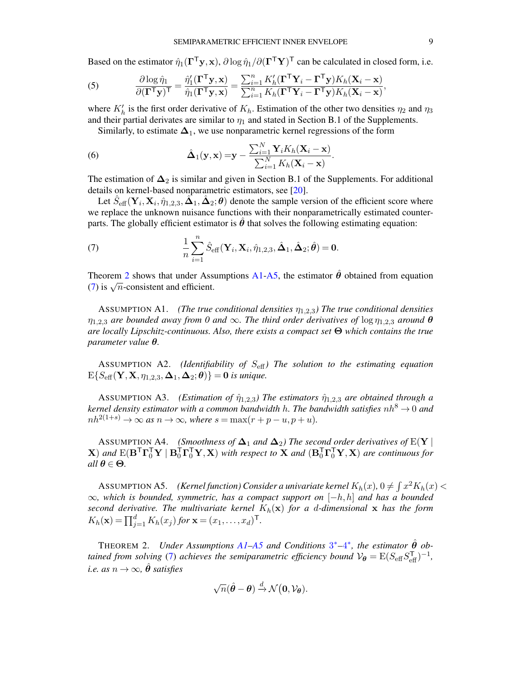Based on the estimator  $\hat{\eta}_1(\Gamma^{\mathsf{T}} \mathbf{y}, \mathbf{x}), \partial \log \hat{\eta}_1/\partial (\Gamma^{\mathsf{T}} \mathbf{Y})^{\mathsf{T}}$  can be calculated in closed form, i.e.

(5) 
$$
\frac{\partial \log \hat{\eta}_1}{\partial (\mathbf{\Gamma}^\mathsf{T} \mathbf{y})^\mathsf{T}} = \frac{\hat{\eta}_1'(\mathbf{\Gamma}^\mathsf{T} \mathbf{y}, \mathbf{x})}{\hat{\eta}_1(\mathbf{\Gamma}^\mathsf{T} \mathbf{y}, \mathbf{x})} = \frac{\sum_{i=1}^n K_h'(\mathbf{\Gamma}^\mathsf{T} \mathbf{Y}_i - \mathbf{\Gamma}^\mathsf{T} \mathbf{y}) K_h(\mathbf{X}_i - \mathbf{x})}{\sum_{i=1}^n K_h(\mathbf{\Gamma}^\mathsf{T} \mathbf{Y}_i - \mathbf{\Gamma}^\mathsf{T} \mathbf{y}) K_h(\mathbf{X}_i - \mathbf{x})},
$$

where  $K'_h$  is the first order derivative of  $K_h$ . Estimation of the other two densities  $\eta_2$  and  $\eta_3$ and their partial derivates are similar to  $\eta_1$  and stated in Section B.1 of the Supplements.

Similarly, to estimate  $\Delta_1$ , we use nonparametric kernel regressions of the form

<span id="page-8-5"></span>(6) 
$$
\hat{\mathbf{\Delta}}_1(\mathbf{y}, \mathbf{x}) = \mathbf{y} - \frac{\sum_{i=1}^N \mathbf{Y}_i K_h(\mathbf{X}_i - \mathbf{x})}{\sum_{i=1}^N K_h(\mathbf{X}_i - \mathbf{x})}.
$$

The estimation of  $\Delta_2$  is similar and given in Section B.1 of the Supplements. For additional details on kernel-based nonparametric estimators, see [\[20\]](#page-39-7).

Let  $\hat{S}_{\text{eff}}(\mathbf{Y}_i, \mathbf{X}_i, \hat{\eta}_{1,2,3}, \hat{\Delta}_1, \hat{\Delta}_2; \theta)$  denote the sample version of the efficient score where we replace the unknown nuisance functions with their nonparametrically estimated counterparts. The globally efficient estimator is  $\theta$  that solves the following estimating equation:

<span id="page-8-3"></span>(7) 
$$
\frac{1}{n}\sum_{i=1}^n \hat{S}_{\text{eff}}(\mathbf{Y}_i,\mathbf{X}_i,\hat{\eta}_{1,2,3},\hat{\boldsymbol{\Delta}}_1,\hat{\boldsymbol{\Delta}}_2;\hat{\boldsymbol{\theta}})=\mathbf{0}.
$$

Theorem [2](#page-8-1) shows that under Assumptions  $A1-A5$  $A1-A5$ , the estimator  $\hat{\theta}$  obtained from equation Theorem 2 shows that under Ass<br>[\(7\)](#page-8-3) is  $\sqrt{n}$ -consistent and efficient.

<span id="page-8-2"></span>ASSUMPTION A1. *(The true conditional densities*  $\eta_{1,2,3}$ ) The true conditional densities  $\eta_{1,2,3}$  are bounded away from 0 and  $\infty$ . The third order derivatives of  $\log \eta_{1,2,3}$  around  $\theta$ *are locally Lipschitz-continuous. Also, there exists a compact set* Θ *which contains the true parameter value* θ*.*

<span id="page-8-4"></span>ASSUMPTION A2. *(Identifiability of*  $S_{\text{eff}}$ *) The solution to the estimating equation*  $E\{S_{\text{eff}}(\mathbf{Y}, \mathbf{X}, \eta_{1,2,3}, \mathbf{\Delta}_1, \mathbf{\Delta}_2; \boldsymbol{\theta})\} = \mathbf{0}$  is unique.

<span id="page-8-7"></span>ASSUMPTION A3. *(Estimation of*  $\hat{\eta}_{1,2,3}$ *) The estimators*  $\hat{\eta}_{1,2,3}$  *are obtained through a kernel density estimator with a common bandwidth h. The bandwidth satisfies*  $nh^8 \rightarrow 0$  *and*  $nh^{2(1+s)} \to \infty$  *as*  $n \to \infty$ *, where*  $s = \max(r + p - u, p + u)$ *.* 

<span id="page-8-6"></span>ASSUMPTION A4. *(Smoothness of*  $\Delta_1$  *and*  $\Delta_2$ ) The second order derivatives of E(Y | **X**) and  $E(B^T\Gamma_0^T\mathbf{Y} | B_0^T\Gamma_0^T\mathbf{Y}, \mathbf{X})$  with respect to **X** and  $(B_0^T\Gamma_0^T\mathbf{Y}, \mathbf{X})$  are continuous for *all*  $\theta \in \Theta$ *.* 

<span id="page-8-0"></span>ASSUMPTION A5. *(Kernel function) Consider a univariate kernel*  $K_h(x)$ ,  $0 \neq \int x^2 K_h(x)$  < ∞*, which is bounded, symmetric, has a compact support on* [−h, h] *and has a bounded second derivative. The multivariate kernel*  $K_h(\mathbf{x})$  *for a d-dimensional* x *has the form*  $K_h(\mathbf{x}) = \prod_{j=1}^d K_h(x_j)$  for  $\mathbf{x} = (x_1, \dots, x_d)^\mathsf{T}$ .

<span id="page-8-1"></span>THEOREM 2. *Under Assumptions [A1](#page-8-2)[–A5](#page-8-0) and Conditions*  $3^*$  $3^*$ – $4^*$  $4^*$ , the estimator  $\hat{\theta}$  ob*tained from solving* [\(7\)](#page-8-3) *achieves the semiparametric efficiency bound*  $V_{\theta} = E(S_{\text{eff}}S_{\text{eff}}^{\text{T}})^{-1}$ , *i.e.* as  $n \to \infty$ ,  $\hat{\theta}$  *satisfies* 

$$
\sqrt{n}(\hat{\boldsymbol{\theta}} - \boldsymbol{\theta}) \stackrel{d}{\rightarrow} \mathcal{N}(\mathbf{0}, \mathcal{V}_{\boldsymbol{\theta}}).
$$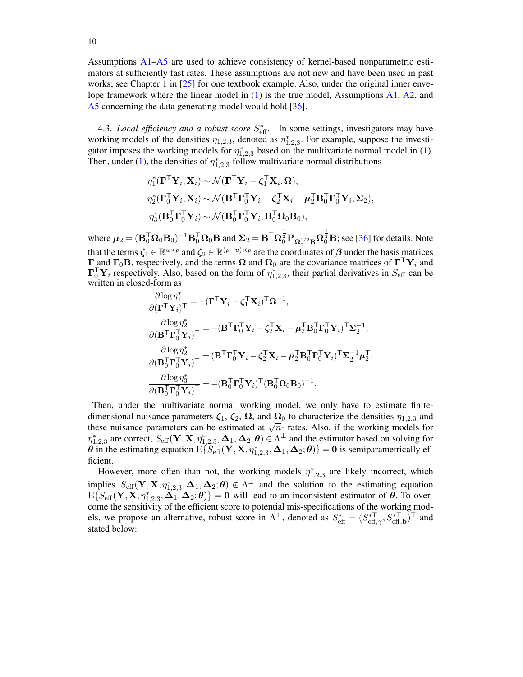Assumptions [A1–](#page-8-2)[A5](#page-8-0) are used to achieve consistency of kernel-based nonparametric estimators at sufficiently fast rates. These assumptions are not new and have been used in past works; see Chapter 1 in [\[25\]](#page-40-5) for one textbook example. Also, under the original inner envelope framework where the linear model in  $(1)$  is the true model, Assumptions [A1,](#page-8-2) [A2,](#page-8-4) and [A5](#page-8-0) concerning the data generating model would hold [\[36\]](#page-41-0).

4.3. *Local efficiency and a robust score*  $S_{\text{eff}}^*$ . In some settings, investigators may have working models of the densities  $\eta_{1,2,3}$ , denoted as  $\eta_{1,2,3}^*$ . For example, suppose the investigator imposes the working models for  $\eta_{1,2,3}^*$  based on the multivariate normal model in [\(1\)](#page-0-2). Then, under [\(1\)](#page-0-2), the densities of  $\eta_{1,2,3}^*$  follow multivariate normal distributions

$$
\begin{aligned}\n\eta_1^*(\mathbf{\Gamma}^\mathsf{T}\mathbf{Y}_i, \mathbf{X}_i) &\sim \mathcal{N}(\mathbf{\Gamma}^\mathsf{T}\mathbf{Y}_i - \boldsymbol{\zeta}_1^\mathsf{T}\mathbf{X}_i, \boldsymbol{\Omega}), \\
\eta_2^*(\mathbf{\Gamma}_0^\mathsf{T}\mathbf{Y}_i, \mathbf{X}_i) &\sim \mathcal{N}(\mathbf{B}^\mathsf{T}\mathbf{\Gamma}_0^\mathsf{T}\mathbf{Y}_i - \boldsymbol{\zeta}_2^\mathsf{T}\mathbf{X}_i - \boldsymbol{\mu}_2^\mathsf{T}\mathbf{B}_0^\mathsf{T}\mathbf{\Gamma}_0^\mathsf{T}\mathbf{Y}_i, \boldsymbol{\Sigma}_2), \\
\eta_3^*(\mathbf{B}_0^\mathsf{T}\mathbf{\Gamma}_0^\mathsf{T}\mathbf{Y}_i) &\sim \mathcal{N}(\mathbf{B}_0^\mathsf{T}\mathbf{\Gamma}_0^\mathsf{T}\mathbf{Y}_i, \mathbf{B}_0^\mathsf{T}\boldsymbol{\Omega}_0\mathbf{B}_0),\n\end{aligned}
$$

where  $\mu_2 = (\mathbf{B}_0^{\mathsf{T}} \boldsymbol{\Omega}_0 \mathbf{B}_0)^{-1} \mathbf{B}_0^{\mathsf{T}} \boldsymbol{\Omega}_0 \mathbf{B}$  and  $\boldsymbol{\Sigma}_2 = \mathbf{B}^{\mathsf{T}} \boldsymbol{\Omega}_0^{\frac{1}{2}} \mathbf{P}_{\boldsymbol{\Omega}_0^{1/2} \mathbf{B}} \boldsymbol{\Omega}_0^{\frac{1}{2}} \mathbf{B}$ ; see [\[36\]](#page-41-0) for details. Note that the terms  $\zeta_1 \in \mathbb{R}^{u \times p}$  and  $\zeta_2 \in \mathbb{R}^{(p-u)\times p}$  are the coordinates of  $\beta$  under the basis matrices  $\Gamma$  and  $\Gamma_0$ B, respectively, and the terms  $\Omega$  and  $\Omega_0$  are the covariance matrices of  $\Gamma^{\top}$ Y<sub>i</sub> and  $\Gamma_0^T Y_i$  respectively. Also, based on the form of  $\eta_{1,2,3}^*$ , their partial derivatives in  $S_{\text{eff}}$  can be written in closed-form as

$$
\label{eq:1D1V:2} \begin{aligned} &\frac{\partial \log \eta_1^*}{\partial (\Gamma^\mathsf{T} \mathbf{Y}_i)^\mathsf{T}} = - (\Gamma^\mathsf{T} \mathbf{Y}_i - \zeta_1^\mathsf{T} \mathbf{X}_i)^\mathsf{T} \Omega^{-1},\\ &\frac{\partial \log \eta_2^*}{\partial (\mathbf{B}^\mathsf{T} \Gamma_0^\mathsf{T} \mathbf{Y}_i)^\mathsf{T}} = - (\mathbf{B}^\mathsf{T} \Gamma_0^\mathsf{T} \mathbf{Y}_i - \zeta_2^\mathsf{T} \mathbf{X}_i - \pmb{\mu}_2^\mathsf{T} \mathbf{B}_0^\mathsf{T} \Gamma_0^\mathsf{T} \mathbf{Y}_i)^\mathsf{T} \Sigma_2^{-1},\\ &\frac{\partial \log \eta_2^*}{\partial (\mathbf{B}_0^\mathsf{T} \Gamma_0^\mathsf{T} \mathbf{Y}_i)^\mathsf{T}} = (\mathbf{B}^\mathsf{T} \Gamma_0^\mathsf{T} \mathbf{Y}_i - \zeta_2^\mathsf{T} \mathbf{X}_i - \pmb{\mu}_2^\mathsf{T} \mathbf{B}_0^\mathsf{T} \Gamma_0^\mathsf{T} \mathbf{Y}_i)^\mathsf{T} \Sigma_2^{-1} \pmb{\mu}_2^\mathsf{T},\\ &\frac{\partial \log \eta_3^*}{\partial (\mathbf{B}_0^\mathsf{T} \Gamma_0^\mathsf{T} \mathbf{Y}_i)^\mathsf{T}} = - (\mathbf{B}_0^\mathsf{T} \Gamma_0^\mathsf{T} \mathbf{Y}_i)^\mathsf{T} (\mathbf{B}_0^\mathsf{T} \Omega_0 \mathbf{B}_0)^{-1}. \end{aligned}
$$

Then, under the multivariate normal working model, we only have to estimate finitedimensional nuisance parameters  $\zeta_1$ ,  $\zeta_2$ ,  $\Omega$ , and  $\Omega_0$  to characterize the densities  $\eta_{1,2,3}$  and dimensional nuisance parameters  $\zeta_1$ ,  $\zeta_2$ ,  $\zeta_3$ , and  $\zeta_0$  to characterize the densities  $\eta_{1,2,3}$  and these nuisance parameters can be estimated at  $\sqrt{n}$ - rates. Also, if the working models for  $\eta_{1,2,3}^*$  are correct,  $S_{\text{eff}}(\mathbf{Y}, \mathbf{X}, \eta_{1,2,3}^*, \mathbf{\Delta}_1, \mathbf{\Delta}_2; \boldsymbol{\theta}) \in \Lambda^{\perp}$  and the estimator based on solving for  $\theta$  in the estimating equation  $E\{S_{\text{eff}}(\mathbf{Y}, \mathbf{X}, \eta_{1,2,3}^*, \mathbf{\Delta}_1, \mathbf{\Delta}_2; \theta)\} = 0$  is semiparametrically efficient.

However, more often than not, the working models  $\eta_{1,2,3}^*$  are likely incorrect, which implies  $S_{\text{eff}}(\mathbf{Y}, \mathbf{X}, \eta_{1,2,3}^*, \mathbf{\Delta}_1, \mathbf{\Delta}_2; \theta) \notin \Lambda^{\perp}$  and the solution to the estimating equation  $E\{S_{\text{eff}}(\mathbf{Y}, \mathbf{X}, \eta_{1,2,3}^*, \mathbf{\Delta}_1, \mathbf{\Delta}_2; \boldsymbol{\theta})\} = \mathbf{0}$  will lead to an inconsistent estimator of  $\boldsymbol{\theta}$ . To overcome the sensitivity of the efficient score to potential mis-specifications of the working models, we propose an alternative, robust score in  $\Lambda^{\perp}$ , denoted as  $S_{\text{eff}}^* = (S_{\text{eff},\gamma}^{*\mathsf{T}}, S_{\text{eff},\mathsf{b}}^{*\mathsf{T}})$  and stated below: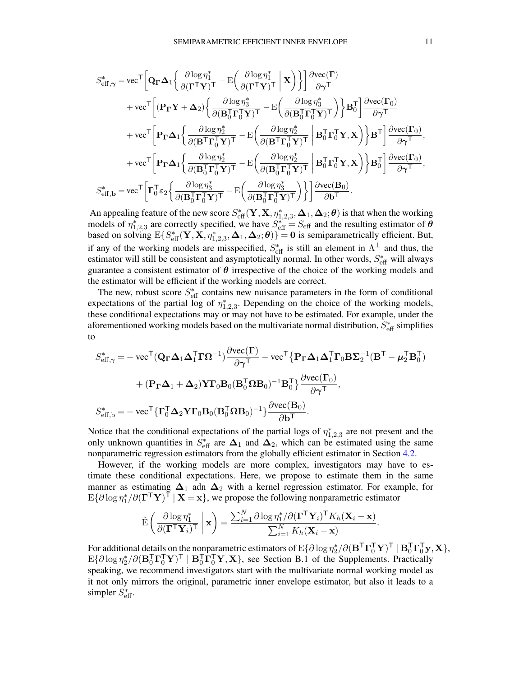$$
\begin{split} S_{\text{eff},\gamma}^{*} &= \text{vec}^{\mathsf{T}} \bigg[ \mathbf{Q}_{\Gamma} \boldsymbol{\Delta}_{1} \bigg\{ \frac{\partial \log \eta_{1}^{*}}{\partial (\Gamma^{\mathsf{T}} \mathbf{Y})^{\mathsf{T}}} - \mathrm{E} \bigg( \frac{\partial \log \eta_{1}^{*}}{\partial (\Gamma^{\mathsf{T}} \mathbf{Y})^{\mathsf{T}}} \bigg| \mathbf{X} \bigg) \bigg\} \bigg] \frac{\partial \text{vec}(\Gamma)}{\partial \gamma^{\mathsf{T}}} \\ &+ \text{vec}^{\mathsf{T}} \bigg[ (\mathbf{P}_{\Gamma} \mathbf{Y} + \boldsymbol{\Delta}_{2}) \bigg\{ \frac{\partial \log \eta_{3}^{*}}{\partial (\mathbf{B}_{0}^{\mathsf{T}} \mathbf{\Gamma}_{0}^{\mathsf{T}} \mathbf{Y})^{\mathsf{T}}} - \mathrm{E} \bigg( \frac{\partial \log \eta_{3}^{*}}{\partial (\mathbf{B}_{0}^{\mathsf{T}} \mathbf{\Gamma}_{0}^{\mathsf{T}} \mathbf{Y})^{\mathsf{T}}} \bigg) \bigg\} \mathbf{B}_{0}^{\mathsf{T}} \bigg] \frac{\partial \text{vec}(\Gamma_{0})}{\partial \gamma^{\mathsf{T}}} \\ &+ \text{vec}^{\mathsf{T}} \bigg[ \mathbf{P}_{\Gamma} \boldsymbol{\Delta}_{1} \bigg\{ \frac{\partial \log \eta_{2}^{*}}{\partial (\mathbf{B}^{\mathsf{T}} \mathbf{\Gamma}_{0}^{\mathsf{T}} \mathbf{Y})^{\mathsf{T}}} - \mathrm{E} \bigg( \frac{\partial \log \eta_{2}^{*}}{\partial (\mathbf{B}^{\mathsf{T}} \mathbf{\Gamma}_{0}^{\mathsf{T}} \mathbf{Y})^{\mathsf{T}}} \bigg| \mathbf{B}_{0}^{\mathsf{T}} \mathbf{\Gamma}_{0}^{\mathsf{T}} \mathbf{Y}, \mathbf{X} \bigg) \bigg\} \mathbf{B}^{\mathsf{T}} \bigg] \frac{\partial \text{vec}(\Gamma_{0})}{\partial \gamma^{\mathsf{T}}}, \\ &+ \text{vec}^{\mathsf{T}} \bigg[ \mathbf{P}_{\Gamma} \boldsymbol{\Delta}_{1} \bigg\{ \frac{\partial \log \eta_{2}^{*}}{\partial (\mathbf{B}_{0}^{\mathsf{T}} \mathbf{\Gamma}_{0}^{\mathsf{T}} \mathbf{Y})^{\mathsf{T}}} - \mathrm{E} \
$$

An appealing feature of the new score  $S^*_{\text{eff}}(Y,X,\eta^*_{1,2,3},\Delta_1,\Delta_2;\theta)$  is that when the working models of  $\eta_{1,2,3}^*$  are correctly specified, we have  $S_{\text{eff}}^* = S_{\text{eff}}$  and the resulting estimator of  $\theta$ based on solving  $E\{S_{\text{eff}}^*(\mathbf{Y}, \mathbf{X}, \eta_{1,2,3}^*, \mathbf{\Delta}_1, \mathbf{\Delta}_2; \boldsymbol{\theta})\} = \mathbf{0}$  is semiparametrically efficient. But, if any of the working models are misspecified,  $S_{\text{eff}}^*$  is still an element in  $\Lambda^{\perp}$  and thus, the estimator will still be consistent and asymptotically normal. In other words,  $S_{\text{eff}}^*$  will always guarantee a consistent estimator of  $\theta$  irrespective of the choice of the working models and the estimator will be efficient if the working models are correct.

The new, robust score  $S_{\text{eff}}^*$  contains new nuisance parameters in the form of conditional expectations of the partial log of  $\eta_{1,2,3}^*$ . Depending on the choice of the working models, these conditional expectations may or may not have to be estimated. For example, under the aforementioned working models based on the multivariate normal distribution,  $S_{\text{eff}}^*$  simplifies to

$$
S_{\text{eff},\gamma}^{*} = -\text{ vec}^{\mathsf{T}}(\mathbf{Q}_{\mathbf{\Gamma}}\mathbf{\Delta}_{1}\mathbf{\Delta}_{1}^{\mathsf{T}}\mathbf{\Gamma}\mathbf{\Omega}^{-1})\frac{\partial \text{vec}(\mathbf{\Gamma})}{\partial \gamma^{\mathsf{T}}}-\text{vec}^{\mathsf{T}}\big\{\mathbf{P}_{\mathbf{\Gamma}}\mathbf{\Delta}_{1}\mathbf{\Delta}_{1}^{\mathsf{T}}\mathbf{\Gamma}_{0}\mathbf{B}\mathbf{\Sigma}_{2}^{-1}(\mathbf{B}^{\mathsf{T}}-\boldsymbol{\mu}_{2}^{\mathsf{T}}\mathbf{B}_{0}^{\mathsf{T}})\n+ (\mathbf{P}_{\mathbf{\Gamma}}\mathbf{\Delta}_{1} + \mathbf{\Delta}_{2})\mathbf{Y}\mathbf{\Gamma}_{0}\mathbf{B}_{0}(\mathbf{B}_{0}^{\mathsf{T}}\mathbf{\Omega}\mathbf{B}_{0})^{-1}\mathbf{B}_{0}^{\mathsf{T}}\big\}\frac{\partial \text{vec}(\mathbf{\Gamma}_{0})}{\partial \gamma^{\mathsf{T}}},
$$
  

$$
S_{\text{eff},b}^{*} = -\text{ vec}^{\mathsf{T}}\{\mathbf{\Gamma}_{0}^{\mathsf{T}}\mathbf{\Delta}_{2}\mathbf{Y}\mathbf{\Gamma}_{0}\mathbf{B}_{0}(\mathbf{B}_{0}^{\mathsf{T}}\mathbf{\Omega}\mathbf{B}_{0})^{-1}\}\frac{\partial \text{vec}(\mathbf{B}_{0})}{\partial \mathbf{b}^{\mathsf{T}}}.
$$

Notice that the conditional expectations of the partial logs of  $\eta_{1,2,3}^*$  are not present and the only unknown quantities in  $S_{\text{eff}}^*$  are  $\Delta_1$  and  $\Delta_2$ , which can be estimated using the same nonparametric regression estimators from the globally efficient estimator in Section [4.2.](#page-7-2)

However, if the working models are more complex, investigators may have to estimate these conditional expectations. Here, we propose to estimate them in the same manner as estimating  $\Delta_1$  adn  $\Delta_2$  with a kernel regression estimator. For example, for  $E\{\partial \log \eta_1^* / \partial (\mathbf{\Gamma}^\mathsf{T} \mathbf{Y})^\mathsf{T} \mid \mathbf{X} = \mathbf{x}\}\,$ , we propose the following nonparametric estimator

$$
\hat{\mathrm{E}}\left(\frac{\partial \log \eta_1^*}{\partial (\mathbf{\Gamma}^\mathsf{T} \mathbf{Y}_i)^\mathsf{T}} \middle| \mathbf{x}\right) = \frac{\sum_{i=1}^N \partial \log \eta_1^*/\partial (\mathbf{\Gamma}^\mathsf{T} \mathbf{Y}_i)^\mathsf{T} K_h(\mathbf{X}_i - \mathbf{x})}{\sum_{i=1}^N K_h(\mathbf{X}_i - \mathbf{x})}.
$$

For additional details on the nonparametric estimators of  $E\{\partial \log \eta_2^*/\partial (\mathbf{B}^T\bm{\Gamma}_0^T\mathbf{Y})^T \mid \mathbf{B}_0^T\bm{\Gamma}_0^T\mathbf{y}, \mathbf{X}\},$  $E\{\partial \log \eta_2^*/\partial (\mathbf{B}_0^T \mathbf{\Gamma}_0^T \mathbf{Y})^T \mid \mathbf{B}_0^T \bar{\mathbf{\Gamma}}_0^T \mathbf{Y}, \mathbf{X}\},\$  see Section B.1 of the Supplements. Practically speaking, we recommend investigators start with the multivariate normal working model as it not only mirrors the original, parametric inner envelope estimator, but also it leads to a simpler  $S_{\text{eff}}^*$ .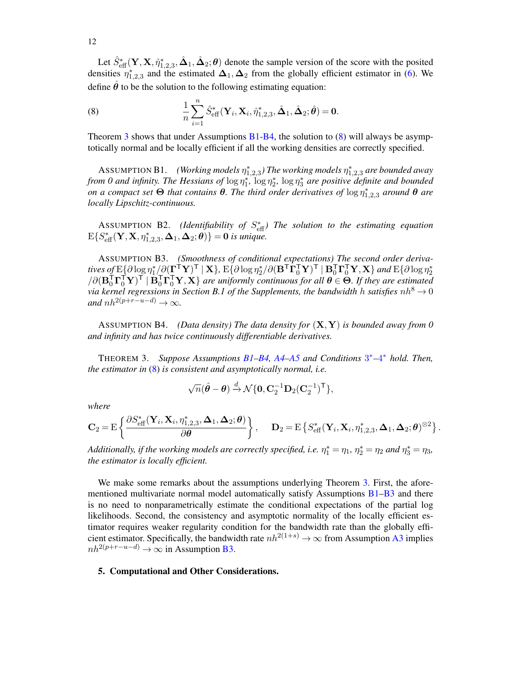Let  $\hat{S}_{\text{eff}}^*(\mathbf{Y}, \mathbf{X}, \hat{\eta}_{1,2,3}^*, \hat{\mathbf{\Delta}}_1, \hat{\mathbf{\Delta}}_2; \theta)$  denote the sample version of the score with the posited densities  $\eta_{1,2,3}^*$  and the estimated  $\Delta_1, \Delta_2$  from the globally efficient estimator in [\(6\)](#page-8-5). We define  $\hat{\theta}$  to be the solution to the following estimating equation:

<span id="page-11-4"></span>(8) 
$$
\frac{1}{n}\sum_{i=1}^{n}\hat{S}_{\text{eff}}^{*}(\mathbf{Y}_{i},\mathbf{X}_{i},\hat{\eta}_{1,2,3}^{*},\hat{\mathbf{\Delta}}_{1},\hat{\mathbf{\Delta}}_{2};\hat{\boldsymbol{\theta}})=\mathbf{0}.
$$

Theorem [3](#page-11-1) shows that under Assumptions  $B1-B4$  $B1-B4$ , the solution to [\(8\)](#page-11-4) will always be asymptotically normal and be locally efficient if all the working densities are correctly specified.

<span id="page-11-2"></span>**ASSUMPTION B1.** (Working models  $\eta_{1,2,3}^*$ ) The working models  $\eta_{1,2,3}^*$  are bounded away *from 0 and infinity. The Hessians of*  $\log \eta_1^*$ ,  $\log \eta_2^*$ ,  $\log \eta_3^*$  are positive definite and bounded *on a compact set*  $\Theta$  *that contains*  $\theta$ *. The third order derivatives of*  $\log \eta_{1,2,3}^*$  *around*  $\theta$  *are locally Lipschitz-continuous.*

ASSUMPTION B2. *(Identifiability of S*<sup>\*</sup><sub>eff</sub>) The solution to the estimating equation  $E\{S_{\text{eff}}^*(\mathbf{Y}, \mathbf{X}, \eta_{1,2,3}^*, \mathbf{\Delta}_1, \mathbf{\Delta}_2; \boldsymbol{\theta})\} = \mathbf{0}$  is unique.

<span id="page-11-5"></span>ASSUMPTION B3. *(Smoothness of conditional expectations) The second order deriva*tives of  $\mathrm{E}\!\left\{\partial \log\eta_1^*/\!\partial(\!\prod_\mathbf{r}^\mathsf{T}\mathbf{Y})^\mathsf{T}\mid \mathbf{X}\right\}\!,\,\mathrm{E}\!\left\{\partial \log\eta_2^*/\partial(\mathbf{B}^\mathsf{T}\mathbf{\Gamma}_0^\mathsf{T}\mathbf{Y})^\mathsf{T}\mid\mathbf{B}_0^\mathsf{T}\mathbf{\Gamma}_0^\mathsf{T}\mathbf{Y},\mathbf{X}\right\}$  and  $\mathrm{E}\!\left\{\partial \log\eta_2^*\right\}$  $\sqrt{\partial (\mathbf{B}_0^T \mathbf{\Gamma}_0^T \mathbf{Y})^T} \mid \mathbf{B}_0^T \mathbf{\Gamma}_0^T \mathbf{Y}, \mathbf{X} \}$  are uniformly continuous for all  $\boldsymbol{\theta} \in \mathbf{\Theta}$ . If they are estimated *via kernel regressions in Section B.1 of the Supplements, the bandwidth h satisfies*  $nh^8 \rightarrow 0$ *and*  $nh^{2(p+r-u-d)} \rightarrow \infty$ *.* 

<span id="page-11-3"></span>ASSUMPTION B4. *(Data density) The data density for* (X,Y) *is bounded away from 0 and infinity and has twice continuously differentiable derivatives.*

<span id="page-11-1"></span>THEOREM 3. *Suppose Assumptions [B1](#page-11-2)[–B4,](#page-11-3) [A4–](#page-8-6)[A5](#page-8-0) and Conditions* [3](#page-5-3) <sup>∗</sup>*–*[4](#page-5-4) <sup>∗</sup> *hold. Then, the estimator in* [\(8\)](#page-11-4) *is consistent and asymptotically normal, i.e.*

$$
\sqrt{n}(\hat{\boldsymbol{\theta}} - \boldsymbol{\theta}) \stackrel{d}{\rightarrow} \mathcal{N}\{\mathbf{0}, \mathbf{C}_2^{-1}\mathbf{D}_2(\mathbf{C}_2^{-1})^{\mathsf{T}}\},\
$$

*where*

$$
\mathbf{C}_2 = \mathrm{E}\left\{\frac{\partial S_{\text{eff}}^*(\mathbf{Y}_i,\mathbf{X}_i,\eta_{1,2,3}^*,\mathbf{\Delta}_1,\mathbf{\Delta}_2;\boldsymbol{\theta})}{\partial \boldsymbol{\theta}}\right\},\hspace{0.5cm}\mathbf{D}_2 = \mathrm{E}\left\{S_{\text{eff}}^*(\mathbf{Y}_i,\mathbf{X}_i,\eta_{1,2,3}^*,\mathbf{\Delta}_1,\mathbf{\Delta}_2;\boldsymbol{\theta})^{\otimes 2}\right\}.
$$

Additionally, if the working models are correctly specified, i.e.  $\eta_1^* = \eta_1$ ,  $\eta_2^* = \eta_2$  and  $\eta_3^* = \eta_3$ , *the estimator is locally efficient.*

We make some remarks about the assumptions underlying Theorem [3.](#page-11-1) First, the afore-mentioned multivariate normal model automatically satisfy Assumptions [B1–](#page-11-2)[B3](#page-11-5) and there is no need to nonparametrically estimate the conditional expectations of the partial log likelihoods. Second, the consistency and asymptotic normality of the locally efficient estimator requires weaker regularity condition for the bandwidth rate than the globally efficient estimator. Specifically, the bandwidth rate  $nh^{2(1+s)} \to \infty$  from Assumption [A3](#page-8-7) implies  $nh^{2(p+r-u-d)} \rightarrow \infty$  in Assumption [B3.](#page-11-5)

#### <span id="page-11-0"></span>5. Computational and Other Considerations.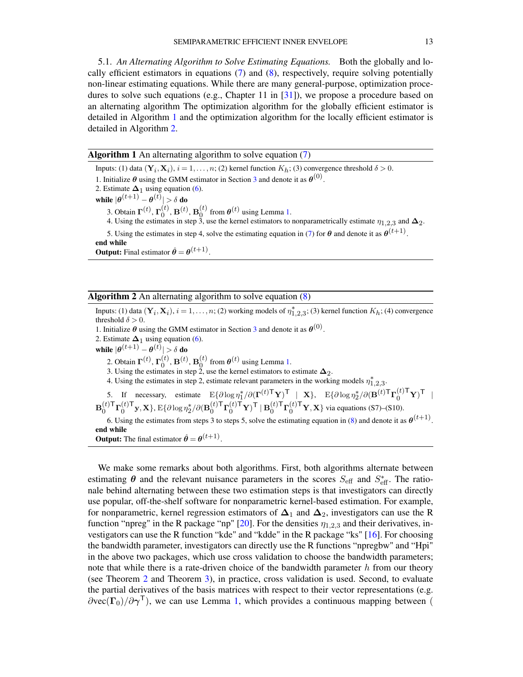5.1. *An Alternating Algorithm to Solve Estimating Equations.* Both the globally and locally efficient estimators in equations  $(7)$  and  $(8)$ , respectively, require solving potentially non-linear estimating equations. While there are many general-purpose, optimization proce-dures to solve such equations (e.g., Chapter 11 in [\[31\]](#page-41-8)), we propose a procedure based on an alternating algorithm The optimization algorithm for the globally efficient estimator is detailed in Algorithm [1](#page-12-0) and the optimization algorithm for the locally efficient estimator is detailed in Algorithm [2.](#page-12-1)

<span id="page-12-0"></span>Algorithm 1 An alternating algorithm to solve equation [\(7\)](#page-8-3)

Inputs: (1) data  $(Y_i, X_i)$ ,  $i = 1, ..., n$ ; (2) kernel function  $K_h$ ; (3) convergence threshold  $\delta > 0$ . 1. Initialize  $\theta$  using the GMM estimator in Section [3](#page-5-0) and denote it as  $\theta^{(0)}$ . 2. Estimate  $\Delta_1$  using equation [\(6\)](#page-8-5). while  $|\boldsymbol{\theta}^{(t+1)}-\boldsymbol{\theta}^{(t)}|>\delta$  do 3. Obtain  $\Gamma^{(t)}$ ,  $\Gamma^{(t)}_0$  $_0^{\left( t \right)}$ ,  $\mathbf{B}^{\left( t \right)}$ ,  $\mathbf{B}_0^{\left( t \right)}$  $\mathbf{0}^{(t)}$  from  $\boldsymbol{\theta}^{(t)}$  using Lemma [1.](#page-5-2) 4. Using the estimates in step 3, use the kernel estimators to nonparametrically estimate  $\eta_{1,2,3}$  and  $\Delta_2$ . 5. Using the estimates in step 4, solve the estimating equation in [\(7\)](#page-8-3) for  $\theta$  and denote it as  $\theta^{(t+1)}$ . end while

**Output:** Final estimator  $\hat{\theta} = \theta^{(t+1)}$ .

<span id="page-12-1"></span>

|  | <b>Algorithm 2</b> An alternating algorithm to solve equation $(8)$ |  |  |  |  |  |  |
|--|---------------------------------------------------------------------|--|--|--|--|--|--|
|--|---------------------------------------------------------------------|--|--|--|--|--|--|

Inputs: (1) data  $(\mathbf{Y}_i, \mathbf{X}_i)$ ,  $i = 1, ..., n$ ; (2) working models of  $\eta_{1,2,3}^*$ ; (3) kernel function  $K_h$ ; (4) convergence threshold  $\delta > 0$ . 1. Initialize  $\theta$  using the GMM estimator in Section [3](#page-5-0) and denote it as  $\theta^{(0)}$ . 2. Estimate  $\Delta_1$  using equation [\(6\)](#page-8-5). while  $|\boldsymbol{\theta}^{(t+1)}-\boldsymbol{\theta}^{(t)}|>\delta$  do 2. Obtain  $\Gamma^{(t)}$ ,  $\Gamma^{(t)}_0$  $\mathbf{B}^{(t)},\mathbf{B}^{(t)},\mathbf{B}^{(t)}_{0}$  $\mathbf{0}^{(t)}$  from  $\boldsymbol{\theta}^{(t)}$  using Lemma [1.](#page-5-2) 3. Using the estimates in step 2, use the kernel estimators to estimate  $\Delta_2$ . 4. Using the estimates in step 2, estimate relevant parameters in the working models  $\eta_{1,2,3}^*$ . 5. If necessary, estimate  $E\{\partial \log \eta_1^* / \partial (\mathbf{\Gamma}^{(t) \mathsf{T}} \mathbf{Y})^{\mathsf{T}} \mid \mathbf{X}\}, E\{\partial \log \eta_2^* / \partial (\mathbf{B}^{(t) \mathsf{T}} \mathbf{\Gamma}_0^{(t) \mathsf{T}} \mathbf{Y})^{\mathsf{T}}\}$  $\mathbf{B}_0^{(t)\mathsf{T}}$  $_{0}^{(t)\mathsf{T}}\mathbf{\Gamma}_{0}^{(t)\mathsf{T}}$  $_{0}^{(t)\mathsf{T}}$ y, X}, E{ $\partial \log \eta_{2}^{\ast }/\partial (\mathbf{B}_{0}^{(t)\mathsf{T}})$  $_{0}^{(t)\mathsf{T}}\mathbf{\Gamma}_{0}^{(t)\mathsf{T}}\mathbf{Y})^{\mathsf{T}}\mid\mathbf{B}_{0}^{(t)\mathsf{T}}$  $\binom{t}{0}^{\textsf{T}}\mathbf{\Gamma}_0^{(t)\textsf{T}}\mathbf{Y},\mathbf{X}$  via equations (S7)–(S10). 6. Using the estimates from steps 3 to steps 5, solve the estimating equation in [\(8\)](#page-11-4) and denote it as  $\theta^{(t+1)}$ . end while **Output:** The final estimator  $\hat{\theta} = \theta^{(t+1)}$ .

We make some remarks about both algorithms. First, both algorithms alternate between estimating  $\theta$  and the relevant nuisance parameters in the scores  $S_{\text{eff}}$  and  $S_{\text{eff}}^*$ . The rationale behind alternating between these two estimation steps is that investigators can directly use popular, off-the-shelf software for nonparametric kernel-based estimation. For example, for nonparametric, kernel regression estimators of  $\Delta_1$  and  $\Delta_2$ , investigators can use the R function "npreg" in the R package "np" [\[20\]](#page-39-7). For the densities  $\eta_{1,2,3}$  and their derivatives, investigators can use the R function "kde" and "kdde" in the R package "ks" [\[16\]](#page-39-8). For choosing the bandwidth parameter, investigators can directly use the R functions "npregbw" and "Hpi" in the above two packages, which use cross validation to choose the bandwidth parameters; note that while there is a rate-driven choice of the bandwidth parameter  $h$  from our theory (see Theorem [2](#page-8-1) and Theorem [3\)](#page-11-1), in practice, cross validation is used. Second, to evaluate the partial derivatives of the basis matrices with respect to their vector representations (e.g.  $\partial \text{vec}(\Gamma_0) / \partial \gamma^{\mathsf{T}}$ ), we can use Lemma [1,](#page-5-2) which provides a continuous mapping between (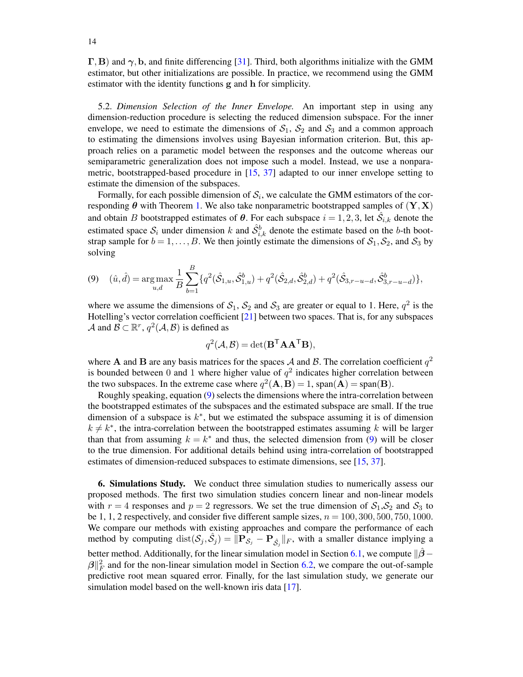$\Gamma$ , B) and  $\gamma$ , b, and finite differencing [\[31\]](#page-41-8). Third, both algorithms initialize with the GMM estimator, but other initializations are possible. In practice, we recommend using the GMM estimator with the identity functions g and h for simplicity.

<span id="page-13-1"></span>5.2. *Dimension Selection of the Inner Envelope.* An important step in using any dimension-reduction procedure is selecting the reduced dimension subspace. For the inner envelope, we need to estimate the dimensions of  $S_1$ ,  $S_2$  and  $S_3$  and a common approach to estimating the dimensions involves using Bayesian information criterion. But, this approach relies on a parametic model between the responses and the outcome whereas our semiparametric generalization does not impose such a model. Instead, we use a nonparametric, bootstrapped-based procedure in [\[15,](#page-39-9) [37\]](#page-41-9) adapted to our inner envelope setting to estimate the dimension of the subspaces.

Formally, for each possible dimension of  $S_i$ , we calculate the GMM estimators of the corresponding  $\theta$  with Theorem [1.](#page-6-1) We also take nonparametric bootstrapped samples of  $(Y, X)$ and obtain B bootstrapped estimates of  $\theta$ . For each subspace  $i = 1, 2, 3$ , let  $\hat{\mathcal{S}}_{i,k}$  denote the estimated space  $S_i$  under dimension k and  $\hat{S}_{i,k}^b$  denote the estimate based on the b-th bootstrap sample for  $b = 1, ..., B$ . We then jointly estimate the dimensions of  $S_1, S_2$ , and  $S_3$  by solving

<span id="page-13-2"></span>
$$
(9) \quad (\hat{u}, \hat{d}) = \underset{u,d}{\arg \max} \frac{1}{B} \sum_{b=1}^{B} \{ q^2(\hat{S}_{1,u}, \hat{S}_{1,u}^b) + q^2(\hat{S}_{2,d}, \hat{S}_{2,d}^b) + q^2(\hat{S}_{3,r-u-d}, \hat{S}_{3,r-u-d}^b) \},
$$

where we assume the dimensions of  $S_1$ ,  $S_2$  and  $S_3$  are greater or equal to 1. Here,  $q^2$  is the Hotelling's vector correlation coefficient [\[21\]](#page-40-6) between two spaces. That is, for any subspaces A and  $\mathcal{B} \subset \mathbb{R}^r$ ,  $q^2(\mathcal{A}, \mathcal{B})$  is defined as

$$
q^2(\mathcal{A}, \mathcal{B}) = \det(\mathbf{B}^{\mathsf{T}} \mathbf{A} \mathbf{A}^{\mathsf{T}} \mathbf{B}),
$$

where **A** and **B** are any basis matrices for the spaces A and B. The correlation coefficient  $q^2$ is bounded between 0 and 1 where higher value of  $q^2$  indicates higher correlation between the two subspaces. In the extreme case where  $q^2(A, B) = 1$ , span $(A) = \text{span}(B)$ .

Roughly speaking, equation [\(9\)](#page-13-2) selects the dimensions where the intra-correlation between the bootstrapped estimates of the subspaces and the estimated subspace are small. If the true dimension of a subspace is  $k^*$ , but we estimated the subspace assuming it is of dimension  $k \neq k^*$ , the intra-correlation between the bootstrapped estimates assuming k will be larger than that from assuming  $k = k^*$  and thus, the selected dimension from [\(9\)](#page-13-2) will be closer to the true dimension. For additional details behind using intra-correlation of bootstrapped estimates of dimension-reduced subspaces to estimate dimensions, see [\[15,](#page-39-9) [37\]](#page-41-9).

<span id="page-13-0"></span>6. Simulations Study. We conduct three simulation studies to numerically assess our proposed methods. The first two simulation studies concern linear and non-linear models with  $r = 4$  responses and  $p = 2$  regressors. We set the true dimension of  $S_1, S_2$  and  $S_3$  to be 1, 1, 2 respectively, and consider five different sample sizes,  $n = 100, 300, 500, 750, 1000$ . We compare our methods with existing approaches and compare the performance of each method by computing  $dist(S_j, \hat{S}_j) = ||\mathbf{P}_{\hat{S}_j} - \mathbf{P}_{\hat{S}_j}||_F$ , with a smaller distance implying a better method. Additionally, for the linear simulation model in Section [6.1,](#page-14-0) we compute  $\frac{1}{2}$ <sup>−</sup>  $\beta\|_F^2$  and for the non-linear simulation model in Section [6.2,](#page-15-0) we compare the out-of-sample predictive root mean squared error. Finally, for the last simulation study, we generate our simulation model based on the well-known iris data [\[17\]](#page-39-10).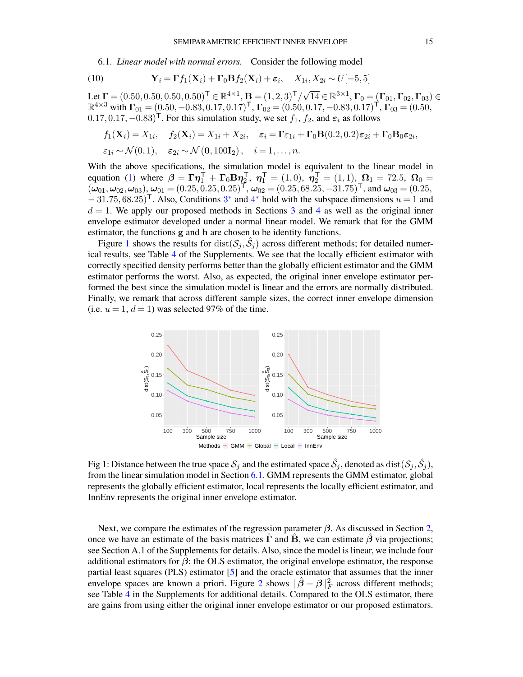<span id="page-14-0"></span>6.1. *Linear model with normal errors.* Consider the following model

<span id="page-14-2"></span>(10) 
$$
\mathbf{Y}_i = \mathbf{\Gamma} f_1(\mathbf{X}_i) + \mathbf{\Gamma}_0 \mathbf{B} f_2(\mathbf{X}_i) + \varepsilon_i, \quad X_{1i}, X_{2i} \sim U[-5, 5]
$$

Let  $\boldsymbol{\Gamma} = (0.50, 0.50, 0.50, 0.50)^{\mathsf{T}} \in \mathbb{R}^{4 \times 1}$ ,  $\mathbf{B} = (1, 2, 3)^{\mathsf{T}} / \sqrt{14} \in \mathbb{R}^{3 \times 1}$ ,  $\boldsymbol{\Gamma}_0 = (\boldsymbol{\Gamma}_{01}, \boldsymbol{\Gamma}_{02}, \boldsymbol{\Gamma}_{03}) \in$  $\mathbb{R}^{4 \times 3}$  with  $\mathbf{\Gamma}_{01} = (0.50, -0.83, 0.17, 0.17)^{\mathsf{T}}$ ,  $\mathbf{\Gamma}_{02} = (0.50, 0.17, -0.83, 0.17)^{\mathsf{T}}$ ,  $\mathbf{\Gamma}_{03} = (0.50,$  $(0.17, 0.17, -0.83)$ <sup>T</sup>. For this simulation study, we set  $f_1$ ,  $f_2$ , and  $\varepsilon_i$  as follows

$$
f_1(\mathbf{X}_i) = X_{1i}, \quad f_2(\mathbf{X}_i) = X_{1i} + X_{2i}, \quad \varepsilon_i = \Gamma \varepsilon_{1i} + \Gamma_0 \mathbf{B}(0.2, 0.2) \varepsilon_{2i} + \Gamma_0 \mathbf{B}_0 \varepsilon_{2i},
$$
  

$$
\varepsilon_{1i} \sim \mathcal{N}(0, 1), \quad \varepsilon_{2i} \sim \mathcal{N}(\mathbf{0}, 100\mathbf{I}_2), \quad i = 1, ..., n.
$$

With the above specifications, the simulation model is equivalent to the linear model in equation [\(1\)](#page-0-2) where  $\beta = \Gamma \eta_1^{\top} + \Gamma_0 \mathbf{B} \eta_2^{\top}$ ,  $\eta_1^{\top} = (1,0)$ ,  $\eta_2^{\top} = (1,1)$ ,  $\Omega_1 = 72.5$ ,  $\Omega_0 =$  $(\omega_{01}, \omega_{02}, \omega_{03}), \omega_{01} = (0.25, 0.25, 0.25)^{\top}, \omega_{02} = (0.25, 68.25, -31.75)^{\top}, \text{ and } \omega_{03} = (0.25, 0.25)^{\top}, \omega_{04} = (0.25, 0.25)^{\top}, \omega_{05} = (0.25, 0.25)^{\top}$  $-31.75,68.25$  $-31.75,68.25$  $-31.75,68.25$ <sup>T</sup>. Also, Conditions 3<sup>\*</sup> and [4](#page-5-4)<sup>\*</sup> hold with the subspace dimensions  $u = 1$  and  $d = 1$ . We apply our proposed methods in Sections [3](#page-5-0) and [4](#page-7-0) as well as the original inner envelope estimator developed under a normal linear model. We remark that for the GMM estimator, the functions g and h are chosen to be identity functions.

Figure [1](#page-14-1) shows the results for  $dist(\mathcal{S}_j, \hat{\mathcal{S}}_j)$  across different methods; for detailed numerical results, see Table [4](#page-37-3) of the Supplements. We see that the locally efficient estimator with correctly specified density performs better than the globally efficient estimator and the GMM estimator performs the worst. Also, as expected, the original inner envelope estimator performed the best since the simulation model is linear and the errors are normally distributed. Finally, we remark that across different sample sizes, the correct inner envelope dimension (i.e.  $u = 1$ ,  $d = 1$ ) was selected 97% of the time.

<span id="page-14-1"></span>

Fig 1: Distance between the true space  $\mathcal{S}_j$  and the estimated space  $\hat{\mathcal{S}}_j$ , denoted as  $\text{dist}(\mathcal{S}_j,\hat{\mathcal{S}}_j),$ from the linear simulation model in Section [6.1.](#page-14-0) GMM represents the GMM estimator, global represents the globally efficient estimator, local represents the locally efficient estimator, and InnEnv represents the original inner envelope estimator.

Next, we compare the estimates of the regression parameter  $\beta$ . As discussed in Section [2,](#page-2-0) once we have an estimate of the basis matrices  $\Gamma$  and  $\bar{B}$ , we can estimate  $\beta$  via projections; see Section A.1 of the Supplements for details. Also, since the model is linear, we include four additional estimators for  $\beta$ : the OLS estimator, the original envelope estimator, the response partial least squares (PLS) estimator [\[5\]](#page-38-2) and the oracle estimator that assumes that the inner envelope spaces are known a priori. Figure [2](#page-15-1) shows  $\|\hat{\beta} - \beta\|_F^2$  across different methods; see Table [4](#page-37-3) in the Supplements for additional details. Compared to the OLS estimator, there are gains from using either the original inner envelope estimator or our proposed estimators.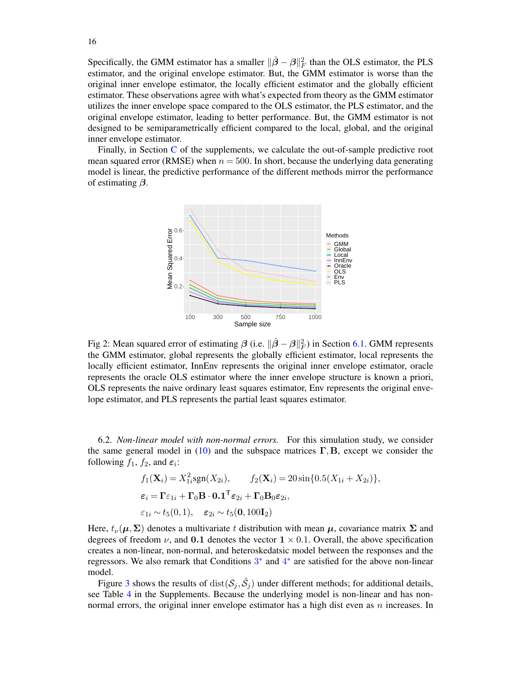Specifically, the GMM estimator has a smaller  $\|\hat{\beta} - \beta\|_F^2$  than the OLS estimator, the PLS estimator, and the original envelope estimator. But, the GMM estimator is worse than the original inner envelope estimator, the locally efficient estimator and the globally efficient estimator. These observations agree with what's expected from theory as the GMM estimator utilizes the inner envelope space compared to the OLS estimator, the PLS estimator, and the original envelope estimator, leading to better performance. But, the GMM estimator is not designed to be semiparametrically efficient compared to the local, global, and the original inner envelope estimator.

<span id="page-15-1"></span>Finally, in Section [C](#page-37-4) of the supplements, we calculate the out-of-sample predictive root mean squared error (RMSE) when  $n = 500$ . In short, because the underlying data generating model is linear, the predictive performance of the different methods mirror the performance of estimating  $\beta$ .



Fig 2: Mean squared error of estimating  $\beta$  (i.e.  $\|\hat{\beta} - \beta\|_F^2$ ) in Section [6.1.](#page-14-0) GMM represents the GMM estimator, global represents the globally efficient estimator, local represents the locally efficient estimator, InnEnv represents the original inner envelope estimator, oracle represents the oracle OLS estimator where the inner envelope structure is known a priori, OLS represents the naive ordinary least squares estimator, Env represents the original envelope estimator, and PLS represents the partial least squares estimator.

<span id="page-15-0"></span>6.2. *Non-linear model with non-normal errors.* For this simulation study, we consider the same general model in [\(10\)](#page-14-2) and the subspace matrices  $\Gamma$ , B, except we consider the following  $f_1$ ,  $f_2$ , and  $\varepsilon_i$ :

$$
f_1(\mathbf{X}_i) = X_{1i}^2 \text{sgn}(X_{2i}), \qquad f_2(\mathbf{X}_i) = 20 \sin\{0.5(X_{1i} + X_{2i})\},
$$
  
\n
$$
\varepsilon_i = \Gamma \varepsilon_{1i} + \Gamma_0 \mathbf{B} \cdot \mathbf{0.1}^\top \varepsilon_{2i} + \Gamma_0 \mathbf{B}_0 \varepsilon_{2i},
$$
  
\n
$$
\varepsilon_{1i} \sim t_5(0, 1), \quad \varepsilon_{2i} \sim t_5(\mathbf{0}, 100\mathbf{I}_2)
$$

Here,  $t_{\nu}(\mu, \Sigma)$  denotes a multivariate t distribution with mean  $\mu$ , covariance matrix  $\Sigma$  and degrees of freedom  $\nu$ , and 0.1 denotes the vector  $1 \times 0.1$ . Overall, the above specification creates a non-linear, non-normal, and heteroskedatsic model between the responses and the regressors. We also remark that Conditions  $3^*$  $3^*$  and  $4^*$  $4^*$  are satisfied for the above non-linear model.

Figure [3](#page-16-0) shows the results of  $dist(\mathcal{S}_j, \hat{\mathcal{S}}_j)$  under different methods; for additional details, see Table [4](#page-37-3) in the Supplements. Because the underlying model is non-linear and has nonnormal errors, the original inner envelope estimator has a high dist even as  $n$  increases. In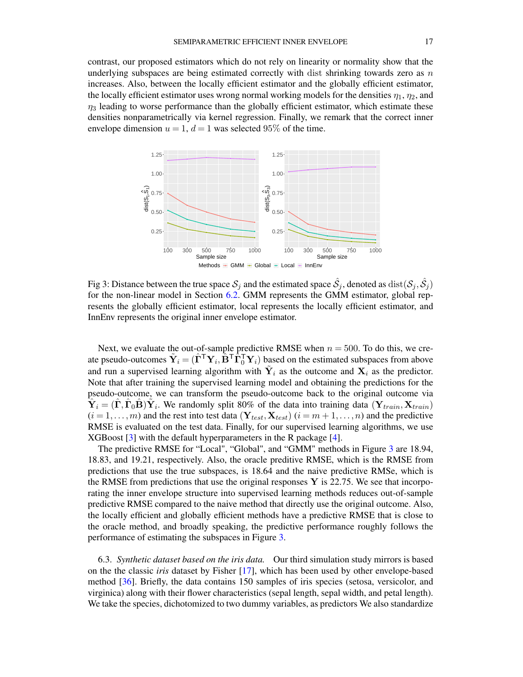contrast, our proposed estimators which do not rely on linearity or normality show that the underlying subspaces are being estimated correctly with dist shrinking towards zero as  $n$ increases. Also, between the locally efficient estimator and the globally efficient estimator, the locally efficient estimator uses wrong normal working models for the densities  $\eta_1$ ,  $\eta_2$ , and  $\eta_3$  leading to worse performance than the globally efficient estimator, which estimate these densities nonparametrically via kernel regression. Finally, we remark that the correct inner envelope dimension  $u = 1$ ,  $d = 1$  was selected 95% of the time.

<span id="page-16-0"></span>

Fig 3: Distance between the true space  $\mathcal{S}_j$  and the estimated space  $\hat{\mathcal{S}}_j$ , denoted as  $\text{dist}(\mathcal{S}_j, \hat{\mathcal{S}}_j)$ for the non-linear model in Section [6.2.](#page-15-0) GMM represents the GMM estimator, global represents the globally efficient estimator, local represents the locally efficient estimator, and InnEnv represents the original inner envelope estimator.

Next, we evaluate the out-of-sample predictive RMSE when  $n = 500$ . To do this, we create pseudo-outcomes  $\tilde{\bf Y}_i=(\hat{\bf \Gamma}^\mathsf{T}{\bf Y}_i,\hat{\bf B}^\mathsf{T}\hat{\bf \Gamma}_0^\mathsf{T}{\bf Y}_i)$  based on the estimated subspaces from above and run a supervised learning algorithm with  $\tilde{Y}_i$  as the outcome and  $X_i$  as the predictor. Note that after training the supervised learning model and obtaining the predictions for the pseudo-outcome, we can transform the pseudo-outcome back to the original outcome via  $\hat{\mathbf{Y}}_i = (\hat{\mathbf{\Gamma}}, \hat{\mathbf{\Gamma}}_0 \hat{\mathbf{B}}) \tilde{\mathbf{Y}}_i$ . We randomly split 80% of the data into training data  $(\mathbf{Y}_{train}, \mathbf{X}_{train})$  $(i = 1, \ldots, m)$  and the rest into test data  $(Y_{test}, X_{test})$   $(i = m+1, \ldots, n)$  and the predictive RMSE is evaluated on the test data. Finally, for our supervised learning algorithms, we use XGBoost [\[3\]](#page-37-5) with the default hyperparameters in the R package [\[4\]](#page-37-0).

The predictive RMSE for "Local", "Global", and "GMM" methods in Figure [3](#page-16-0) are 18.94, 18.83, and 19.21, respectively. Also, the oracle preditive RMSE, which is the RMSE from predictions that use the true subspaces, is 18.64 and the naive predictive RMSe, which is the RMSE from predictions that use the original responses Y is 22.75. We see that incorporating the inner envelope structure into supervised learning methods reduces out-of-sample predictive RMSE compared to the naive method that directly use the original outcome. Also, the locally efficient and globally efficient methods have a predictive RMSE that is close to the oracle method, and broadly speaking, the predictive performance roughly follows the performance of estimating the subspaces in Figure [3.](#page-16-0)

6.3. *Synthetic dataset based on the iris data.* Our third simulation study mirrors is based on the the classic *iris* dataset by Fisher [\[17\]](#page-39-10), which has been used by other envelope-based method [\[36\]](#page-41-0). Briefly, the data contains 150 samples of iris species (setosa, versicolor, and virginica) along with their flower characteristics (sepal length, sepal width, and petal length). We take the species, dichotomized to two dummy variables, as predictors We also standardize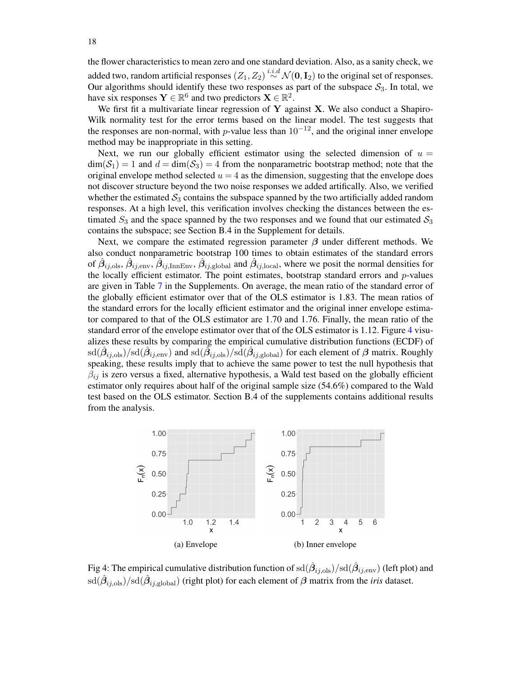the flower characteristics to mean zero and one standard deviation. Also, as a sanity check, we added two, random artificial responses  $(Z_1, Z_2) \stackrel{i.i.d}{\sim} \mathcal{N}(\mathbf{0}, \mathbf{I}_2)$  to the original set of responses. Our algorithms should identify these two responses as part of the subspace  $S_3$ . In total, we have six responses  $\mathbf{Y} \in \mathbb{R}^6$  and two predictors  $\mathbf{X} \in \mathbb{R}^2$ .

We first fit a multivariate linear regression of Y against X. We also conduct a Shapiro-Wilk normality test for the error terms based on the linear model. The test suggests that the responses are non-normal, with p-value less than  $10^{-12}$ , and the original inner envelope method may be inappropriate in this setting.

Next, we run our globally efficient estimator using the selected dimension of  $u =$  $\dim(S_1) = 1$  and  $d = \dim(S_3) = 4$  from the nonparametric bootstrap method; note that the original envelope method selected  $u = 4$  as the dimension, suggesting that the envelope does not discover structure beyond the two noise responses we added artifically. Also, we verified whether the estimated  $S_3$  contains the subspace spanned by the two artificially added random responses. At a high level, this verification involves checking the distances between the estimated  $S_3$  and the space spanned by the two responses and we found that our estimated  $S_3$ contains the subspace; see Section B.4 in the Supplement for details.

Next, we compare the estimated regression parameter  $\beta$  under different methods. We also conduct nonparametric bootstrap 100 times to obtain estimates of the standard errors of  $\hat{\beta}_{ij,ols}, \hat{\beta}_{ij,env}, \hat{\beta}_{ij,InnEnv}, \hat{\beta}_{ij,global}$  and  $\hat{\beta}_{ij,local}$ , where we posit the normal densities for the locally efficient estimator. The point estimates, bootstrap standard errors and  $p$ -values are given in Table [7](#page-38-3) in the Supplements. On average, the mean ratio of the standard error of the globally efficient estimator over that of the OLS estimator is 1.83. The mean ratios of the standard errors for the locally efficient estimator and the original inner envelope estimator compared to that of the OLS estimator are 1.70 and 1.76. Finally, the mean ratio of the standard error of the envelope estimator over that of the OLS estimator is 1.12. Figure [4](#page-17-0) visualizes these results by comparing the empirical cumulative distribution functions (ECDF) of  $sd(\hat{\beta}_{ij,ols})/sd(\hat{\beta}_{ij, env})$  and  $sd(\tilde{\beta}_{ij,ols})/sd(\hat{\beta}_{ij, global})$  for each element of  $\beta$  matrix. Roughly speaking, these results imply that to achieve the same power to test the null hypothesis that  $\beta_{ij}$  is zero versus a fixed, alternative hypothesis, a Wald test based on the globally efficient estimator only requires about half of the original sample size (54.6%) compared to the Wald test based on the OLS estimator. Section B.4 of the supplements contains additional results from the analysis.

<span id="page-17-0"></span>

Fig 4: The empirical cumulative distribution function of  $\mathrm{sd}(\hat{\beta}_{ij, \mathrm{ols}})/\mathrm{sd}(\hat{\beta}_{ij, \mathrm{env}})$  (left plot) and  $sd(\hat{\beta}_{ij,ols})/sd(\hat{\beta}_{ij,global})$  (right plot) for each element of  $\beta$  matrix from the *iris* dataset.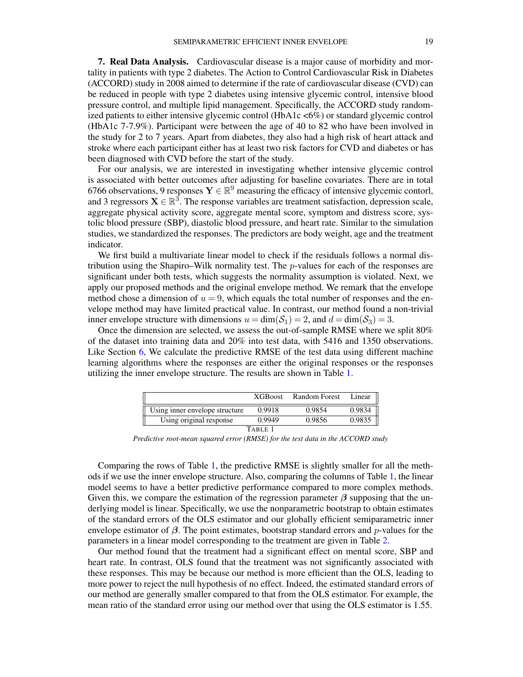<span id="page-18-0"></span>7. Real Data Analysis. Cardiovascular disease is a major cause of morbidity and mortality in patients with type 2 diabetes. The Action to Control Cardiovascular Risk in Diabetes (ACCORD) study in 2008 aimed to determine if the rate of cardiovascular disease (CVD) can be reduced in people with type 2 diabetes using intensive glycemic control, intensive blood pressure control, and multiple lipid management. Specifically, the ACCORD study randomized patients to either intensive glycemic control (HbA1c <6%) or standard glycemic control (HbA1c 7-7.9%). Participant were between the age of 40 to 82 who have been involved in the study for 2 to 7 years. Apart from diabetes, they also had a high risk of heart attack and stroke where each participant either has at least two risk factors for CVD and diabetes or has been diagnosed with CVD before the start of the study.

For our analysis, we are interested in investigating whether intensive glycemic control is associated with better outcomes after adjusting for baseline covariates. There are in total 6766 observations, 9 responses  $Y \in \mathbb{R}^9$  measuring the efficacy of intensive glycemic contorl, and 3 regressors  $X \in \mathbb{R}^3$ . The response variables are treatment satisfaction, depression scale, aggregate physical activity score, aggregate mental score, symptom and distress score, systolic blood pressure (SBP), diastolic blood pressure, and heart rate. Similar to the simulation studies, we standardized the responses. The predictors are body weight, age and the treatment indicator.

We first build a multivariate linear model to check if the residuals follows a normal distribution using the Shapiro–Wilk normality test. The p-values for each of the responses are significant under both tests, which suggests the normality assumption is violated. Next, we apply our proposed methods and the original envelope method. We remark that the envelope method chose a dimension of  $u = 9$ , which equals the total number of responses and the envelope method may have limited practical value. In contrast, our method found a non-trivial inner envelope structure with dimensions  $u = \dim(S_1) = 2$ , and  $d = \dim(S_3) = 3$ .

Once the dimension are selected, we assess the out-of-sample RMSE where we split 80% of the dataset into training data and 20% into test data, with 5416 and 1350 observations. Like Section [6,](#page-13-0) We calculate the predictive RMSE of the test data using different machine learning algorithms where the responses are either the original responses or the responses utilizing the inner envelope structure. The results are shown in Table [1.](#page-18-1)

<span id="page-18-1"></span>

|                                | <b>XGBoost</b> | <b>Random Forest</b> | Linear |  |  |  |  |
|--------------------------------|----------------|----------------------|--------|--|--|--|--|
| Using inner envelope structure | 0.9918         | 0.9854               | 0.9834 |  |  |  |  |
| Using original response        | 0.9949         | 0.9856               | 0.9835 |  |  |  |  |
| TABLE 1                        |                |                      |        |  |  |  |  |

*Predictive root-mean squared error (RMSE) for the test data in the ACCORD study*

Comparing the rows of Table [1,](#page-18-1) the predictive RMSE is slightly smaller for all the methods if we use the inner envelope structure. Also, comparing the columns of Table [1,](#page-18-1) the linear model seems to have a better predictive performance compared to more complex methods. Given this, we compare the estimation of the regression parameter  $\beta$  supposing that the underlying model is linear. Specifically, we use the nonparametric bootstrap to obtain estimates of the standard errors of the OLS estimator and our globally efficient semiparametric inner envelope estimator of  $\beta$ . The point estimates, bootstrap standard errors and p-values for the parameters in a linear model corresponding to the treatment are given in Table [2.](#page-19-1)

Our method found that the treatment had a significant effect on mental score, SBP and heart rate. In contrast, OLS found that the treatment was not significantly associated with these responses. This may be because our method is more efficient than the OLS, leading to more power to reject the null hypothesis of no effect. Indeed, the estimated standard errors of our method are generally smaller compared to that from the OLS estimator. For example, the mean ratio of the standard error using our method over that using the OLS estimator is 1.55.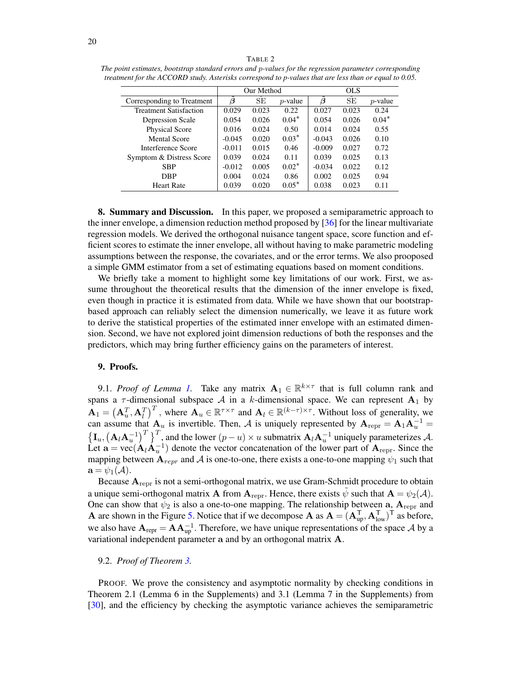<span id="page-19-1"></span>

|                               | Our Method |       |            |          |       |            |
|-------------------------------|------------|-------|------------|----------|-------|------------|
| Corresponding to Treatment    | $\beta$    | SE    | $p$ -value | $\beta$  | SE    | $p$ -value |
| <b>Treatment Satisfaction</b> | 0.029      | 0.023 | 0.22       | 0.027    | 0.023 | 0.24       |
| Depression Scale              | 0.054      | 0.026 | $0.04*$    | 0.054    | 0.026 | $0.04*$    |
| Physical Score                | 0.016      | 0.024 | 0.50       | 0.014    | 0.024 | 0.55       |
| <b>Mental Score</b>           | $-0.045$   | 0.020 | $0.03*$    | $-0.043$ | 0.026 | 0.10       |
| Interference Score            | $-0.011$   | 0.015 | 0.46       | $-0.009$ | 0.027 | 0.72       |
| Symptom & Distress Score      | 0.039      | 0.024 | 0.11       | 0.039    | 0.025 | 0.13       |
| <b>SBP</b>                    | $-0.012$   | 0.005 | $0.02*$    | $-0.034$ | 0.022 | 0.12       |
| <b>DBP</b>                    | 0.004      | 0.024 | 0.86       | 0.002    | 0.025 | 0.94       |
| <b>Heart Rate</b>             | 0.039      | 0.020 | $0.05*$    | 0.038    | 0.023 | 0.11       |

8. Summary and Discussion. In this paper, we proposed a semiparametric approach to the inner envelope, a dimension reduction method proposed by [\[36\]](#page-41-0) for the linear multivariate regression models. We derived the orthogonal nuisance tangent space, score function and efficient scores to estimate the inner envelope, all without having to make parametric modeling assumptions between the response, the covariates, and or the error terms. We also prooposed a simple GMM estimator from a set of estimating equations based on moment conditions.

We briefly take a moment to highlight some key limitations of our work. First, we assume throughout the theoretical results that the dimension of the inner envelope is fixed, even though in practice it is estimated from data. While we have shown that our bootstrapbased approach can reliably select the dimension numerically, we leave it as future work to derive the statistical properties of the estimated inner envelope with an estimated dimension. Second, we have not explored joint dimension reductions of both the responses and the predictors, which may bring further efficiency gains on the parameters of interest.

## <span id="page-19-0"></span>9. Proofs.

9.[1.](#page-5-2) *Proof of Lemma 1*. Take any matrix  $A_1 \in \mathbb{R}^{k \times \tau}$  that is full column rank and spans a  $\tau$ -dimensional subspace A in a k-dimensional space. We can represent A<sub>1</sub> by  $\mathbf{A}_1 = \left(\mathbf{A}_u^T, \mathbf{A}_l^T\right)^T$ , where  $\mathbf{A}_u \in \mathbb{R}^{\tau \times \tau}$  and  $\mathbf{A}_l \in \mathbb{R}^{(k-\tau)\times \tau}$ . Without loss of generality, we can assume that  $A_u$  is invertible. Then, A is uniquely represented by  $A_{\text{repr}} = A_1 A_u^{-1} =$  $\left\{\mathbf{I}_u, \left(\mathbf{A}_l\mathbf{A}_u^{-1}\right)^T\right\}^T$ , and the lower  $(p-u)\times u$  submatrix  $\mathbf{A}_l\mathbf{A}_u^{-1}$  uniquely parameterizes A. Let  $\mathbf{a} = \text{vec}(\mathbf{A}_l \mathbf{A}_u^{-1})$  denote the vector concatenation of the lower part of  $\mathbf{A}_{\text{repr}}$ . Since the mapping between  $A_{repr}$  and A is one-to-one, there exists a one-to-one mapping  $\psi_1$  such that  $\mathbf{a} = \psi_1(\mathcal{A}).$ 

Because  $A_{\text{repr}}$  is not a semi-orthogonal matrix, we use Gram-Schmidt procedure to obtain a unique semi-orthogonal matrix **A** from  $A_{\text{reor}}$ . Hence, there exists  $\tilde{\psi}$  such that  $A = \psi_2(A)$ . One can show that  $\psi_2$  is also a one-to-one mapping. The relationship between a,  $A_{\text{repr}}$  and **A** are shown in the Figure [5.](#page-20-0) Notice that if we decompose **A** as  $A = (A_{up}^T, A_{low}^T)^T$  as before, we also have  $\mathbf{A}_{\text{repr}} = \mathbf{A} \mathbf{A}_{\text{up}}^{-1}$ . Therefore, we have unique representations of the space A by a variational independent parameter a and by an orthogonal matrix A.

#### 9.2. *Proof of Theorem [3.](#page-11-1)*

PROOF. We prove the consistency and asymptotic normality by checking conditions in Theorem 2.1 (Lemma 6 in the Supplements) and 3.1 (Lemma 7 in the Supplements) from [\[30\]](#page-41-7), and the efficiency by checking the asymptotic variance achieves the semiparametric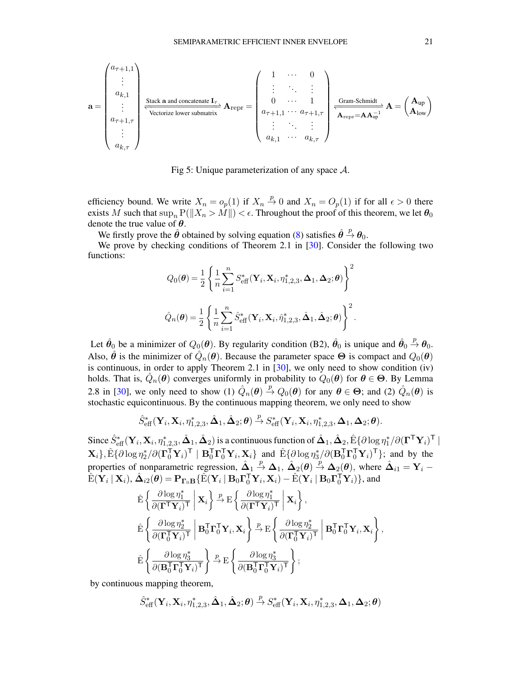<span id="page-20-0"></span>
$$
\mathbf{a} = \begin{pmatrix} a_{\tau+1,1} \\ \vdots \\ a_{k,1} \\ \vdots \\ a_{\tau+1,\tau} \\ \vdots \\ a_{k,\tau} \end{pmatrix} \xrightarrow{\text{Stack } \mathbf{a} \text{ and concatenate } \mathbf{I}_{\tau}} \mathbf{A}_{\text{repr}} = \begin{pmatrix} 1 & \cdots & 0 \\ \vdots & \ddots & \vdots \\ 0 & \cdots & 1 \\ a_{\tau+1,1} & \cdots & a_{\tau+1,\tau} \\ \vdots & \ddots & \vdots \\ a_{k,1} & \cdots & a_{k,\tau} \end{pmatrix} \xrightarrow{\text{Gram-Schmidt}} \mathbf{A} = \begin{pmatrix} \mathbf{A}_{\text{up}} \\ \mathbf{A}_{\text{low}} \end{pmatrix}
$$

Fig 5: Unique parameterization of any space  $A$ .

efficiency bound. We write  $X_n = o_p(1)$  if  $X_n \stackrel{p}{\rightarrow} 0$  and  $X_n = O_p(1)$  if for all  $\epsilon > 0$  there exists M such that  $\sup_n P(||X_n > M||) < \epsilon$ . Throughout the proof of this theorem, we let  $\theta_0$ denote the true value of  $\theta$ .

We firstly prove the  $\hat{\theta}$  obtained by solving equation [\(8\)](#page-11-4) satisfies  $\hat{\theta} \stackrel{p}{\rightarrow} \theta_0$ .

We prove by checking conditions of Theorem 2.1 in [\[30\]](#page-41-7). Consider the following two functions:

$$
Q_0(\boldsymbol{\theta}) = \frac{1}{2} \left\{ \frac{1}{n} \sum_{i=1}^n S_{\text{eff}}^*(\mathbf{Y}_i, \mathbf{X}_i, \eta_{1,2,3}^*, \boldsymbol{\Delta}_1, \boldsymbol{\Delta}_2; \boldsymbol{\theta}) \right\}^2
$$
  

$$
\hat{Q}_n(\boldsymbol{\theta}) = \frac{1}{2} \left\{ \frac{1}{n} \sum_{i=1}^n \hat{S}_{\text{eff}}^*(\mathbf{Y}_i, \mathbf{X}_i, \hat{\eta}_{1,2,3}^*, \hat{\boldsymbol{\Delta}}_1, \hat{\boldsymbol{\Delta}}_2; \boldsymbol{\theta}) \right\}^2.
$$

Let  $\hat{\theta}_0$  be a minimizer of  $Q_0(\theta)$ . By regularity condition (B2),  $\hat{\theta}_0$  is unique and  $\hat{\theta}_0 \stackrel{p}{\rightarrow} \theta_0$ . Also,  $\hat{\theta}$  is the minimizer of  $\hat{Q}_n(\theta)$ . Because the parameter space  $\Theta$  is compact and  $Q_0(\theta)$ is continuous, in order to apply Theorem 2.1 in [\[30\]](#page-41-7), we only need to show condition (iv) holds. That is,  $\hat{Q}_n(\theta)$  converges uniformly in probability to  $Q_0(\theta)$  for  $\theta \in \Theta$ . By Lemma 2.8 in [\[30\]](#page-41-7), we only need to show (1)  $\hat{Q}_n(\theta) \stackrel{p}{\rightarrow} Q_0(\theta)$  for any  $\theta \in \Theta$ ; and (2)  $\hat{Q}_n(\theta)$  is stochastic equicontinuous. By the continuous mapping theorem, we only need to show

$$
\hat{S}_{\text{eff}}^*(\mathbf{Y}_i,\mathbf{X}_i,\eta_{1,2,3}^*,\hat{\boldsymbol{\Delta}}_1,\hat{\boldsymbol{\Delta}}_2;\boldsymbol{\theta})\overset{p}{\rightarrow}S_{\text{eff}}^*(\mathbf{Y}_i,\mathbf{X}_i,\eta_{1,2,3}^*,\boldsymbol{\Delta}_1,\boldsymbol{\Delta}_2;\boldsymbol{\theta}).
$$

Since  $\hat{S}^*_{\text{eff}}(\mathbf{Y}_i,\mathbf{X}_i,\eta^*_{1,2,3},\hat{\bm{\Delta}}_1,\hat{\bm{\Delta}}_2)$  is a continuous function of  $\hat{\bm{\Delta}}_1,\hat{\bm{\Delta}}_2,\hat{\bm{\mathrm{E}}} \{\partial \log \eta^*_1/\partial (\bm{\Gamma}^\mathsf{T}\mathbf{Y}_i)^\mathsf{T} \mid$  $\mathbf{X}_{i}$ },  $\hat{\mathrm{E}}\{\partial \log \eta_{2}^{*}/\partial(\boldsymbol{\Gamma}_{0}^{\mathsf{T}}\mathbf{Y}_{i})^{\mathsf{T}} \mid \mathbf{B}_{0}^{\mathsf{T}}\boldsymbol{\Gamma}_{0}^{\mathsf{T}}\mathbf{Y}_{i}, \mathbf{X}_{i}\}$  and  $\hat{\mathrm{E}}\{\partial \log \eta_{3}^{*}/\partial(\mathbf{B}_{0}^{\mathsf{T}}\boldsymbol{\Gamma}_{0}^{\mathsf{T}}\mathbf{Y}_{i})^{\mathsf{T}}\}$ ; and by the properties of nonparametric regression,  $\hat{\Delta}_1 \stackrel{p}{\rightarrow} \Delta_1$ ,  $\hat{\Delta}_2(\theta) \stackrel{p}{\rightarrow} \Delta_2(\theta)$ , where  $\hat{\Delta}_{i1} = Y_i$  $\hat{\mathrm{E}}(\mathbf{Y}_i\mid \mathbf{X}_i), \hat{\boldsymbol{\Delta}}_{i2}(\boldsymbol{\theta}) = \mathbf{P}_{\boldsymbol{\Gamma}_0 \mathbf{B}} \{\hat{\mathrm{E}}(\mathbf{Y}_i\mid \mathbf{B}_0\boldsymbol{\Gamma}_0^\mathsf{T}\mathbf{Y}_i, \mathbf{X}_i) - \hat{\mathrm{E}}(\mathbf{Y}_i\mid \mathbf{B}_0\boldsymbol{\Gamma}_0^\mathsf{T}\mathbf{Y}_i)\},$  and

$$
\hat{\mathbf{E}}\left\{\frac{\partial \log \eta_1^*}{\partial (\mathbf{\Gamma}^\mathsf{T} \mathbf{Y}_i)^\mathsf{T}} \Bigg| \mathbf{X}_i\right\} \xrightarrow{p} \mathbf{E}\left\{\frac{\partial \log \eta_1^*}{\partial (\mathbf{\Gamma}^\mathsf{T} \mathbf{Y}_i)^\mathsf{T}} \Bigg| \mathbf{X}_i\right\},\
$$
\n
$$
\hat{\mathbf{E}}\left\{\frac{\partial \log \eta_2^*}{\partial (\mathbf{\Gamma}_0^\mathsf{T} \mathbf{Y}_i)^\mathsf{T}} \Bigg| \mathbf{B}_0^\mathsf{T} \mathbf{\Gamma}_0^\mathsf{T} \mathbf{Y}_i, \mathbf{X}_i\right\} \xrightarrow{p} \mathbf{E}\left\{\frac{\partial \log \eta_2^*}{\partial (\mathbf{\Gamma}_0^\mathsf{T} \mathbf{Y}_i)^\mathsf{T}} \Bigg| \mathbf{B}_0^\mathsf{T} \mathbf{\Gamma}_0^\mathsf{T} \mathbf{Y}_i, \mathbf{X}_i\right\},\
$$
\n
$$
\hat{\mathbf{E}}\left\{\frac{\partial \log \eta_3^*}{\partial (\mathbf{B}_0^\mathsf{T} \mathbf{\Gamma}_0^\mathsf{T} \mathbf{Y}_i)^\mathsf{T}}\right\} \xrightarrow{p} \mathbf{E}\left\{\frac{\partial \log \eta_3^*}{\partial (\mathbf{B}_0^\mathsf{T} \mathbf{\Gamma}_0^\mathsf{T} \mathbf{Y}_i)^\mathsf{T}}\right\};
$$

by continuous mapping theorem,

$$
\hat{S}_{\rm eff}^*(\mathbf Y_i,\mathbf X_i,\eta_{1,2,3}^*,\hat{\boldsymbol \Delta}_1,\hat{\boldsymbol \Delta}_2;\boldsymbol \theta)\stackrel{p}{\rightarrow}S_{\rm eff}^*(\mathbf Y_i,\mathbf X_i,\eta_{1,2,3}^*,\boldsymbol \Delta_1,\boldsymbol \Delta_2;\boldsymbol \theta)
$$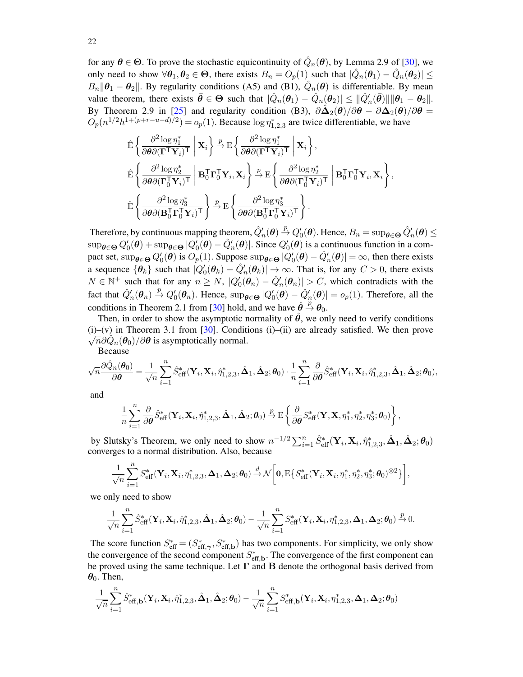for any  $\theta \in \Theta$ . To prove the stochastic equicontinuity of  $\hat{Q}_n(\theta)$ , by Lemma 2.9 of [\[30\]](#page-41-7), we only need to show  $\forall \theta_1, \theta_2 \in \Theta$ , there exists  $B_n = O_p(1)$  such that  $|\hat{Q}_n(\theta_1) - \hat{Q}_n(\theta_2)| \le$  $B_n || \theta_1 - \theta_2 ||$ . By regularity conditions (A5) and (B1),  $\hat{Q}_n(\theta)$  is differentiable. By mean value theorem, there exists  $\bar{\theta} \in \Theta$  such that  $|\hat{Q}_n(\theta_1) - \hat{Q}_n(\theta_2)| \leq ||\hat{Q}'_n(\bar{\theta})|| ||\theta_1 - \theta_2||$ . By Theorem 2.9 in [\[25\]](#page-40-5) and regularity condition (B3),  $\partial \hat{\Delta}_2(\theta)/\partial \theta - \partial \Delta_2(\theta)/\partial \theta =$  $O_p(n^{1/2}h^{1+(p+r-u-d)/2}) = o_p(1)$ . Because  $\log \eta_{1,2,3}^*$  are twice differentiable, we have

$$
\label{eq:Energy} \begin{split} &\hat{\mathrm{E}}\left\{\frac{\partial^2 \log \eta_1^*}{\partial \theta \partial (\boldsymbol{\Gamma}^\mathsf{T} \mathbf{Y}_i)^\mathsf{T}}\,\bigg|\,\mathbf{X}_i\right\} \overset{p}{\rightarrow} \mathrm{E}\left\{\frac{\partial^2 \log \eta_1^*}{\partial \theta \partial (\boldsymbol{\Gamma}^\mathsf{T} \mathbf{Y}_i)^\mathsf{T}}\,\bigg|\,\mathbf{X}_i\right\},\\ &\hat{\mathrm{E}}\left\{\frac{\partial^2 \log \eta_2^*}{\partial \theta \partial (\boldsymbol{\Gamma}_0^\mathsf{T} \mathbf{Y}_i)^\mathsf{T}}\,\bigg|\,\mathbf{B}_0^\mathsf{T} \boldsymbol{\Gamma}_0^\mathsf{T} \mathbf{Y}_i,\mathbf{X}_i\right\} \overset{p}{\rightarrow} \mathrm{E}\left\{\frac{\partial^2 \log \eta_2^*}{\partial \theta \partial (\boldsymbol{\Gamma}_0^\mathsf{T} \mathbf{Y}_i)^\mathsf{T}}\,\bigg|\,\mathbf{B}_0^\mathsf{T} \boldsymbol{\Gamma}_0^\mathsf{T} \mathbf{Y}_i,\mathbf{X}_i\right\},\\ &\hat{\mathrm{E}}\left\{\frac{\partial^2 \log \eta_3^*}{\partial \theta \partial (\mathbf{B}_0^\mathsf{T} \boldsymbol{\Gamma}_0^\mathsf{T} \mathbf{Y}_i)^\mathsf{T}}\right\} \overset{p}{\rightarrow} \mathrm{E}\left\{\frac{\partial^2 \log \eta_3^*}{\partial \theta \partial (\mathbf{B}_0^\mathsf{T} \boldsymbol{\Gamma}_0^\mathsf{T} \mathbf{Y}_i)^\mathsf{T}}\right\}. \end{split}
$$

Therefore, by continuous mapping theorem,  $\hat{Q}'_n(\bm{\theta}) \overset{p}{\to} Q'_0(\bm{\theta}).$  Hence,  $B_n = \sup_{\bm{\theta} \in \bm{\Theta}} \hat{Q}'_n(\bm{\theta}) \leq$  $\sup_{\theta \in \Theta} Q'_0(\theta) + \sup_{\theta \in \Theta} |Q'_0(\theta) - \hat{Q}'_n(\theta)|$ . Since  $Q'_0(\theta)$  is a continuous function in a compact set,  $\sup_{\theta \in \Theta} Q'_0(\theta)$  is  $O_p(1)$ . Suppose  $\sup_{\theta \in \Theta} |Q'_0(\theta) - \hat{Q}'_n(\theta)| = \infty$ , then there exists a sequence  $\{\theta_k\}$  such that  $|Q_0'(\theta_k) - \hat{Q}_n'(\theta_k)| \to \infty$ . That is, for any  $C > 0$ , there exists  $N \in \mathbb{N}^+$  such that for any  $n \ge N$ ,  $|Q'_0(\theta_n) - \hat{Q}'_n(\theta_n)| > C$ , which contradicts with the fact that  $\hat{Q}'_n(\theta_n) \stackrel{p}{\to} Q'_0(\theta_n)$ . Hence,  $\sup_{\theta \in \Theta} |Q'_0(\theta) - \hat{Q}'_n(\theta)| = o_p(1)$ . Therefore, all the conditions in Theorem 2.1 from [\[30\]](#page-41-7) hold, and we have  $\hat{\theta} \stackrel{p}{\rightarrow} \theta_0$ .

Then, in order to show the asymptotic normality of  $\theta$ , we only need to verify conditions (i)–(v) in Theorem 3.1 from [\[30\]](#page-41-7). Conditions (i)–(ii) are already satisfied. We then prove  $\overline{n}\partial \hat{Q}_n(\boldsymbol{\theta}_0)/\partial\boldsymbol{\theta}$  is asymptotically normal. Because

$$
\sqrt{n}\frac{\partial\hat{Q}_n(\pmb\theta_0)}{\partial\pmb\theta}=\frac{1}{\sqrt{n}}\sum_{i=1}^n\hat{S}_{\rm eff}^*(\mathbf Y_i,\mathbf X_i,\hat{\eta}_{1,2,3}^*,\hat{\pmb\Delta}_1,\hat{\pmb\Delta}_2;\pmb\theta_0)\cdot\frac{1}{n}\sum_{i=1}^n\frac{\partial}{\partial\pmb\theta}\hat{S}_{\rm eff}^*(\mathbf Y_i,\mathbf X_i,\hat{\eta}_{1,2,3}^*,\hat{\pmb\Delta}_1,\hat{\pmb\Delta}_2;\pmb\theta_0),
$$

and

$$
\frac{1}{n}\sum_{i=1}^n \frac{\partial}{\partial\theta} \hat{S}_{\rm eff}^*(\mathbf{Y}_i,\mathbf{X}_i,\hat{\eta}_{1,2,3}^*,\hat{\boldsymbol{\Delta}}_1,\hat{\boldsymbol{\Delta}}_2;\boldsymbol{\theta}_0)\overset{p}{\rightarrow}\mathrm{E}\left\{\frac{\partial}{\partial\theta}S_{\rm eff}^*(\mathbf{Y},\mathbf{X},\eta_1^*,\eta_2^*,\eta_3^*;\boldsymbol{\theta}_0)\right\},
$$

by Slutsky's Theorem, we only need to show  $n^{-1/2} \sum_{i=1}^{n} \hat{S}_{\text{eff}}^*(\mathbf{Y}_i, \mathbf{X}_i, \hat{\eta}_{1,2,3}^*, \hat{\mathbf{\Delta}}_1, \hat{\mathbf{\Delta}}_2; \boldsymbol{\theta}_0)$ converges to a normal distribution. Also, because

$$
\frac{1}{\sqrt{n}}\sum_{i=1}^n S_{\text{eff}}^*(\mathbf{Y}_i,\mathbf{X}_i,\eta_{1,2,3}^*,\mathbf{\Delta}_1,\mathbf{\Delta}_2;\boldsymbol{\theta}_0) \stackrel{d}{\rightarrow} \mathcal{N}\bigg[ \mathbf{0},\mathrm{E}\big\{S_{\text{eff}}^*(\mathbf{Y}_i,\mathbf{X}_i,\eta_1^*,\eta_2^*,\eta_3^*;\boldsymbol{\theta}_0)^{\otimes2}\big\} \bigg],
$$

we only need to show

$$
\frac{1}{\sqrt{n}}\sum_{i=1}^n \hat{S}_{\rm eff}^*(\mathbf{Y}_i,\mathbf{X}_i,\hat{\eta}_{1,2,3}^*,\hat{\pmb{\Delta}}_1,\hat{\pmb{\Delta}}_2;\pmb\theta_0)-\frac{1}{\sqrt{n}}\sum_{i=1}^n S_{\rm eff}^*(\mathbf{Y}_i,\mathbf{X}_i,\eta_{1,2,3}^*,\pmb{\Delta}_1,\pmb{\Delta}_2;\pmb\theta_0)\overset{p}{\rightarrow} 0.
$$

The score function  $S_{\text{eff}}^* = (S_{\text{eff},\gamma}^*, S_{\text{eff},b}^*)$  has two components. For simplicity, we only show the convergence of the second component  $S_{\text{eff},b}^*$ . The convergence of the first component can be proved using the same technique. Let  $\Gamma$  and  $B$  denote the orthogonal basis derived from  $\theta_0$ . Then,

$$
\frac{1}{\sqrt{n}}\sum_{i=1}^n \hat{S}_{\text{eff},\textbf{b}}^*(\textbf{Y}_i,\textbf{X}_i,\hat{\eta}_{1,2,3}^*,\hat{\pmb{\Delta}}_1,\hat{\pmb{\Delta}}_2;\pmb{\theta}_0)-\frac{1}{\sqrt{n}}\sum_{i=1}^n S_{\text{eff},\textbf{b}}^*(\textbf{Y}_i,\textbf{X}_i,\eta_{1,2,3}^*,\pmb{\Delta}_1,\pmb{\Delta}_2;\pmb{\theta}_0)
$$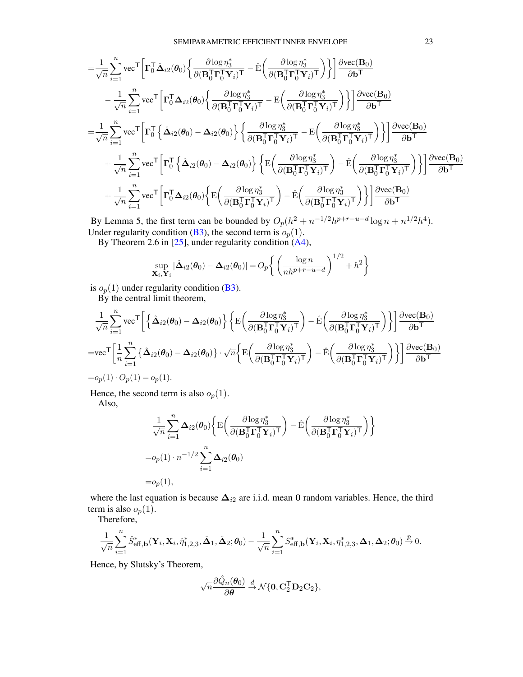$$
\begin{split} =& \frac{1}{\sqrt{n}} \sum_{i=1}^{n} \text{vec}^{\top} \bigg[ \boldsymbol{\Gamma}_{0}^{\top} \boldsymbol{\hat{\Delta}}_{i2} (\boldsymbol{\theta}_{0}) \bigg\{ \frac{\partial \log \eta_{3}^{*}}{\partial (\boldsymbol{B}_{0}^{\top} \boldsymbol{\Gamma}_{0}^{\top} \boldsymbol{Y}_{i})^{\top}} - \hat{\boldsymbol{E}} \bigg( \frac{\partial \log \eta_{3}^{*}}{\partial (\boldsymbol{B}_{0}^{\top} \boldsymbol{\Gamma}_{0}^{\top} \boldsymbol{Y}_{i})^{\top}} \bigg) \bigg\} \bigg] \frac{\partial \text{vec}(\boldsymbol{B}_{0})}{\partial \boldsymbol{b}^{\top}} \\ & - \frac{1}{\sqrt{n}} \sum_{i=1}^{n} \text{vec}^{\top} \bigg[ \boldsymbol{\Gamma}_{0}^{\top} \boldsymbol{\Delta}_{i2} (\boldsymbol{\theta}_{0}) \bigg\{ \frac{\partial \log \eta_{3}^{*}}{\partial (\boldsymbol{B}_{0}^{\top} \boldsymbol{\Gamma}_{0}^{\top} \boldsymbol{Y}_{i})^{\top}} - \boldsymbol{E} \bigg( \frac{\partial \log \eta_{3}^{*}}{\partial (\boldsymbol{B}_{0}^{\top} \boldsymbol{\Gamma}_{0}^{\top} \boldsymbol{Y}_{i})^{\top}} \bigg) \bigg\} \bigg] \frac{\partial \text{vec}(\boldsymbol{B}_{0})}{\partial \boldsymbol{b}^{\top}} \\ =& \frac{1}{\sqrt{n}} \sum_{i=1}^{n} \text{vec}^{\top} \bigg[ \boldsymbol{\Gamma}_{0}^{\top} \bigg\{ \boldsymbol{\hat{\Delta}}_{i2} (\boldsymbol{\theta}_{0}) - \boldsymbol{\Delta}_{i2} (\boldsymbol{\theta}_{0}) \bigg\} \bigg\{ \frac{\partial \log \eta_{3}^{*}}{\partial (\boldsymbol{B}_{0}^{\top} \boldsymbol{\Gamma}_{0}^{\top} \boldsymbol{Y}_{i})^{\top}} - \boldsymbol{E} \bigg( \frac{\partial \log \eta_{3}^{*}}{\partial (\boldsymbol{B}_{0}^{\top} \boldsymbol{\Gamma}_{0}^{\top} \boldsymbol{Y}_{i})^{\top}} \bigg) \bigg\} \bigg] \frac{\partial \text{vec}(\boldsymbol{B}_{0})}{\partial \boldsymbol{b}^{\top}} \\ & + \frac{1}{\sqrt{n}} \sum_{i=1}^{n} \text{vec}^{\top} \bigg[ \boldsymbol{\Gamma}_{
$$

By Lemma 5, the first term can be bounded by  $O_p(h^2 + n^{-1/2}h^{p+r-u-d}\log n + n^{1/2}h^4)$ . Under regularity condition [\(B3\)](#page-11-5), the second term is  $o_p(1)$ .

By Theorem 2.6 in [\[25\]](#page-40-5), under regularity condition [\(A4\)](#page-8-6),

$$
\sup_{\mathbf{X}_i,\mathbf{Y}_i} |\hat{\mathbf{\Delta}}_{i2}(\boldsymbol{\theta}_0) - \mathbf{\Delta}_{i2}(\boldsymbol{\theta}_0)| = O_p \bigg\{ \left( \frac{\log n}{nh^{p+r-u-d}} \right)^{1/2} + h^2 \bigg\}
$$

is  $o_p(1)$  under regularity condition [\(B3\)](#page-11-5).

By the central limit theorem,

$$
\begin{split} &\frac{1}{\sqrt{n}}\sum_{i=1}^{n}\text{vec}^{\top}\bigg[\left\{\hat{\Delta}_{i2}(\theta_0)-\Delta_{i2}(\theta_0)\right\}\bigg\{\text{E}\bigg(\frac{\partial\log\eta_3^*}{\partial(\mathbf{B}_0^{\mathsf{T}}\boldsymbol{\Gamma}_0^{\mathsf{T}}\mathbf{Y}_i)^{\mathsf{T}}}\bigg)-\hat{\text{E}}\bigg(\frac{\partial\log\eta_3^*}{\partial(\mathbf{B}_0^{\mathsf{T}}\boldsymbol{\Gamma}_0^{\mathsf{T}}\mathbf{Y}_i)^{\mathsf{T}}}\bigg)\bigg\}\bigg]\frac{\partial\text{vec}(\mathbf{B}_0)}{\partial\mathbf{b}^{\mathsf{T}}}\\ =&\text{vec}^{\top}\bigg[\frac{1}{n}\sum_{i=1}^{n}\big\{\hat{\Delta}_{i2}(\theta_0)-\Delta_{i2}(\theta_0)\big\}\cdot\sqrt{n}\bigg\{\text{E}\bigg(\frac{\partial\log\eta_3^*}{\partial(\mathbf{B}_0^{\mathsf{T}}\boldsymbol{\Gamma}_0^{\mathsf{T}}\mathbf{Y}_i)^{\mathsf{T}}}\bigg)-\hat{\text{E}}\bigg(\frac{\partial\log\eta_3^*}{\partial(\mathbf{B}_0^{\mathsf{T}}\boldsymbol{\Gamma}_0^{\mathsf{T}}\mathbf{Y}_i)^{\mathsf{T}}}\bigg)\bigg\}\bigg]\frac{\partial\text{vec}(\mathbf{B}_0)}{\partial\mathbf{b}^{\mathsf{T}}}\\ =& o_p(1)\cdot O_p(1)=o_p(1). \end{split}
$$

Hence, the second term is also  $o_p(1)$ .

Also,

$$
\label{eq:3.1} \begin{split} &\frac{1}{\sqrt{n}}\sum_{i=1}^n\pmb{\Delta}_{i2}(\pmb{\theta}_0)\bigg\{{\rm E}\bigg(\frac{\partial\log\eta_3^*}{\partial(\mathbf{B}_0^\mathsf{T}\pmb{\Gamma}_0^\mathsf{T}\mathbf{Y}_i)^\mathsf{T}}\bigg)-\hat{\rm E}\bigg(\frac{\partial\log\eta_3^*}{\partial(\mathbf{B}_0^\mathsf{T}\pmb{\Gamma}_0^\mathsf{T}\mathbf{Y}_i)^\mathsf{T}}\bigg)\bigg\}\\ =& o_p(1)\cdot n^{-1/2}\sum_{i=1}^n\pmb{\Delta}_{i2}(\pmb{\theta}_0)\\ =& o_p(1), \end{split}
$$

where the last equation is because  $\Delta_{i2}$  are i.i.d. mean 0 random variables. Hence, the third term is also  $o_p(1)$ .

Therefore,

$$
\frac{1}{\sqrt{n}}\sum_{i=1}^n \hat{S}_{\text{eff},\mathbf{b}}^*(\mathbf{Y}_i,\mathbf{X}_i,\hat{\eta}_{1,2,3}^*,\hat{\boldsymbol{\Delta}}_1,\hat{\boldsymbol{\Delta}}_2;\boldsymbol{\theta}_0)-\frac{1}{\sqrt{n}}\sum_{i=1}^n S_{\text{eff},\mathbf{b}}^*(\mathbf{Y}_i,\mathbf{X}_i,\eta_{1,2,3}^*,\boldsymbol{\Delta}_1,\boldsymbol{\Delta}_2;\boldsymbol{\theta}_0)\overset{p}{\rightarrow} 0.
$$

Hence, by Slutsky's Theorem,

$$
\sqrt{n}\frac{\partial \hat{Q}_n(\boldsymbol{\theta}_0)}{\partial \boldsymbol{\theta}}\overset{d}{\rightarrow}\mathcal{N}\{\mathbf{0},\mathbf{C}_2^\mathsf{T}\mathbf{D}_2\mathbf{C}_2\},
$$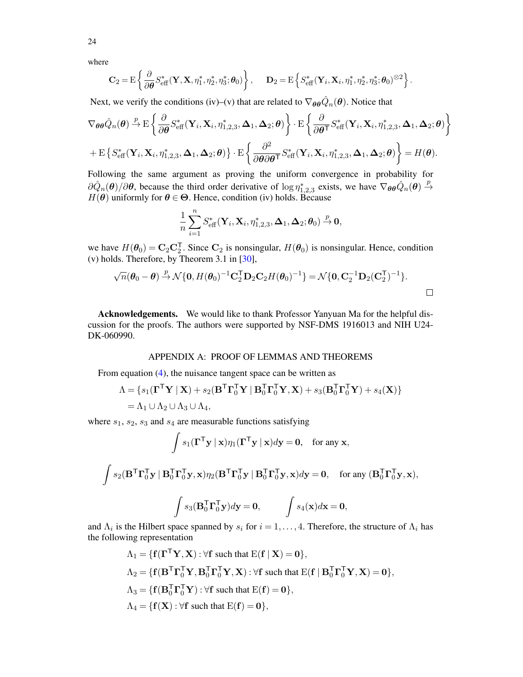where

$$
\mathbf{C}_2 = \mathrm{E}\left\{\frac{\partial}{\partial\boldsymbol{\theta}}S_\mathrm{eff}^*(\mathbf{Y}, \mathbf{X}, \eta_1^*, \eta_2^*, \eta_3^*; \boldsymbol{\theta}_0)\right\}, \quad \mathbf{D}_2 = \mathrm{E}\left\{S_\mathrm{eff}^*(\mathbf{Y}_i, \mathbf{X}_i, \eta_1^*, \eta_2^*, \eta_3^*; \boldsymbol{\theta}_0)^{\otimes 2}\right\}.
$$

Next, we verify the conditions (iv)–(v) that are related to  $\nabla_{\theta\theta}\hat{Q}_n(\theta)$ . Notice that

$$
\nabla_{\theta\theta}\hat{Q}_{n}(\theta) \stackrel{p}{\rightarrow} \mathcal{E}\left\{\frac{\partial}{\partial\theta}S_{\text{eff}}^{*}(\mathbf{Y}_{i},\mathbf{X}_{i},\eta_{1,2,3}^{*},\boldsymbol{\Delta}_{1},\boldsymbol{\Delta}_{2};\theta)\right\} \cdot \mathcal{E}\left\{\frac{\partial}{\partial\theta^{T}}S_{\text{eff}}^{*}(\mathbf{Y}_{i},\mathbf{X}_{i},\eta_{1,2,3}^{*},\boldsymbol{\Delta}_{1},\boldsymbol{\Delta}_{2};\theta)\right\}
$$

$$
+\mathcal{E}\left\{S_{\text{eff}}^{*}(\mathbf{Y}_{i},\mathbf{X}_{i},\eta_{1,2,3}^{*},\boldsymbol{\Delta}_{1},\boldsymbol{\Delta}_{2};\theta)\right\} \cdot \mathcal{E}\left\{\frac{\partial^{2}}{\partial\theta\partial\theta^{T}}S_{\text{eff}}^{*}(\mathbf{Y}_{i},\mathbf{X}_{i},\eta_{1,2,3}^{*},\boldsymbol{\Delta}_{1},\boldsymbol{\Delta}_{2};\theta)\right\} = H(\theta).
$$

Following the same argument as proving the uniform convergence in probability for  $\partial \hat{Q}_n(\theta) / \partial \theta$ , because the third order derivative of  $\log \eta_{1,2,3}^*$  exists, we have  $\nabla_{\theta\theta} \hat{Q}_n(\theta) \stackrel{p}{\rightarrow}$  $H(\theta)$  uniformly for  $\theta \in \Theta$ . Hence, condition (iv) holds. Because

$$
\frac{1}{n}\sum_{i=1}^n S_{\text{eff}}^*(\mathbf{Y}_i, \mathbf{X}_i, \eta_{1,2,3}^*, \mathbf{\Delta}_1, \mathbf{\Delta}_2; \boldsymbol{\theta}_0) \overset{p}{\to} \mathbf{0},
$$

we have  $H(\theta_0) = \mathbf{C}_2 \mathbf{C}_2^T$ . Since  $\mathbf{C}_2$  is nonsingular,  $H(\theta_0)$  is nonsingular. Hence, condition (v) holds. Therefore, by Theorem 3.1 in [\[30\]](#page-41-7),

$$
\sqrt{n}(\boldsymbol{\theta}_0 - \boldsymbol{\theta}) \stackrel{p}{\rightarrow} \mathcal{N}\{\mathbf{0}, H(\boldsymbol{\theta}_0)^{-1}\mathbf{C}_2^{\mathsf{T}}\mathbf{D}_2\mathbf{C}_2H(\boldsymbol{\theta}_0)^{-1}\} = \mathcal{N}\{\mathbf{0}, \mathbf{C}_2^{-1}\mathbf{D}_2(\mathbf{C}_2^{\mathsf{T}})^{-1}\}.
$$

Acknowledgements. We would like to thank Professor Yanyuan Ma for the helpful discussion for the proofs. The authors were supported by NSF-DMS 1916013 and NIH U24- DK-060990.

### APPENDIX A: PROOF OF LEMMAS AND THEOREMS

From equation [\(4\)](#page-7-1), the nuisance tangent space can be written as

$$
\Lambda = \{s_1(\mathbf{\Gamma}^\mathsf{T}\mathbf{Y} \mid \mathbf{X}) + s_2(\mathbf{B}^\mathsf{T}\mathbf{\Gamma}_0^\mathsf{T}\mathbf{Y} \mid \mathbf{B}_0^\mathsf{T}\mathbf{\Gamma}_0^\mathsf{T}\mathbf{Y}, \mathbf{X}) + s_3(\mathbf{B}_0^\mathsf{T}\mathbf{\Gamma}_0^\mathsf{T}\mathbf{Y}) + s_4(\mathbf{X})\}
$$
  
=  $\Lambda_1 \cup \Lambda_2 \cup \Lambda_3 \cup \Lambda_4$ ,

where  $s_1$ ,  $s_2$ ,  $s_3$  and  $s_4$  are measurable functions satisfying

$$
\int s_1(\mathbf{\Gamma}^\mathsf{T}\mathbf{y} \mid \mathbf{x}) \eta_1(\mathbf{\Gamma}^\mathsf{T}\mathbf{y} \mid \mathbf{x}) d\mathbf{y} = \mathbf{0}, \text{ for any } \mathbf{x},
$$

$$
\int s_2(\mathbf{B}^\mathsf{T}\mathbf{\Gamma}_0^\mathsf{T}\mathbf{y} \mid \mathbf{B}_0^\mathsf{T}\mathbf{\Gamma}_0^\mathsf{T}\mathbf{y}, \mathbf{x})\eta_2(\mathbf{B}^\mathsf{T}\mathbf{\Gamma}_0^\mathsf{T}\mathbf{y} \mid \mathbf{B}_0^\mathsf{T}\mathbf{\Gamma}_0^\mathsf{T}\mathbf{y}, \mathbf{x})d\mathbf{y} = \mathbf{0}, \quad \text{ for any } (\mathbf{B}_0^\mathsf{T}\mathbf{\Gamma}_0^\mathsf{T}\mathbf{y}, \mathbf{x}),
$$

$$
\int s_3(\mathbf{B}_0^\mathsf{T}\mathbf{\Gamma}_0^\mathsf{T}\mathbf{y})d\mathbf{y} = \mathbf{0}, \qquad \int s_4(\mathbf{x})d\mathbf{x} = \mathbf{0},
$$

and  $\Lambda_i$  is the Hilbert space spanned by  $s_i$  for  $i = 1, \ldots, 4$ . Therefore, the structure of  $\Lambda_i$  has the following representation

$$
\Lambda_1 = \{ \mathbf{f}(\mathbf{\Gamma}^\mathsf{T} \mathbf{Y}, \mathbf{X}) : \forall \mathbf{f} \text{ such that } E(\mathbf{f} \mid \mathbf{X}) = \mathbf{0} \},
$$
  
\n
$$
\Lambda_2 = \{ \mathbf{f}(\mathbf{B}^\mathsf{T} \mathbf{\Gamma}_0^\mathsf{T} \mathbf{Y}, \mathbf{B}_0^\mathsf{T} \mathbf{\Gamma}_0^\mathsf{T} \mathbf{Y}, \mathbf{X}) : \forall \mathbf{f} \text{ such that } E(\mathbf{f} \mid \mathbf{B}_0^\mathsf{T} \mathbf{\Gamma}_0^\mathsf{T} \mathbf{Y}, \mathbf{X}) = \mathbf{0} \},
$$
  
\n
$$
\Lambda_3 = \{ \mathbf{f}(\mathbf{B}_0^\mathsf{T} \mathbf{\Gamma}_0^\mathsf{T} \mathbf{Y}) : \forall \mathbf{f} \text{ such that } E(\mathbf{f}) = \mathbf{0} \},
$$
  
\n
$$
\Lambda_4 = \{ \mathbf{f}(\mathbf{X}) : \forall \mathbf{f} \text{ such that } E(\mathbf{f}) = \mathbf{0} \},
$$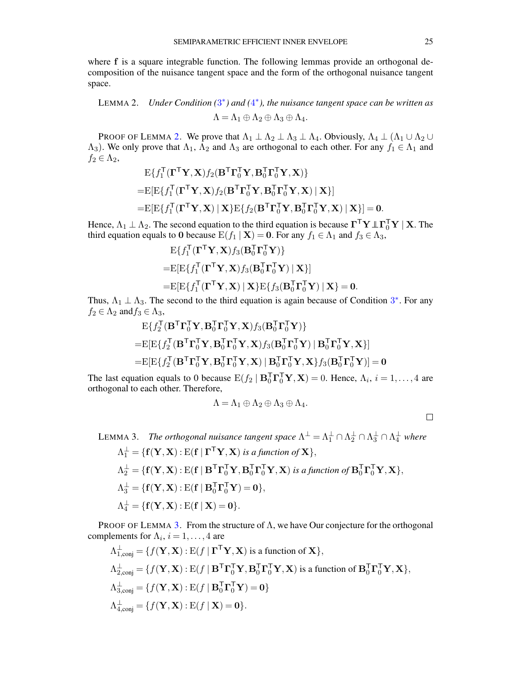where f is a square integrable function. The following lemmas provide an orthogonal decomposition of the nuisance tangent space and the form of the orthogonal nuisance tangent space.

<span id="page-24-0"></span>LEMMA 2. *Under Condition*  $(3^*)$  $(3^*)$  $(3^*)$  and  $(4^*)$  $(4^*)$  $(4^*)$ , the nuisance tangent space can be written as  $\Lambda = \Lambda_1 \oplus \Lambda_2 \oplus \Lambda_3 \oplus \Lambda_4.$ 

PROOF OF LEMMA [2.](#page-24-0) We prove that  $\Lambda_1 \perp \Lambda_2 \perp \Lambda_3 \perp \Lambda_4$ . Obviously,  $\Lambda_4 \perp (\Lambda_1 \cup \Lambda_2 \cup$  $(\Lambda_3)$ . We only prove that  $\Lambda_1$ ,  $\Lambda_2$  and  $\Lambda_3$  are orthogonal to each other. For any  $f_1 \in \Lambda_1$  and  $f_2 \in \Lambda_2$ ,

$$
E\{f_1^\mathsf{T}(\mathbf{\Gamma}^\mathsf{T}\mathbf{Y}, \mathbf{X})f_2(\mathbf{B}^\mathsf{T}\mathbf{\Gamma}_0^\mathsf{T}\mathbf{Y}, \mathbf{B}_0^\mathsf{T}\mathbf{\Gamma}_0^\mathsf{T}\mathbf{Y}, \mathbf{X})\}
$$
  
\n= 
$$
E[E\{f_1^\mathsf{T}(\mathbf{\Gamma}^\mathsf{T}\mathbf{Y}, \mathbf{X})f_2(\mathbf{B}^\mathsf{T}\mathbf{\Gamma}_0^\mathsf{T}\mathbf{Y}, \mathbf{B}_0^\mathsf{T}\mathbf{\Gamma}_0^\mathsf{T}\mathbf{Y}, \mathbf{X}) | \mathbf{X}\}]
$$
  
\n= 
$$
E[E\{f_1^\mathsf{T}(\mathbf{\Gamma}^\mathsf{T}\mathbf{Y}, \mathbf{X}) | \mathbf{X}\} E\{f_2(\mathbf{B}^\mathsf{T}\mathbf{\Gamma}_0^\mathsf{T}\mathbf{Y}, \mathbf{B}_0^\mathsf{T}\mathbf{\Gamma}_0^\mathsf{T}\mathbf{Y}, \mathbf{X}) | \mathbf{X}\}] = \mathbf{0}.
$$

Hence,  $\Lambda_1 \perp \Lambda_2$ . The second equation to the third equation is because  $\mathbf{\Gamma}^\top \mathbf{Y} \perp \mathbf{\Gamma}_0^\top \mathbf{Y} \mid \mathbf{X}$ . The third equation equals to 0 because  $E(f_1 | X) = 0$ . For any  $f_1 \in \Lambda_1$  and  $f_3 \in \Lambda_3$ ,

$$
E\{f_1^\mathsf{T}(\mathbf{\Gamma}^\mathsf{T}\mathbf{Y}, \mathbf{X})f_3(\mathbf{B}_0^\mathsf{T}\mathbf{\Gamma}_0^\mathsf{T}\mathbf{Y})\}
$$
  
=
$$
E[E\{f_1^\mathsf{T}(\mathbf{\Gamma}^\mathsf{T}\mathbf{Y}, \mathbf{X})f_3(\mathbf{B}_0^\mathsf{T}\mathbf{\Gamma}_0^\mathsf{T}\mathbf{Y}) \mid \mathbf{X}\}]
$$
  
=
$$
E[E\{f_1^\mathsf{T}(\mathbf{\Gamma}^\mathsf{T}\mathbf{Y}, \mathbf{X}) \mid \mathbf{X}\}E\{f_3(\mathbf{B}_0^\mathsf{T}\mathbf{\Gamma}_0^\mathsf{T}\mathbf{Y}) \mid \mathbf{X}\} = \mathbf{0}.
$$

Thus,  $\Lambda_1 \perp \Lambda_3$  $\Lambda_1 \perp \Lambda_3$ . The second to the third equation is again because of Condition 3<sup>\*</sup>. For any  $f_2 \in \Lambda_2$  and  $f_3 \in \Lambda_3$ ,

$$
E\{f_2^{\mathsf{T}}(\mathbf{B}^{\mathsf{T}}\mathbf{\Gamma}_0^{\mathsf{T}}\mathbf{Y}, \mathbf{B}_0^{\mathsf{T}}\mathbf{\Gamma}_0^{\mathsf{T}}\mathbf{Y}, \mathbf{X})f_3(\mathbf{B}_0^{\mathsf{T}}\mathbf{\Gamma}_0^{\mathsf{T}}\mathbf{Y})\}
$$
  
\n
$$
=E[E\{f_2^{\mathsf{T}}(\mathbf{B}^{\mathsf{T}}\mathbf{\Gamma}_0^{\mathsf{T}}\mathbf{Y}, \mathbf{B}_0^{\mathsf{T}}\mathbf{\Gamma}_0^{\mathsf{T}}\mathbf{Y}, \mathbf{X})f_3(\mathbf{B}_0^{\mathsf{T}}\mathbf{\Gamma}_0^{\mathsf{T}}\mathbf{Y}) | \mathbf{B}_0^{\mathsf{T}}\mathbf{\Gamma}_0^{\mathsf{T}}\mathbf{Y}, \mathbf{X}\}]
$$
  
\n
$$
=E[E\{f_2^{\mathsf{T}}(\mathbf{B}^{\mathsf{T}}\mathbf{\Gamma}_0^{\mathsf{T}}\mathbf{Y}, \mathbf{B}_0^{\mathsf{T}}\mathbf{\Gamma}_0^{\mathsf{T}}\mathbf{Y}, \mathbf{X}) | \mathbf{B}_0^{\mathsf{T}}\mathbf{\Gamma}_0^{\mathsf{T}}\mathbf{Y}, \mathbf{X}\}f_3(\mathbf{B}_0^{\mathsf{T}}\mathbf{\Gamma}_0^{\mathsf{T}}\mathbf{Y})] = \mathbf{0}
$$

The last equation equals to 0 because  $E(f_2 | B_0^T \Gamma_0^T Y, X) = 0$ . Hence,  $\Lambda_i$ ,  $i = 1, ..., 4$  are orthogonal to each other. Therefore,

$$
\Lambda = \Lambda_1 \oplus \Lambda_2 \oplus \Lambda_3 \oplus \Lambda_4.
$$

 $\Box$ 

<span id="page-24-1"></span>LEMMA 3. The orthogonal nuisance tangent space 
$$
\Lambda^{\perp} = \Lambda_1^{\perp} \cap \Lambda_2^{\perp} \cap \Lambda_3^{\perp} \cap \Lambda_4^{\perp}
$$
 where  
\n $\Lambda_1^{\perp} = \{f(\mathbf{Y}, \mathbf{X}) : E(f \mid \mathbf{\Gamma}^{\mathsf{T}} \mathbf{Y}, \mathbf{X}) \text{ is a function of } \mathbf{X}\},$   
\n $\Lambda_2^{\perp} = \{f(\mathbf{Y}, \mathbf{X}) : E(f \mid \mathbf{B}^{\mathsf{T}} \mathbf{\Gamma}_0^{\mathsf{T}} \mathbf{Y}, \mathbf{B}_0^{\mathsf{T}} \mathbf{\Gamma}_0^{\mathsf{T}} \mathbf{Y}, \mathbf{X}) \text{ is a function of } \mathbf{B}_0^{\mathsf{T}} \mathbf{\Gamma}_0^{\mathsf{T}} \mathbf{Y}, \mathbf{X}\},$   
\n $\Lambda_3^{\perp} = \{f(\mathbf{Y}, \mathbf{X}) : E(f \mid \mathbf{B}_0^{\mathsf{T}} \mathbf{\Gamma}_0^{\mathsf{T}} \mathbf{Y}) = \mathbf{0}\},$   
\n $\Lambda_4^{\perp} = \{f(\mathbf{Y}, \mathbf{X}) : E(f \mid \mathbf{X}) = \mathbf{0}\}.$ 

PROOF OF LEMMA [3.](#page-24-1) From the structure of  $\Lambda$ , we have Our conjecture for the orthogonal complements for  $\Lambda_i$ ,  $i = 1, \ldots, 4$  are

$$
\Lambda_{1,\text{conj}}^{\perp} = \{f(\mathbf{Y}, \mathbf{X}) : \mathbf{E}(f \mid \mathbf{\Gamma}^{\mathsf{T}} \mathbf{Y}, \mathbf{X}) \text{ is a function of } \mathbf{X}\},
$$
\n
$$
\Lambda_{2,\text{conj}}^{\perp} = \{f(\mathbf{Y}, \mathbf{X}) : \mathbf{E}(f \mid \mathbf{B}^{\mathsf{T}} \mathbf{\Gamma}_{0}^{\mathsf{T}} \mathbf{Y}, \mathbf{B}_{0}^{\mathsf{T}} \mathbf{\Gamma}_{0}^{\mathsf{T}} \mathbf{Y}, \mathbf{X}) \text{ is a function of } \mathbf{B}_{0}^{\mathsf{T}} \mathbf{\Gamma}_{0}^{\mathsf{T}} \mathbf{Y}, \mathbf{X}\},
$$
\n
$$
\Lambda_{3,\text{conj}}^{\perp} = \{f(\mathbf{Y}, \mathbf{X}) : \mathbf{E}(f \mid \mathbf{B}_{0}^{\mathsf{T}} \mathbf{\Gamma}_{0}^{\mathsf{T}} \mathbf{Y}) = \mathbf{0}\}
$$
\n
$$
\Lambda_{4,\text{conj}}^{\perp} = \{f(\mathbf{Y}, \mathbf{X}) : \mathbf{E}(f \mid \mathbf{X}) = \mathbf{0}\}.
$$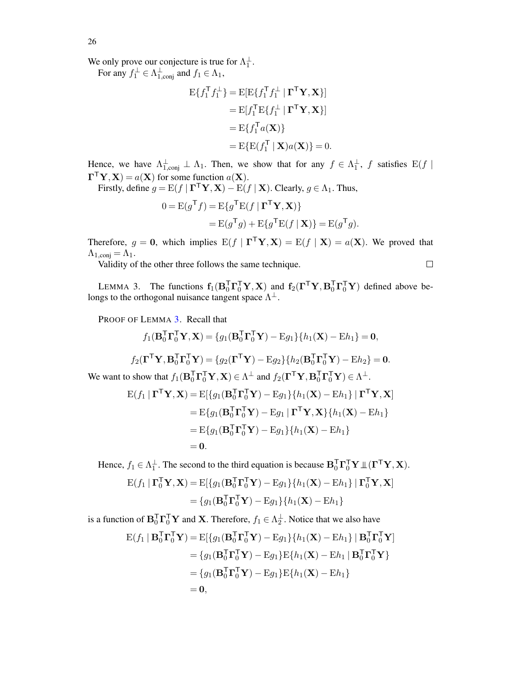26

We only prove our conjecture is true for  $\Lambda_1^{\perp}$ .

For any  $f_1^{\perp} \in \Lambda_{1,\text{conj}}^{\perp}$  and  $f_1 \in \Lambda_1$ ,

$$
E\{f_1^{\mathsf{T}}f_1^{\perp}\} = E[E\{f_1^{\mathsf{T}}f_1^{\perp} | \mathbf{\Gamma}^{\mathsf{T}}\mathbf{Y}, \mathbf{X}\}]
$$
  
\n
$$
= E[f_1^{\mathsf{T}}E\{f_1^{\perp} | \mathbf{\Gamma}^{\mathsf{T}}\mathbf{Y}, \mathbf{X}\}]
$$
  
\n
$$
= E\{f_1^{\mathsf{T}}a(\mathbf{X})\}
$$
  
\n
$$
= E\{E(f_1^{\mathsf{T}} | \mathbf{X})a(\mathbf{X})\} = 0.
$$

Hence, we have  $\Lambda_{1,\text{conj}}^{\perp} \perp \Lambda_1$ . Then, we show that for any  $f \in \Lambda_1^{\perp}$ , f satisfies  $E(f \mid$  $\mathbf{\Gamma}^{\mathsf{T}} \mathbf{Y}, \mathbf{X}$  =  $a(\mathbf{X})$  for some function  $a(\mathbf{X})$ .

Firstly, define  $g = \mathrm{E}(f \mid \boldsymbol{\Gamma}^\top \mathbf{Y}, \mathbf{X}) - \mathrm{E}(f \mid \mathbf{X})$ . Clearly,  $g \in \Lambda_1$ . Thus,

$$
0 = E(g^{\mathsf{T}}f) = E\{g^{\mathsf{T}}E(f | \mathbf{\Gamma}^{\mathsf{T}}\mathbf{Y}, \mathbf{X})\}
$$
  
= 
$$
E(g^{\mathsf{T}}g) + E\{g^{\mathsf{T}}E(f | \mathbf{X})\} = E(g^{\mathsf{T}}g).
$$

Therefore,  $g = 0$ , which implies  $E(f | \Gamma^T Y, X) = E(f | X) = a(X)$ . We proved that  $\Lambda_{1,\text{conj}} = \Lambda_1.$ 

Validity of the other three follows the same technique.

<span id="page-25-0"></span>LEMMA 3. The functions  $f_1(B_0^T \Gamma_0^T Y, X)$  and  $f_2(\Gamma^T Y, B_0^T \Gamma_0^T Y)$  defined above belongs to the orthogonal nuisance tangent space  $\Lambda^{\perp}$ .

PROOF OF LEMMA [3.](#page-25-0) Recall that

$$
f_1(\mathbf{B}_0^\mathsf{T}\mathbf{\Gamma}_0^\mathsf{T}\mathbf{Y}, \mathbf{X}) = \{g_1(\mathbf{B}_0^\mathsf{T}\mathbf{\Gamma}_0^\mathsf{T}\mathbf{Y}) - \mathrm{E}g_1\} \{h_1(\mathbf{X}) - \mathrm{E}h_1\} = \mathbf{0},
$$

$$
f_2(\mathbf{\Gamma}^\mathsf{T}\mathbf{Y}, \mathbf{B}_0^\mathsf{T}\mathbf{\Gamma}_0^\mathsf{T}\mathbf{Y}) = \{g_2(\mathbf{\Gamma}^\mathsf{T}\mathbf{Y}) - \mathbf{E}g_2\} \{h_2(\mathbf{B}_0^\mathsf{T}\mathbf{\Gamma}_0^\mathsf{T}\mathbf{Y}) - \mathbf{E}h_2\} = \mathbf{0}.
$$

We want to show that  $f_1(\mathbf{B}_0^\mathsf{T} \mathbf{\Gamma}_0^\mathsf{T} \mathbf{Y}, \mathbf{X}) \in \Lambda^{\perp}$  and  $f_2(\mathbf{\Gamma}^\mathsf{T} \mathbf{Y}, \mathbf{B}_0^\mathsf{T} \mathbf{\Gamma}_0^\mathsf{T} \mathbf{Y}) \in \Lambda^{\perp}$ .

$$
E(f_1 | \mathbf{\Gamma}^\mathsf{T} \mathbf{Y}, \mathbf{X}) = E[\{g_1(\mathbf{B}_0^\mathsf{T} \mathbf{\Gamma}_0^\mathsf{T} \mathbf{Y}) - E g_1\} \{h_1(\mathbf{X}) - E h_1\} | \mathbf{\Gamma}^\mathsf{T} \mathbf{Y}, \mathbf{X}]
$$
  
\n
$$
= E\{g_1(\mathbf{B}_0^\mathsf{T} \mathbf{\Gamma}_0^\mathsf{T} \mathbf{Y}) - E g_1 | \mathbf{\Gamma}^\mathsf{T} \mathbf{Y}, \mathbf{X}\} \{h_1(\mathbf{X}) - E h_1\}
$$
  
\n
$$
= E\{g_1(\mathbf{B}_0^\mathsf{T} \mathbf{\Gamma}_0^\mathsf{T} \mathbf{Y}) - E g_1\} \{h_1(\mathbf{X}) - E h_1\}
$$
  
\n
$$
= 0.
$$

Hence,  $f_1 \in \Lambda_1^{\perp}$ . The second to the third equation is because  $\mathbf{B}_0^{\mathsf{T}} \mathbf{\Gamma}_0^{\mathsf{T}} \mathbf{Y} \mathbb{L} (\mathbf{\Gamma}^{\mathsf{T}} \mathbf{Y}, \mathbf{X})$ .

$$
E(f_1 | \mathbf{\Gamma}_0^{\mathsf{T}} \mathbf{Y}, \mathbf{X}) = E[\{g_1(\mathbf{B}_0^{\mathsf{T}} \mathbf{\Gamma}_0^{\mathsf{T}} \mathbf{Y}) - E g_1\} \{h_1(\mathbf{X}) - E h_1\} | \mathbf{\Gamma}_0^{\mathsf{T}} \mathbf{Y}, \mathbf{X}]
$$
  
=  $\{g_1(\mathbf{B}_0^{\mathsf{T}} \mathbf{\Gamma}_0^{\mathsf{T}} \mathbf{Y}) - E g_1\} \{h_1(\mathbf{X}) - E h_1\}$ 

is a function of  $B_0^T \Gamma_0^T Y$  and X. Therefore,  $f_1 \in \Lambda_2^{\perp}$ . Notice that we also have

$$
\begin{aligned} \mathbf{E}(f_1 \mid \mathbf{B}_0^{\mathsf{T}} \mathbf{\Gamma}_0^{\mathsf{T}} \mathbf{Y}) &= \mathbf{E}[\{g_1(\mathbf{B}_0^{\mathsf{T}} \mathbf{\Gamma}_0^{\mathsf{T}} \mathbf{Y}) - \mathbf{E} g_1\} \{h_1(\mathbf{X}) - \mathbf{E} h_1\} \mid \mathbf{B}_0^{\mathsf{T}} \mathbf{\Gamma}_0^{\mathsf{T}} \mathbf{Y}] \\ &= \{g_1(\mathbf{B}_0^{\mathsf{T}} \mathbf{\Gamma}_0^{\mathsf{T}} \mathbf{Y}) - \mathbf{E} g_1\} \mathbf{E} \{h_1(\mathbf{X}) - \mathbf{E} h_1 \mid \mathbf{B}_0^{\mathsf{T}} \mathbf{\Gamma}_0^{\mathsf{T}} \mathbf{Y}\} \\ &= \{g_1(\mathbf{B}_0^{\mathsf{T}} \mathbf{\Gamma}_0^{\mathsf{T}} \mathbf{Y}) - \mathbf{E} g_1\} \mathbf{E} \{h_1(\mathbf{X}) - \mathbf{E} h_1\} \\ &= \mathbf{0}, \end{aligned}
$$

 $\Box$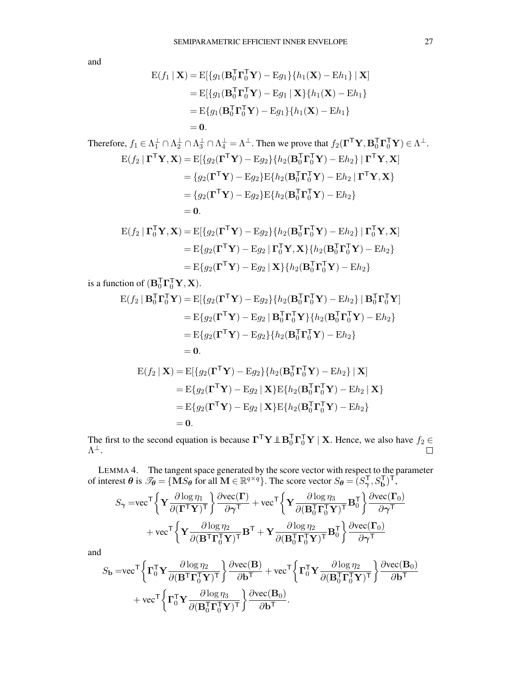and

$$
E(f_1 | \mathbf{X}) = E[\{g_1(\mathbf{B}_0^T \mathbf{\Gamma}_0^T \mathbf{Y}) - Eg_1\} \{h_1(\mathbf{X}) - Eh_1\} | \mathbf{X}]
$$
  
\n
$$
= E[\{g_1(\mathbf{B}_0^T \mathbf{\Gamma}_0^T \mathbf{Y}) - Eg_1 | \mathbf{X}\} \{h_1(\mathbf{X}) - Eh_1\}
$$
  
\n
$$
= E\{g_1(\mathbf{B}_0^T \mathbf{\Gamma}_0^T \mathbf{Y}) - Eg_1\} \{h_1(\mathbf{X}) - Eh_1\}
$$
  
\n
$$
= 0.
$$
  
\nTherefore,  $f_1 \in \Lambda_1^{\perp} \cap \Lambda_2^{\perp} \cap \Lambda_3^{\perp} \cap \Lambda_4^{\perp} = \Lambda^{\perp}$ . Then we prove that  $f_2(\mathbf{\Gamma}^T \mathbf{Y}, \mathbf{B}_0^T \mathbf{\Gamma}_0^T \mathbf{Y}) \in \Lambda^{\perp}$ .  
\n
$$
E(f_2 | \mathbf{\Gamma}^T \mathbf{Y}, \mathbf{X}) = E[\{g_2(\mathbf{\Gamma}^T \mathbf{Y}) - Eg_2\} \{h_2(\mathbf{B}_0^T \mathbf{\Gamma}_0^T \mathbf{Y}) - Eh_2\} | \mathbf{\Gamma}^T \mathbf{Y}, \mathbf{X}]
$$
  
\n
$$
= \{g_2(\mathbf{\Gamma}^T \mathbf{Y}) - Eg_2\} E\{h_2(\mathbf{B}_0^T \mathbf{\Gamma}_0^T \mathbf{Y}) - Eh_2 | \mathbf{\Gamma}^T \mathbf{Y}, \mathbf{X}\}
$$
  
\n
$$
= \{g_2(\mathbf{\Gamma}^T \mathbf{Y}) - Eg_2\} E\{h_2(\mathbf{B}_0^T \mathbf{\Gamma}_0^T \mathbf{Y}) - Eh_2\}
$$
  
\n
$$
= 0.
$$

$$
\begin{aligned} \mathbf{E}(f_2 \mid \mathbf{\Gamma}_0^{\mathsf{T}} \mathbf{Y}, \mathbf{X}) &= \mathbf{E}[\{g_2(\mathbf{\Gamma}^{\mathsf{T}} \mathbf{Y}) - \mathbf{E} g_2\} \{h_2(\mathbf{B}_0^{\mathsf{T}} \mathbf{\Gamma}_0^{\mathsf{T}} \mathbf{Y}) - \mathbf{E} h_2\} \mid \mathbf{\Gamma}_0^{\mathsf{T}} \mathbf{Y}, \mathbf{X}] \\ &= \mathbf{E}\{g_2(\mathbf{\Gamma}^{\mathsf{T}} \mathbf{Y}) - \mathbf{E} g_2 \mid \mathbf{\Gamma}_0^{\mathsf{T}} \mathbf{Y}, \mathbf{X}\} \{h_2(\mathbf{B}_0^{\mathsf{T}} \mathbf{\Gamma}_0^{\mathsf{T}} \mathbf{Y}) - \mathbf{E} h_2\} \\ &= \mathbf{E}\{g_2(\mathbf{\Gamma}^{\mathsf{T}} \mathbf{Y}) - \mathbf{E} g_2 \mid \mathbf{X}\} \{h_2(\mathbf{B}_0^{\mathsf{T}} \mathbf{\Gamma}_0^{\mathsf{T}} \mathbf{Y}) - \mathbf{E} h_2\} \end{aligned}
$$

is a function of  $(\mathbf{B}_0^T \mathbf{\Gamma}_0^T \mathbf{Y}, \mathbf{X})$ .

$$
E(f_2 | \mathbf{B}_0^T \mathbf{\Gamma}_0^T \mathbf{Y}) = E[\{g_2(\mathbf{\Gamma}^T \mathbf{Y}) - E g_2\} \{h_2(\mathbf{B}_0^T \mathbf{\Gamma}_0^T \mathbf{Y}) - E h_2\} | \mathbf{B}_0^T \mathbf{\Gamma}_0^T \mathbf{Y}]
$$
  
\n
$$
= E\{g_2(\mathbf{\Gamma}^T \mathbf{Y}) - E g_2 | \mathbf{B}_0^T \mathbf{\Gamma}_0^T \mathbf{Y}\} \{h_2(\mathbf{B}_0^T \mathbf{\Gamma}_0^T \mathbf{Y}) - E h_2\}
$$
  
\n
$$
= E\{g_2(\mathbf{\Gamma}^T \mathbf{Y}) - E g_2\} \{h_2(\mathbf{B}_0^T \mathbf{\Gamma}_0^T \mathbf{Y}) - E h_2\}
$$
  
\n
$$
= 0.
$$
  
\n
$$
E(f_2 | \mathbf{X}) = E[\{g_2(\mathbf{\Gamma}^T \mathbf{Y}) - E g_2\} \{h_2(\mathbf{B}_0^T \mathbf{\Gamma}_0^T \mathbf{Y}) - E h_2\} | \mathbf{X}]
$$

$$
= \mathbf{E}\{g_2(\mathbf{\Gamma}^\mathsf{T}\mathbf{Y}) - \mathbf{E}g_2 \mid \mathbf{X}\}\mathbf{E}\{h_2(\mathbf{B}_0^\mathsf{T}\mathbf{\Gamma}_0^\mathsf{T}\mathbf{Y}) - \mathbf{E}h_2 \mid \mathbf{X}\}\
$$

$$
= \mathbf{E}\{g_2(\mathbf{\Gamma}^\mathsf{T}\mathbf{Y}) - \mathbf{E}g_2 \mid \mathbf{X}\}\mathbf{E}\{h_2(\mathbf{B}_0^\mathsf{T}\mathbf{\Gamma}_0^\mathsf{T}\mathbf{Y}) - \mathbf{E}h_2\}
$$

$$
= 0.
$$

The first to the second equation is because  $\mathbf{\Gamma}^\mathsf{T} \mathbf{Y} \perp \mathbf{B}_0^\mathsf{T} \mathbf{\Gamma}_0^\mathsf{T} \mathbf{Y} \mid \mathbf{X}$ . Hence, we also have  $f_2 \in$  $\Lambda^{\pm}.$ 

<span id="page-26-0"></span>LEMMA 4. The tangent space generated by the score vector with respect to the parameter of interest  $\theta$  is  $\mathcal{I}_{\theta} = {\{\mathbf{M}S_{\theta}\text{ for all }\mathbf{M} \in \mathbb{R}^{q \times q}\}}$ . The score vector  $S_{\theta} = (S_{\gamma}^{\mathsf{T}}, S_{\mathbf{b}}^{\mathsf{T}})^{\mathsf{T}}$ ,

$$
S_{\gamma} = \text{vec}^{\mathsf{T}} \left\{ \mathbf{Y} \frac{\partial \log \eta_{1}}{\partial (\mathbf{\Gamma}^{\mathsf{T}} \mathbf{Y})^{\mathsf{T}}} \right\} \frac{\partial \text{vec}(\mathbf{\Gamma})}{\partial \gamma^{\mathsf{T}}} + \text{vec}^{\mathsf{T}} \left\{ \mathbf{Y} \frac{\partial \log \eta_{3}}{\partial (\mathbf{B}_{0}^{\mathsf{T}} \mathbf{\Gamma}_{0}^{\mathsf{T}} \mathbf{Y})^{\mathsf{T}}} \mathbf{B}_{0}^{\mathsf{T}} \right\} \frac{\partial \text{vec}(\mathbf{\Gamma}_{0})}{\partial \gamma^{\mathsf{T}}} \\ + \text{vec}^{\mathsf{T}} \left\{ \mathbf{Y} \frac{\partial \log \eta_{2}}{\partial (\mathbf{B}^{\mathsf{T}} \mathbf{\Gamma}_{0}^{\mathsf{T}} \mathbf{Y})^{\mathsf{T}}} \mathbf{B}^{\mathsf{T}} + \mathbf{Y} \frac{\partial \log \eta_{2}}{\partial (\mathbf{B}_{0}^{\mathsf{T}} \mathbf{\Gamma}_{0}^{\mathsf{T}} \mathbf{Y})^{\mathsf{T}}} \mathbf{B}_{0}^{\mathsf{T}} \right\} \frac{\partial \text{vec}(\mathbf{\Gamma}_{0})}{\partial \gamma^{\mathsf{T}}}
$$

and

$$
S_{\mathbf{b}} = \text{vec}^{\mathsf{T}} \left\{ \mathbf{\Gamma}_{0}^{\mathsf{T}} \mathbf{Y} \frac{\partial \log \eta_{2}}{\partial (\mathbf{B}^{\mathsf{T}} \mathbf{\Gamma}_{0}^{\mathsf{T}} \mathbf{Y})^{\mathsf{T}}} \right\} \frac{\partial \text{vec}(\mathbf{B})}{\partial \mathbf{b}^{\mathsf{T}}} + \text{vec}^{\mathsf{T}} \left\{ \mathbf{\Gamma}_{0}^{\mathsf{T}} \mathbf{Y} \frac{\partial \log \eta_{2}}{\partial (\mathbf{B}_{0}^{\mathsf{T}} \mathbf{\Gamma}_{0}^{\mathsf{T}} \mathbf{Y})^{\mathsf{T}}} \right\} \frac{\partial \text{vec}(\mathbf{B}_{0})}{\partial \mathbf{b}^{\mathsf{T}}} + \text{vec}^{\mathsf{T}} \left\{ \mathbf{\Gamma}_{0}^{\mathsf{T}} \mathbf{Y} \frac{\partial \log \eta_{3}}{\partial (\mathbf{B}_{0}^{\mathsf{T}} \mathbf{\Gamma}_{0}^{\mathsf{T}} \mathbf{Y})^{\mathsf{T}}} \right\} \frac{\partial \text{vec}(\mathbf{B}_{0})}{\partial \mathbf{b}^{\mathsf{T}}}.
$$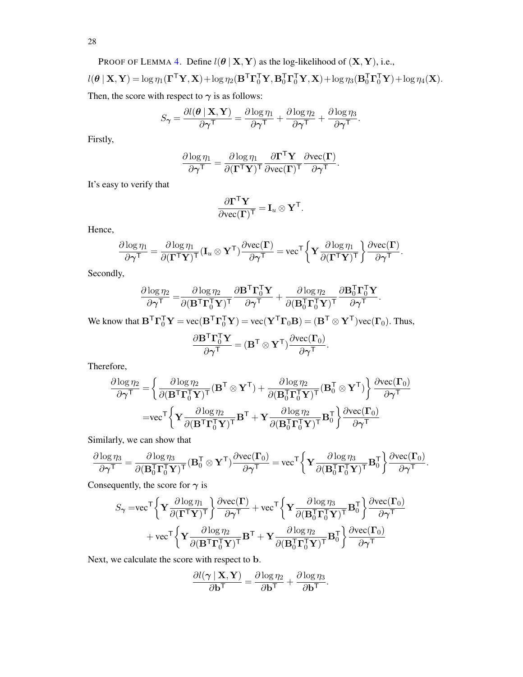28

PROOF OF LEMMA 4. Define 
$$
l(\theta | \mathbf{X}, \mathbf{Y})
$$
 as the log-likelihood of  $(\mathbf{X}, \mathbf{Y})$ , i.e.,  
\n
$$
l(\theta | \mathbf{X}, \mathbf{Y}) = \log \eta_1(\boldsymbol{\Gamma}^\mathsf{T} \mathbf{Y}, \mathbf{X}) + \log \eta_2(\mathbf{B}^\mathsf{T} \boldsymbol{\Gamma}_0^\mathsf{T} \mathbf{Y}, \mathbf{B}_0^\mathsf{T} \boldsymbol{\Gamma}_0^\mathsf{T} \mathbf{Y}, \mathbf{X}) + \log \eta_3(\mathbf{B}_0^\mathsf{T} \boldsymbol{\Gamma}_0^\mathsf{T} \mathbf{Y}) + \log \eta_4(\mathbf{X}).
$$
\nThen, the score with respect to  $\gamma$  is as follows:

$$
S_{\boldsymbol{\gamma}} = \frac{\partial l(\boldsymbol{\theta} \,|\, \mathbf{X}, \mathbf{Y})}{\partial \boldsymbol{\gamma}^{\mathsf{T}}} = \frac{\partial \log \eta_1}{\partial \boldsymbol{\gamma}^{\mathsf{T}}} + \frac{\partial \log \eta_2}{\partial \boldsymbol{\gamma}^{\mathsf{T}}} + \frac{\partial \log \eta_3}{\partial \boldsymbol{\gamma}^{\mathsf{T}}}.
$$

Firstly,

$$
\frac{\partial \log \eta_1}{\partial \gamma^{\mathsf{T}}} = \frac{\partial \log \eta_1}{\partial (\mathbf{\Gamma}^{\mathsf{T}} \mathbf{Y})^{\mathsf{T}}} \frac{\partial \mathbf{\Gamma}^{\mathsf{T}} \mathbf{Y}}{\partial \text{vec}(\mathbf{\Gamma})^{\mathsf{T}}} \frac{\partial \text{vec}(\mathbf{\Gamma})}{\partial \gamma^{\mathsf{T}}}.
$$

It's easy to verify that

$$
\frac{\partial \boldsymbol{\Gamma}^\mathsf{T} \mathbf{Y}}{\partial \text{vec}(\boldsymbol{\Gamma})^\mathsf{T}} = \mathbf{I}_u \otimes \mathbf{Y}^\mathsf{T}.
$$

Hence,

$$
\frac{\partial \log \eta_1}{\partial \gamma^{\mathsf{T}}} = \frac{\partial \log \eta_1}{\partial (\mathbf{\Gamma}^{\mathsf{T}} \mathbf{Y})^{\mathsf{T}}} (\mathbf{I}_u \otimes \mathbf{Y}^{\mathsf{T}}) \frac{\partial \text{vec}(\mathbf{\Gamma})}{\partial \gamma^{\mathsf{T}}} = \text{vec}^{\mathsf{T}} \bigg\{ \mathbf{Y} \frac{\partial \log \eta_1}{\partial (\mathbf{\Gamma}^{\mathsf{T}} \mathbf{Y})^{\mathsf{T}}} \bigg\} \frac{\partial \text{vec}(\mathbf{\Gamma})}{\partial \gamma^{\mathsf{T}}}.
$$

Secondly,

$$
\frac{\partial \log \eta_2}{\partial \gamma^{\mathsf{T}}} = \frac{\partial \log \eta_2}{\partial (\mathbf{B}^{\mathsf{T}} \mathbf{\Gamma}_0^{\mathsf{T}} \mathbf{Y})^{\mathsf{T}}} \frac{\partial \mathbf{B}^{\mathsf{T}} \mathbf{\Gamma}_0^{\mathsf{T}} \mathbf{Y}}{\partial \gamma^{\mathsf{T}}} + \frac{\partial \log \eta_2}{\partial (\mathbf{B}_0^{\mathsf{T}} \mathbf{\Gamma}_0^{\mathsf{T}} \mathbf{Y})^{\mathsf{T}}} \frac{\partial \mathbf{B}_0^{\mathsf{T}} \mathbf{\Gamma}_0^{\mathsf{T}} \mathbf{Y}}{\partial \gamma^{\mathsf{T}}}.
$$

We know that  $B^T \Gamma_0^T Y = \text{vec}(B^T \Gamma_0^T Y) = \text{vec}(Y^T \Gamma_0 B) = (B^T \otimes Y^T) \text{vec}(\Gamma_0)$ . Thus,

$$
\frac{\partial \mathbf{B}^{\mathsf{T}} \boldsymbol{\Gamma}_0^{\mathsf{T}} \mathbf{Y}}{\partial \boldsymbol{\gamma}^{\mathsf{T}}} = (\mathbf{B}^{\mathsf{T}} \otimes \mathbf{Y}^{\mathsf{T}}) \frac{\partial \text{vec}(\boldsymbol{\Gamma}_0)}{\partial \boldsymbol{\gamma}^{\mathsf{T}}}.
$$

Therefore,

$$
\begin{aligned} \frac{\partial \log \eta_2}{\partial \boldsymbol{\gamma}^{\text{T}}}=&\left\{\frac{\partial \log \eta_2}{\partial (\mathbf{B}^{\text{T}}\boldsymbol{\Gamma}_0^{\text{T}}\mathbf{Y})^{\text{T}}}(\mathbf{B}^{\text{T}}\otimes \mathbf{Y}^{\text{T}})+\frac{\partial \log \eta_2}{\partial (\mathbf{B}_0^{\text{T}}\boldsymbol{\Gamma}_0^{\text{T}}\mathbf{Y})^{\text{T}}}(\mathbf{B}_0^{\text{T}}\otimes \mathbf{Y}^{\text{T}})\right\}\frac{\partial \text{vec}(\boldsymbol{\Gamma}_0)}{\partial \boldsymbol{\gamma}^{\text{T}}}\\=&\text{vec}^{\text{T}}\bigg\{\mathbf{Y}\frac{\partial \log \eta_2}{\partial (\mathbf{B}^{\text{T}}\boldsymbol{\Gamma}_0^{\text{T}}\mathbf{Y})^{\text{T}}}\mathbf{B}^{\text{T}}+\mathbf{Y}\frac{\partial \log \eta_2}{\partial (\mathbf{B}_0^{\text{T}}\boldsymbol{\Gamma}_0^{\text{T}}\mathbf{Y})^{\text{T}}}\mathbf{B}_0^{\text{T}}\bigg\}\frac{\partial \text{vec}(\boldsymbol{\Gamma}_0)}{\partial \boldsymbol{\gamma}^{\text{T}}} \end{aligned}
$$

Similarly, we can show that

$$
\frac{\partial \log \eta_3}{\partial \boldsymbol{\gamma}^{\text{T}}} = \frac{\partial \log \eta_3}{\partial (\mathbf{B}_0^{\text{T}} \mathbf{\Gamma}_0^{\text{T}} \mathbf{Y})^{\text{T}}} (\mathbf{B}_0^{\text{T}} \otimes \mathbf{Y}^{\text{T}}) \frac{\partial \text{vec}(\mathbf{\Gamma}_0)}{\partial \boldsymbol{\gamma}^{\text{T}}} = \text{vec}^{\text{T}} \bigg\{ \mathbf{Y} \frac{\partial \log \eta_3}{\partial (\mathbf{B}_0^{\text{T}} \mathbf{\Gamma}_0^{\text{T}} \mathbf{Y})^{\text{T}}} \mathbf{B}_0^{\text{T}} \bigg\} \frac{\partial \text{vec}(\mathbf{\Gamma}_0)}{\partial \boldsymbol{\gamma}^{\text{T}}}.
$$

Consequently, the score for  $\gamma$  is

$$
S_{\gamma} = \text{vec}^{\mathsf{T}} \left\{ \mathbf{Y} \frac{\partial \log \eta_{1}}{\partial (\mathbf{\Gamma}^{\mathsf{T}} \mathbf{Y})^{\mathsf{T}}} \right\} \frac{\partial \text{vec}(\mathbf{\Gamma})}{\partial \gamma^{\mathsf{T}}} + \text{vec}^{\mathsf{T}} \left\{ \mathbf{Y} \frac{\partial \log \eta_{3}}{\partial (\mathbf{B}_{0}^{\mathsf{T}} \mathbf{\Gamma}_{0}^{\mathsf{T}} \mathbf{Y})^{\mathsf{T}}} \mathbf{B}_{0}^{\mathsf{T}} \right\} \frac{\partial \text{vec}(\mathbf{\Gamma}_{0})}{\partial \gamma^{\mathsf{T}}} \\ + \text{vec}^{\mathsf{T}} \left\{ \mathbf{Y} \frac{\partial \log \eta_{2}}{\partial (\mathbf{B}^{\mathsf{T}} \mathbf{\Gamma}_{0}^{\mathsf{T}} \mathbf{Y})^{\mathsf{T}}} \mathbf{B}^{\mathsf{T}} + \mathbf{Y} \frac{\partial \log \eta_{2}}{\partial (\mathbf{B}_{0}^{\mathsf{T}} \mathbf{\Gamma}_{0}^{\mathsf{T}} \mathbf{Y})^{\mathsf{T}}} \mathbf{B}_{0}^{\mathsf{T}} \right\} \frac{\partial \text{vec}(\mathbf{\Gamma}_{0})}{\partial \gamma^{\mathsf{T}}}
$$

Next, we calculate the score with respect to b.

$$
\frac{\partial l(\boldsymbol{\gamma} \mid \mathbf{X}, \mathbf{Y})}{\partial \mathbf{b}^{\mathsf{T}}} = \frac{\partial \log \eta_2}{\partial \mathbf{b}^{\mathsf{T}}} + \frac{\partial \log \eta_3}{\partial \mathbf{b}^{\mathsf{T}}}.
$$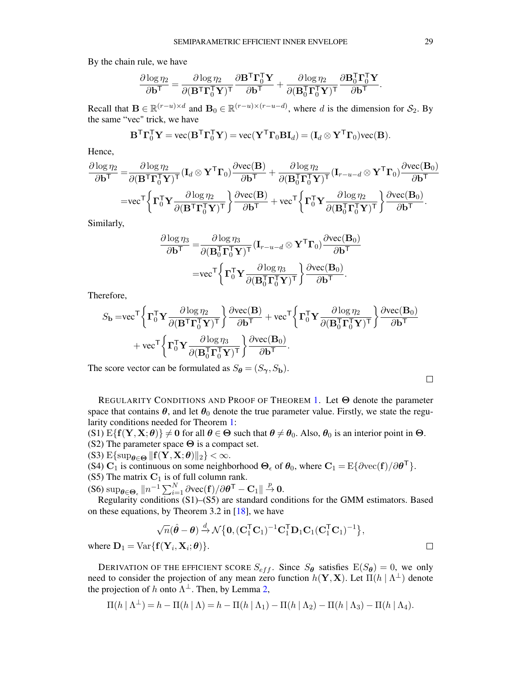By the chain rule, we have

$$
\frac{\partial \log \eta_2}{\partial \mathbf{b}^\mathsf{T}} = \frac{\partial \log \eta_2}{\partial (\mathbf{B}^\mathsf{T} \boldsymbol{\Gamma}_{0}^\mathsf{T} \mathbf{Y})^\mathsf{T}} \frac{\partial \mathbf{B}^\mathsf{T} \boldsymbol{\Gamma}_{0}^\mathsf{T} \mathbf{Y}}{\partial \mathbf{b}^\mathsf{T}} + \frac{\partial \log \eta_2}{\partial (\mathbf{B}_{0}^\mathsf{T} \boldsymbol{\Gamma}_{0}^\mathsf{T} \mathbf{Y})^\mathsf{T}} \frac{\partial \mathbf{B}_{0}^\mathsf{T} \boldsymbol{\Gamma}_{0}^\mathsf{T} \mathbf{Y}}{\partial \mathbf{b}^\mathsf{T}}.
$$

Recall that  $\mathbf{B} \in \mathbb{R}^{(r-u)\times d}$  and  $\mathbf{B}_0 \in \mathbb{R}^{(r-u)\times (r-u-d)}$ , where d is the dimension for  $\mathcal{S}_2$ . By the same "vec" trick, we have

$$
\mathbf{B}^{\mathsf{T}} \mathbf{\Gamma}_0^{\mathsf{T}} \mathbf{Y} = \text{vec}(\mathbf{B}^{\mathsf{T}} \mathbf{\Gamma}_0^{\mathsf{T}} \mathbf{Y}) = \text{vec}(\mathbf{Y}^{\mathsf{T}} \mathbf{\Gamma}_0 \mathbf{B} \mathbf{I}_d) = (\mathbf{I}_d \otimes \mathbf{Y}^{\mathsf{T}} \mathbf{\Gamma}_0) \text{vec}(\mathbf{B}).
$$

Hence,

$$
\frac{\partial \log \eta_2}{\partial \mathbf{b}^{\mathsf{T}}} = \frac{\partial \log \eta_2}{\partial (\mathbf{B}^{\mathsf{T}} \mathbf{\Gamma}_0^{\mathsf{T}} \mathbf{Y})^{\mathsf{T}}} (\mathbf{I}_d \otimes \mathbf{Y}^{\mathsf{T}} \mathbf{\Gamma}_0) \frac{\partial \text{vec}(\mathbf{B})}{\partial \mathbf{b}^{\mathsf{T}}} + \frac{\partial \log \eta_2}{\partial (\mathbf{B}_0^{\mathsf{T}} \mathbf{\Gamma}_0^{\mathsf{T}} \mathbf{Y})^{\mathsf{T}}} (\mathbf{I}_{r-u-d} \otimes \mathbf{Y}^{\mathsf{T}} \mathbf{\Gamma}_0) \frac{\partial \text{vec}(\mathbf{B}_0)}{\partial \mathbf{b}^{\mathsf{T}}} = \text{vec}^{\mathsf{T}} \left\{ \mathbf{\Gamma}_0^{\mathsf{T}} \mathbf{Y} \frac{\partial \log \eta_2}{\partial (\mathbf{B}^{\mathsf{T}} \mathbf{\Gamma}_0^{\mathsf{T}} \mathbf{Y})^{\mathsf{T}}} \right\} \frac{\partial \text{vec}(\mathbf{B})}{\partial \mathbf{b}^{\mathsf{T}}} + \text{vec}^{\mathsf{T}} \left\{ \mathbf{\Gamma}_0^{\mathsf{T}} \mathbf{Y} \frac{\partial \log \eta_2}{\partial (\mathbf{B}_0^{\mathsf{T}} \mathbf{\Gamma}_0^{\mathsf{T}} \mathbf{Y})^{\mathsf{T}}} \right\} \frac{\partial \text{vec}(\mathbf{B}_0)}{\partial \mathbf{b}^{\mathsf{T}}}.
$$

Similarly,

$$
\frac{\partial \log \eta_3}{\partial \mathbf{b}^{\mathsf{T}}} = \frac{\partial \log \eta_3}{\partial (\mathbf{B}_0^{\mathsf{T}} \mathbf{\Gamma}_0^{\mathsf{T}} \mathbf{Y})^{\mathsf{T}}} (\mathbf{I}_{r-u-d} \otimes \mathbf{Y}^{\mathsf{T}} \mathbf{\Gamma}_0) \frac{\partial \text{vec}(\mathbf{B}_0)}{\partial \mathbf{b}^{\mathsf{T}}} = \text{vec}^{\mathsf{T}} \left\{ \mathbf{\Gamma}_0^{\mathsf{T}} \mathbf{Y} \frac{\partial \log \eta_3}{\partial (\mathbf{B}_0^{\mathsf{T}} \mathbf{\Gamma}_0^{\mathsf{T}} \mathbf{Y})^{\mathsf{T}}} \right\} \frac{\partial \text{vec}(\mathbf{B}_0)}{\partial \mathbf{b}^{\mathsf{T}}}.
$$

Therefore,

$$
S_{\mathbf{b}} = \text{vec}^{\mathsf{T}} \left\{ \mathbf{\Gamma}_{0}^{\mathsf{T}} \mathbf{Y} \frac{\partial \log \eta_{2}}{\partial (\mathbf{B}^{\mathsf{T}} \mathbf{\Gamma}_{0}^{\mathsf{T}} \mathbf{Y})^{\mathsf{T}}} \right\} \frac{\partial \text{vec}(\mathbf{B})}{\partial \mathbf{b}^{\mathsf{T}}} + \text{vec}^{\mathsf{T}} \left\{ \mathbf{\Gamma}_{0}^{\mathsf{T}} \mathbf{Y} \frac{\partial \log \eta_{2}}{\partial (\mathbf{B}_{0}^{\mathsf{T}} \mathbf{\Gamma}_{0}^{\mathsf{T}} \mathbf{Y})^{\mathsf{T}}} \right\} \frac{\partial \text{vec}(\mathbf{B}_{0})}{\partial \mathbf{b}^{\mathsf{T}}} + \text{vec}^{\mathsf{T}} \left\{ \mathbf{\Gamma}_{0}^{\mathsf{T}} \mathbf{Y} \frac{\partial \log \eta_{3}}{\partial (\mathbf{B}_{0}^{\mathsf{T}} \mathbf{\Gamma}_{0}^{\mathsf{T}} \mathbf{Y})^{\mathsf{T}}} \right\} \frac{\partial \text{vec}(\mathbf{B}_{0})}{\partial \mathbf{b}^{\mathsf{T}}}.
$$

The score vector can be formulated as  $S_{\theta} = (S_{\gamma}, S_{\mathbf{b}})$ .

| REGULARITY CONDITIONS AND PROOF OF THEOREM 1. Let $\Theta$ denote the parameter                                |  |  |  |  |  |
|----------------------------------------------------------------------------------------------------------------|--|--|--|--|--|
| space that contains $\theta$ , and let $\theta_0$ denote the true parameter value. Firstly, we state the regu- |  |  |  |  |  |
| larity conditions needed for Theorem 1:                                                                        |  |  |  |  |  |

(S1)  $E\{f(Y, X; \theta)\}\neq 0$  for all  $\theta \in \Theta$  such that  $\theta \neq \theta_0$ . Also,  $\theta_0$  is an interior point in  $\Theta$ . (S2) The parameter space  $\Theta$  is a compact set.

(S3)  $E\{\sup_{\theta \in \Theta} ||f(Y, X; \theta)||_2\} < \infty$ .

(S4)  $\mathbf{C}_1$  is continuous on some neighborhood  $\mathbf{\Theta}_{\epsilon}$  of  $\mathbf{\theta}_0$ , where  $\mathbf{C}_1 = \mathrm{E} \{ \partial \mathrm{vec}(\mathbf{f}) / \partial \mathbf{\theta}^{\mathsf{T}} \}$ .

(S5) The matrix  $C_1$  is of full column rank.

 $(S6) \sup_{\theta \in \Theta_{\epsilon}} ||n^{-1} \sum_{i=1}^{N} \partial \text{vec}(\mathbf{f}) / \partial \theta^{T} - \mathbf{C}_{1} || \stackrel{p}{\rightarrow} 0.$ 

Regularity conditions (S1)–(S5) are standard conditions for the GMM estimators. Based on these equations, by Theorem 3.2 in [\[18\]](#page-39-11), we have

$$
\sqrt{n}(\hat{\boldsymbol{\theta}} - \boldsymbol{\theta}) \stackrel{d}{\rightarrow} \mathcal{N}\big\{\mathbf{0}, (\mathbf{C}_1^{\mathsf{T}}\mathbf{C}_1)^{-1}\mathbf{C}_1^{\mathsf{T}}\mathbf{D}_1\mathbf{C}_1(\mathbf{C}_1^{\mathsf{T}}\mathbf{C}_1)^{-1}\big\},\
$$

where  $\mathbf{D}_1 = \text{Var}\{\mathbf{f}(\mathbf{Y}_i, \mathbf{X}_i; \boldsymbol{\theta})\}.$ 

DERIVATION OF THE EFFICIENT SCORE  $S_{eff}$ . Since  $S_{\theta}$  satisfies  $E(S_{\theta}) = 0$ , we only need to consider the projection of any mean zero function  $h(Y, X)$ . Let  $\Pi(h | \Lambda^{\perp})$  denote the projection of h onto  $\Lambda^{\perp}$ . Then, by Lemma [2,](#page-24-0)

$$
\Pi(h | \Lambda^{\perp}) = h - \Pi(h | \Lambda) = h - \Pi(h | \Lambda_1) - \Pi(h | \Lambda_2) - \Pi(h | \Lambda_3) - \Pi(h | \Lambda_4).
$$

 $\Box$ 

 $\Box$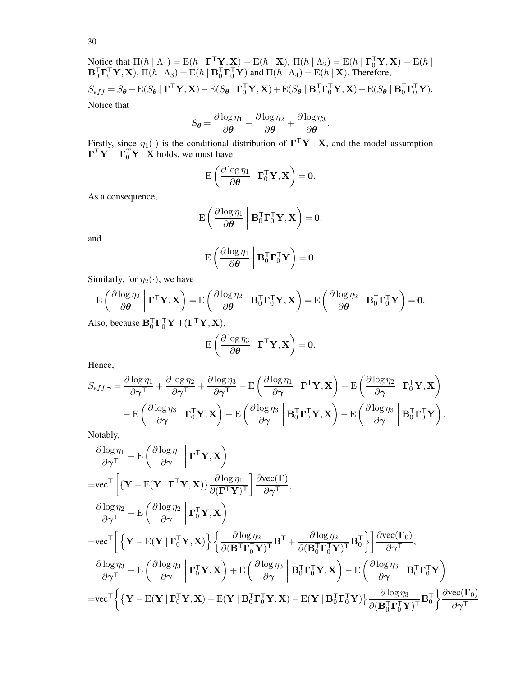Notice that  $\Pi(h | \Lambda_1) = E(h | \Gamma^T Y, X) - E(h | X)$ ,  $\Pi(h | \Lambda_2) = E(h | \Gamma_0^T Y, X) - E(h | X)$  $\mathbf{B}_0^\mathsf{T} \mathbf{\Gamma}_0^\mathsf{T} \mathbf{Y}, \mathbf{X}$ ),  $\Pi(h \mid \Lambda_3) = \mathrm{E}(h \mid \mathbf{B}_0^\mathsf{T} \mathbf{\Gamma}_0^\mathsf{T} \mathbf{Y})$  and  $\Pi(h \mid \Lambda_4) = \mathrm{E}(h \mid \mathbf{X})$ . Therefore,  $S_{eff} = S_{\theta} - \mathcal{E}(S_{\theta} | \mathbf{\Gamma}^{\mathsf{T}} \mathbf{Y}, \mathbf{X}) - \mathcal{E}(S_{\theta} | \mathbf{\Gamma}_0^{\mathsf{T}} \mathbf{Y}, \mathbf{X}) + \mathcal{E}(S_{\theta} | \mathbf{B}_0^{\mathsf{T}} \mathbf{\Gamma}_0^{\mathsf{T}} \mathbf{Y}, \mathbf{X}) - \mathcal{E}(S_{\theta} | \mathbf{B}_0^{\mathsf{T}} \mathbf{\Gamma}_0^{\mathsf{T}} \mathbf{Y}).$ Notice that

$$
S_{\theta} = \frac{\partial \log \eta_1}{\partial \theta} + \frac{\partial \log \eta_2}{\partial \theta} + \frac{\partial \log \eta_3}{\partial \theta}.
$$

Firstly, since  $\eta_1(\cdot)$  is the conditional distribution of  $\mathbf{\Gamma}^\top \mathbf{Y} \mid \mathbf{X}$ , and the model assumption  $\mathbf{\Gamma}^T\mathbf{Y} \perp \mathbf{\Gamma}_0^T\mathbf{Y} \mid \mathbf{X}$  holds, we must have

$$
\mathrm{E}\left(\frac{\partial \log \eta_1}{\partial \boldsymbol{\theta}} \bigg| \boldsymbol{\Gamma}_0^{\mathsf{T}} \mathbf{Y}, \mathbf{X}\right) = \mathbf{0}.
$$

As a consequence,

$$
\mathrm{E}\left(\frac{\partial \log \eta_1}{\partial \pmb{\theta}} \;\middle\vert\; \mathbf{B}_0^\mathsf{T}\boldsymbol{\Gamma}_0^\mathsf{T}\mathbf{Y},\mathbf{X}\right) = \mathbf{0},
$$

and

$$
\mathrm{E}\left(\frac{\partial \log \eta_1}{\partial \boldsymbol{\theta}} \bigg| \mathbf{B}_0^{\mathsf{T}} \mathbf{\Gamma}_0^{\mathsf{T}} \mathbf{Y}\right) = \mathbf{0}.
$$

Similarly, for  $\eta_2(\cdot)$ , we have

$$
E\left(\frac{\partial \log \eta_2}{\partial \theta}\middle|\boldsymbol{\Gamma}^\mathsf{T}\boldsymbol{Y},\boldsymbol{X}\right) = E\left(\frac{\partial \log \eta_2}{\partial \theta}\middle|\boldsymbol{B}_0^\mathsf{T}\boldsymbol{\Gamma}_0^\mathsf{T}\boldsymbol{Y},\boldsymbol{X}\right) = E\left(\frac{\partial \log \eta_2}{\partial \theta}\middle|\boldsymbol{B}_0^\mathsf{T}\boldsymbol{\Gamma}_0^\mathsf{T}\boldsymbol{Y}\right) = \mathbf{0}.
$$

Also, because  $\mathbf{B}_{0}^{\mathsf{T}} \mathbf{\Gamma}_{0}^{\mathsf{T}} \mathbf{Y} \mathbb{1}(\mathbf{\Gamma}^{\mathsf{T}} \mathbf{Y}, \mathbf{X}),$ 

$$
\mathrm{E}\left(\frac{\partial \log \eta_3}{\partial \boldsymbol{\theta}} \;\middle\vert\; \boldsymbol{\Gamma}^\mathsf{T} \boldsymbol{Y}, \boldsymbol{X}\right) = \mathbf{0}.
$$

Hence,

$$
S_{eff,\boldsymbol{\gamma}} = \frac{\partial \log \eta_1}{\partial \boldsymbol{\gamma}^{\mathsf{T}}} + \frac{\partial \log \eta_2}{\partial \boldsymbol{\gamma}^{\mathsf{T}}} + \frac{\partial \log \eta_3}{\partial \boldsymbol{\gamma}^{\mathsf{T}}} - \mathrm{E}\left(\frac{\partial \log \eta_1}{\partial \boldsymbol{\gamma}} \middle| \boldsymbol{\Gamma}^{\mathsf{T}} \mathbf{Y}, \mathbf{X}\right) - \mathrm{E}\left(\frac{\partial \log \eta_2}{\partial \boldsymbol{\gamma}} \middle| \boldsymbol{\Gamma}_0^{\mathsf{T}} \mathbf{Y}, \mathbf{X}\right) - \mathrm{E}\left(\frac{\partial \log \eta_3}{\partial \boldsymbol{\gamma}} \middle| \boldsymbol{\Gamma}_0^{\mathsf{T}} \mathbf{Y}, \mathbf{X}\right) + \mathrm{E}\left(\frac{\partial \log \eta_3}{\partial \boldsymbol{\gamma}} \middle| \boldsymbol{\mathbf{B}}_0^{\mathsf{T}} \boldsymbol{\Gamma}_0^{\mathsf{T}} \mathbf{Y}, \mathbf{X}\right) - \mathrm{E}\left(\frac{\partial \log \eta_3}{\partial \boldsymbol{\gamma}} \middle| \boldsymbol{\mathbf{B}}_0^{\mathsf{T}} \boldsymbol{\Gamma}_0^{\mathsf{T}} \mathbf{Y}\right).
$$

Notably,

$$
\begin{aligned} &\frac{\partial \log \eta_1}{\partial \gamma^T}-\mathrm{E}\left(\frac{\partial \log \eta_1}{\partial \gamma}\left|\boldsymbol{\Gamma}^T\boldsymbol{Y},\boldsymbol{X}\right.\right)\\ =&\mathrm{vec}^T\left[\{\boldsymbol{Y}-\mathrm{E}(\boldsymbol{Y}\,|\,\boldsymbol{\Gamma}^T\boldsymbol{Y},\boldsymbol{X})\}\frac{\partial \log \eta_1}{\partial (\boldsymbol{\Gamma}^T\boldsymbol{Y})^T}\right]\frac{\partial \mathrm{vec}(\boldsymbol{\Gamma})}{\partial \gamma^T},\\ &\frac{\partial \log \eta_2}{\partial \gamma^T}-\mathrm{E}\left(\frac{\partial \log \eta_2}{\partial \gamma}\left|\boldsymbol{\Gamma}^T_0\boldsymbol{Y},\boldsymbol{X}\right.\right)\\ =&\mathrm{vec}^T\left[\left\{\boldsymbol{Y}-\mathrm{E}(\boldsymbol{Y}\,|\,\boldsymbol{\Gamma}^T_0\boldsymbol{Y},\boldsymbol{X})\right\}\left\{\frac{\partial \log \eta_2}{\partial (\boldsymbol{B}^T\boldsymbol{\Gamma}^T_0\boldsymbol{Y})^T}\boldsymbol{B}^T+\frac{\partial \log \eta_2}{\partial (\boldsymbol{B}^T_0\boldsymbol{\Gamma}^T_0\boldsymbol{Y})^T}\boldsymbol{B}^T_0\right\}\right]\frac{\partial \mathrm{vec}(\boldsymbol{\Gamma}_0)}{\partial \gamma^T},\\ &\frac{\partial \log \eta_3}{\partial \gamma^T}-\mathrm{E}\left(\frac{\partial \log \eta_3}{\partial \gamma}\left|\boldsymbol{\Gamma}^T_0\boldsymbol{Y},\boldsymbol{X}\right.\right)+\mathrm{E}\left(\frac{\partial \log \eta_3}{\partial \gamma}\left|\boldsymbol{B}^T_0\boldsymbol{\Gamma}^T_0\boldsymbol{Y},\boldsymbol{X}\right.\right)-\mathrm{E}\left(\frac{\partial \log \eta_3}{\partial \gamma}\left|\boldsymbol{B}^T_0\boldsymbol{\Gamma}^T_0\boldsymbol{Y}\right.\right)\\ =&\mathrm{vec}^T\bigg\{\{\boldsymbol{Y}-\mathrm{E}(\boldsymbol{Y}\,|\,\boldsymbol{\Gamma}^T_0\boldsymbol{Y},\boldsymbol{X})+\mathrm{E}(\boldsymbol{Y}\,|\,\boldsymbol{B}^T_0\boldsymbol{\Gamma}^T_0\boldsymbol{Y},\boldsymbol{X})-\mathrm{E}(\boldsymbol{Y}\,|\,\boldsymbol{B}^T_0\boldsymbol{\Gamma}^T_0\boldsymbol{Y})\right\}\frac{\
$$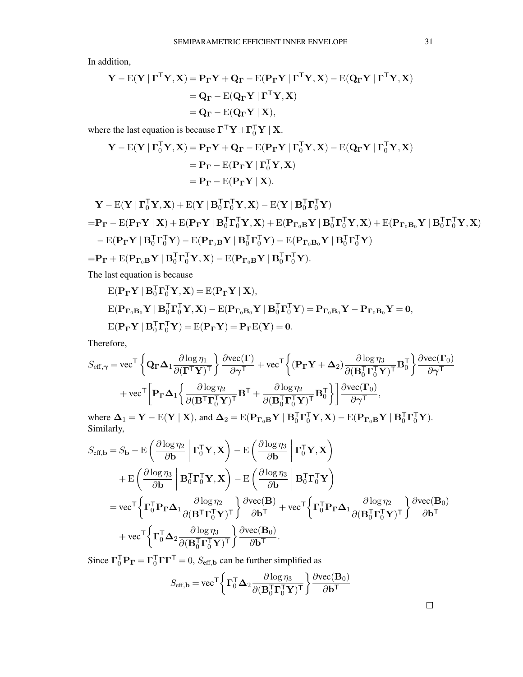In addition,

$$
\begin{aligned} \mathbf{Y} - \mathbf{E}(\mathbf{Y} \mid \boldsymbol{\Gamma}^{\mathsf{T}} \mathbf{Y}, \mathbf{X}) &= \mathbf{P}_{\boldsymbol{\Gamma}} \mathbf{Y} + \mathbf{Q}_{\boldsymbol{\Gamma}} - \mathbf{E}(\mathbf{P}_{\boldsymbol{\Gamma}} \mathbf{Y} \mid \boldsymbol{\Gamma}^{\mathsf{T}} \mathbf{Y}, \mathbf{X}) - \mathbf{E}(\mathbf{Q}_{\boldsymbol{\Gamma}} \mathbf{Y} \mid \boldsymbol{\Gamma}^{\mathsf{T}} \mathbf{Y}, \mathbf{X}) \\ &= \mathbf{Q}_{\boldsymbol{\Gamma}} - \mathbf{E}(\mathbf{Q}_{\boldsymbol{\Gamma}} \mathbf{Y} \mid \boldsymbol{\Gamma}^{\mathsf{T}} \mathbf{Y}, \mathbf{X}) \\ &= \mathbf{Q}_{\boldsymbol{\Gamma}} - \mathbf{E}(\mathbf{Q}_{\boldsymbol{\Gamma}} \mathbf{Y} \mid \mathbf{X}), \end{aligned}
$$

where the last equation is because  $\mathbf{\Gamma}^{\mathsf{T}} \mathbf{Y} \perp \mathbf{\Gamma}_0^{\mathsf{T}} \mathbf{Y} \mid \mathbf{X}$ .

$$
\begin{aligned} \mathbf{Y} - \mathrm{E}(\mathbf{Y} \mid \boldsymbol{\Gamma}_0^{\mathsf{T}} \mathbf{Y}, \mathbf{X}) &= \mathbf{P}_{\boldsymbol{\Gamma}} \mathbf{Y} + \mathbf{Q}_{\boldsymbol{\Gamma}} - \mathrm{E}(\mathbf{P}_{\boldsymbol{\Gamma}} \mathbf{Y} \mid \boldsymbol{\Gamma}_0^{\mathsf{T}} \mathbf{Y}, \mathbf{X}) - \mathrm{E}(\mathbf{Q}_{\boldsymbol{\Gamma}} \mathbf{Y} \mid \boldsymbol{\Gamma}_0^{\mathsf{T}} \mathbf{Y}, \mathbf{X}) \\ &= \mathbf{P}_{\boldsymbol{\Gamma}} - \mathrm{E}(\mathbf{P}_{\boldsymbol{\Gamma}} \mathbf{Y} \mid \boldsymbol{\Gamma}_0^{\mathsf{T}} \mathbf{Y}, \mathbf{X}) \\ &= \mathbf{P}_{\boldsymbol{\Gamma}} - \mathrm{E}(\mathbf{P}_{\boldsymbol{\Gamma}} \mathbf{Y} \mid \mathbf{X}). \end{aligned}
$$

$$
\mathbf{Y} - \mathbf{E}(\mathbf{Y} \mid \mathbf{\Gamma}_{0}^{T} \mathbf{Y}, \mathbf{X}) + \mathbf{E}(\mathbf{Y} \mid \mathbf{B}_{0}^{T} \mathbf{\Gamma}_{0}^{T} \mathbf{Y}, \mathbf{X}) - \mathbf{E}(\mathbf{Y} \mid \mathbf{B}_{0}^{T} \mathbf{\Gamma}_{0}^{T} \mathbf{Y})
$$
\n
$$
= \mathbf{P}_{\mathbf{\Gamma}} - \mathbf{E}(\mathbf{P}_{\mathbf{\Gamma}} \mathbf{Y} \mid \mathbf{X}) + \mathbf{E}(\mathbf{P}_{\mathbf{\Gamma}} \mathbf{Y} \mid \mathbf{B}_{0}^{T} \mathbf{\Gamma}_{0}^{T} \mathbf{Y}, \mathbf{X}) + \mathbf{E}(\mathbf{P}_{\mathbf{\Gamma}_{0} \mathbf{B}} \mathbf{Y} \mid \mathbf{B}_{0}^{T} \mathbf{\Gamma}_{0}^{T} \mathbf{Y}, \mathbf{X}) + \mathbf{E}(\mathbf{P}_{\mathbf{\Gamma}_{0} \mathbf{B}} \mathbf{Y} \mid \mathbf{B}_{0}^{T} \mathbf{\Gamma}_{0}^{T} \mathbf{Y}, \mathbf{X})
$$
\n
$$
- \mathbf{E}(\mathbf{P}_{\mathbf{\Gamma}} \mathbf{Y} \mid \mathbf{B}_{0}^{T} \mathbf{\Gamma}_{0}^{T} \mathbf{Y}) - \mathbf{E}(\mathbf{P}_{\mathbf{\Gamma}_{0} \mathbf{B}} \mathbf{Y} \mid \mathbf{B}_{0}^{T} \mathbf{\Gamma}_{0}^{T} \mathbf{Y}) - \mathbf{E}(\mathbf{P}_{\mathbf{\Gamma}_{0} \mathbf{B}} \mathbf{Y} \mid \mathbf{B}_{0}^{T} \mathbf{\Gamma}_{0}^{T} \mathbf{Y})
$$
\n
$$
= \mathbf{P}_{\mathbf{\Gamma}} + \mathbf{E}(\mathbf{P}_{\mathbf{\Gamma}_{0} \mathbf{B}} \mathbf{Y} \mid \mathbf{B}_{0}^{T} \mathbf{\Gamma}_{0}^{T} \mathbf{Y}, \mathbf{X}) - \mathbf{E}(\mathbf{P}_{\mathbf{\Gamma}_{0} \mathbf{B}} \mathbf{Y} \mid \mathbf{B}_{0}^{T} \mathbf{\Gamma}_{0}^{T} \mathbf{Y}).
$$

The last equation is because

$$
E(\mathbf{P}_{\mathbf{\Gamma}}\mathbf{Y} \mid \mathbf{B}_{0}^{T}\mathbf{\Gamma}_{0}^{T}\mathbf{Y}, \mathbf{X}) = E(\mathbf{P}_{\mathbf{\Gamma}}\mathbf{Y} \mid \mathbf{X}),
$$
  
\n
$$
E(\mathbf{P}_{\mathbf{\Gamma}_{0}\mathbf{B}_{0}}\mathbf{Y} \mid \mathbf{B}_{0}^{T}\mathbf{\Gamma}_{0}^{T}\mathbf{Y}, \mathbf{X}) - E(\mathbf{P}_{\mathbf{\Gamma}_{0}\mathbf{B}_{0}}\mathbf{Y} \mid \mathbf{B}_{0}^{T}\mathbf{\Gamma}_{0}^{T}\mathbf{Y}) = \mathbf{P}_{\mathbf{\Gamma}_{0}\mathbf{B}_{0}}\mathbf{Y} - \mathbf{P}_{\mathbf{\Gamma}_{0}\mathbf{B}_{0}}\mathbf{Y} = \mathbf{0},
$$
  
\n
$$
E(\mathbf{P}_{\mathbf{\Gamma}}\mathbf{Y} \mid \mathbf{B}_{0}^{T}\mathbf{\Gamma}_{0}^{T}\mathbf{Y}) = E(\mathbf{P}_{\mathbf{\Gamma}}\mathbf{Y}) = \mathbf{P}_{\mathbf{\Gamma}}E(\mathbf{Y}) = \mathbf{0}.
$$

Therefore,

$$
S_{\text{eff},\gamma} = \text{vec}^{\mathsf{T}} \left\{ \mathbf{Q}_{\mathbf{\Gamma}} \mathbf{\Delta}_1 \frac{\partial \log \eta_1}{\partial (\mathbf{\Gamma}^{\mathsf{T}} \mathbf{Y})^{\mathsf{T}}} \right\} \frac{\partial \text{vec}(\mathbf{\Gamma})}{\partial \gamma^{\mathsf{T}}} + \text{vec}^{\mathsf{T}} \left\{ (\mathbf{P}_{\mathbf{\Gamma}} \mathbf{Y} + \mathbf{\Delta}_2) \frac{\partial \log \eta_3}{\partial (\mathbf{B}_0^{\mathsf{T}} \mathbf{\Gamma}_0^{\mathsf{T}} \mathbf{Y})^{\mathsf{T}}} \mathbf{B}_0^{\mathsf{T}} \right\} \frac{\partial \text{vec}(\mathbf{\Gamma}_0)}{\partial \gamma^{\mathsf{T}}} + \text{vec}^{\mathsf{T}} \left[ \mathbf{P}_{\mathbf{\Gamma}} \mathbf{\Delta}_1 \left\{ \frac{\partial \log \eta_2}{\partial (\mathbf{B}^{\mathsf{T}} \mathbf{\Gamma}_0^{\mathsf{T}} \mathbf{Y})^{\mathsf{T}}} \mathbf{B}^{\mathsf{T}} + \frac{\partial \log \eta_2}{\partial (\mathbf{B}_0^{\mathsf{T}} \mathbf{\Gamma}_0^{\mathsf{T}} \mathbf{Y})^{\mathsf{T}}} \mathbf{B}_0^{\mathsf{T}} \right\} \right] \frac{\partial \text{vec}(\mathbf{\Gamma}_0)}{\partial \gamma^{\mathsf{T}}},
$$

where  $\mathbf{\Delta}_1 = \mathbf{Y} - \mathrm{E}(\mathbf{Y} \mid \mathbf{X})$ , and  $\mathbf{\Delta}_2 = \mathrm{E}(\mathbf{P}_{\Gamma_0 \mathbf{B}} \mathbf{Y} \mid \mathbf{B}_0^\mathsf{T} \mathbf{\Gamma}_0^\mathsf{T} \mathbf{Y}, \mathbf{X}) - \mathrm{E}(\mathbf{P}_{\Gamma_0 \mathbf{B}} \mathbf{Y} \mid \mathbf{B}_0^\mathsf{T} \mathbf{\Gamma}_0^\mathsf{T} \mathbf{Y}).$ Similarly,

$$
S_{\text{eff},\mathbf{b}} = S_{\mathbf{b}} - \mathrm{E}\left(\frac{\partial \log \eta_2}{\partial \mathbf{b}} \middle| \mathbf{\Gamma}_0^{\mathsf{T}} \mathbf{Y}, \mathbf{X}\right) - \mathrm{E}\left(\frac{\partial \log \eta_3}{\partial \mathbf{b}} \middle| \mathbf{\Gamma}_0^{\mathsf{T}} \mathbf{Y}, \mathbf{X}\right) + \mathrm{E}\left(\frac{\partial \log \eta_3}{\partial \mathbf{b}} \middle| \mathbf{B}_0^{\mathsf{T}} \mathbf{\Gamma}_0^{\mathsf{T}} \mathbf{Y}, \mathbf{X}\right) - \mathrm{E}\left(\frac{\partial \log \eta_3}{\partial \mathbf{b}} \middle| \mathbf{B}_0^{\mathsf{T}} \mathbf{\Gamma}_0^{\mathsf{T}} \mathbf{Y}\right) = \mathrm{vec}^{\mathsf{T}} \left\{ \mathbf{\Gamma}_0^{\mathsf{T}} \mathbf{P}_{\mathbf{\Gamma}} \mathbf{\Delta}_1 \frac{\partial \log \eta_2}{\partial (\mathbf{B}^{\mathsf{T}} \mathbf{\Gamma}_0^{\mathsf{T}} \mathbf{Y})^{\mathsf{T}} \right\} \frac{\partial \mathrm{vec}(\mathbf{B})}{\partial \mathbf{b}^{\mathsf{T}}} + \mathrm{vec}^{\mathsf{T}} \left\{ \mathbf{\Gamma}_0^{\mathsf{T}} \mathbf{P}_{\mathbf{\Gamma}} \mathbf{\Delta}_1 \frac{\partial \log \eta_2}{\partial (\mathbf{B}_0^{\mathsf{T}} \mathbf{\Gamma}_0^{\mathsf{T}} \mathbf{Y})^{\mathsf{T}} \right\} \frac{\partial \mathrm{vec}(\mathbf{B})}{\partial \mathbf{b}^{\mathsf{T}}} + \mathrm{vec}^{\mathsf{T}} \left\{ \mathbf{\Gamma}_0^{\mathsf{T}} \mathbf{\Delta}_2 \frac{\partial \log \eta_3}{\partial (\mathbf{B}_0^{\mathsf{T}} \mathbf{\Gamma}_0^{\mathsf{T}} \mathbf{Y})^{\mathsf{T}} \right\} \frac{\partial \mathrm{vec}(\mathbf{B}_0)}{\partial \mathbf{b}^{\mathsf{T}}}.
$$

Since  $\Gamma_0^{\mathsf{T}} \mathbf{P}_{\mathbf{\Gamma}} = \Gamma_0^{\mathsf{T}} \Gamma \Gamma^{\mathsf{T}} = 0$ ,  $S_{\text{eff},\mathbf{b}}$  can be further simplified as

$$
S_{\text{eff},\mathbf{b}} = \text{vec}^{\mathsf{T}} \left\{ \mathbf{\Gamma}_{0}^{\mathsf{T}} \mathbf{\Delta}_{2} \frac{\partial \log \eta_{3}}{\partial (\mathbf{B}_{0}^{\mathsf{T}} \mathbf{\Gamma}_{0}^{\mathsf{T}} \mathbf{Y})^{\mathsf{T}}} \right\} \frac{\partial \text{vec}(\mathbf{B}_{0})}{\partial \mathbf{b}^{\mathsf{T}}}
$$

 $\Box$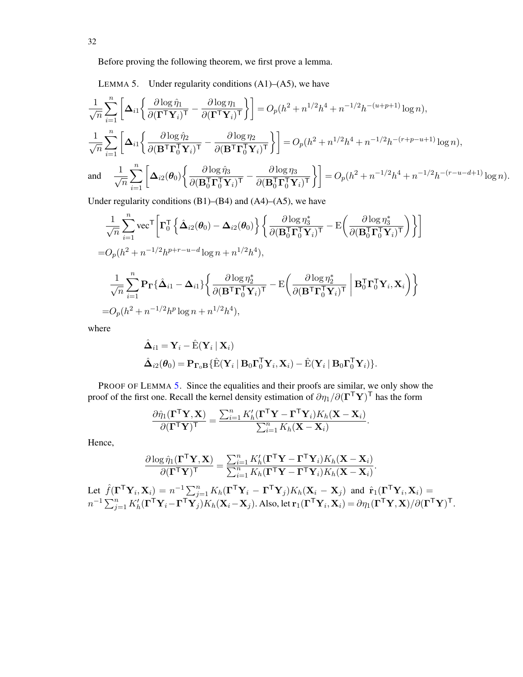Before proving the following theorem, we first prove a lemma.

<span id="page-31-0"></span>LEMMA 5. Under regularity conditions  $(A1)$ – $(A5)$ , we have

$$
\label{eq:2} \begin{split} &\frac{1}{\sqrt{n}}\sum_{i=1}^n\bigg[\Delta_{i1}\bigg\{\frac{\partial\log\hat{\eta}_1}{\partial(\Gamma^\mathsf{T}\mathbf{Y}_i)^\mathsf{T}}-\frac{\partial\log\eta_1}{\partial(\Gamma^\mathsf{T}\mathbf{Y}_i)^\mathsf{T}}\bigg\}\bigg]=O_p(h^2+n^{1/2}h^4+n^{-1/2}h^{-(u+p+1)}\log n),\\ &\frac{1}{\sqrt{n}}\sum_{i=1}^n\bigg[\Delta_{i1}\bigg\{\frac{\partial\log\hat{\eta}_2}{\partial(\mathbf{B}^\mathsf{T}\boldsymbol{\Gamma}_0^\mathsf{T}\mathbf{Y}_i)^\mathsf{T}}-\frac{\partial\log\eta_2}{\partial(\mathbf{B}^\mathsf{T}\boldsymbol{\Gamma}_0^\mathsf{T}\mathbf{Y}_i)^\mathsf{T}}\bigg\}\bigg]=O_p(h^2+n^{1/2}h^4+n^{-1/2}h^{-(r+p-u+1)}\log n),\\ &\text{and}\quad\frac{1}{\sqrt{n}}\sum_{i=1}^n\bigg[\Delta_{i2}(\pmb{\theta}_0)\bigg\{\frac{\partial\log\hat{\eta}_3}{\partial(\mathbf{B}_0^\mathsf{T}\boldsymbol{\Gamma}_0^\mathsf{T}\mathbf{Y}_i)^\mathsf{T}}-\frac{\partial\log\eta_3}{\partial(\mathbf{B}_0^\mathsf{T}\boldsymbol{\Gamma}_0^\mathsf{T}\mathbf{Y}_i)^\mathsf{T}}\bigg\}\bigg]=O_p(h^2+n^{-1/2}h^4+n^{-1/2}h^{-(r-u-d+1)}\log n). \end{split}
$$

Under regularity conditions  $(B1)$ – $(B4)$  and  $(A4)$ – $(A5)$ , we have

$$
\frac{1}{\sqrt{n}} \sum_{i=1}^{n} \text{vec}^{\mathsf{T}} \left[ \mathbf{\Gamma}_{0}^{\mathsf{T}} \left\{ \hat{\mathbf{\Delta}}_{i2}(\boldsymbol{\theta}_{0}) - \mathbf{\Delta}_{i2}(\boldsymbol{\theta}_{0}) \right\} \left\{ \frac{\partial \log \eta_{3}^{*}}{\partial (\mathbf{B}_{0}^{\mathsf{T}} \mathbf{\Gamma}_{0}^{\mathsf{T}} \mathbf{Y}_{i})^{\mathsf{T}}} - \mathbf{E} \left( \frac{\partial \log \eta_{3}^{*}}{\partial (\mathbf{B}_{0}^{\mathsf{T}} \mathbf{\Gamma}_{0}^{\mathsf{T}} \mathbf{Y}_{i})^{\mathsf{T}}} \right) \right\} \right]
$$
  
=  $O_{p}(h^{2} + n^{-1/2}h^{p+r-u-d} \log n + n^{1/2}h^{4}),$   

$$
\frac{1}{\sqrt{n}} \sum_{i=1}^{n} \mathbf{P}_{\mathbf{\Gamma}} \{ \hat{\mathbf{\Delta}}_{i1} - \mathbf{\Delta}_{i1} \} \left\{ \frac{\partial \log \eta_{2}^{*}}{\partial (\mathbf{B}^{\mathsf{T}} \mathbf{\Gamma}_{0}^{\mathsf{T}} \mathbf{Y}_{i})^{\mathsf{T}}} - \mathbf{E} \left( \frac{\partial \log \eta_{2}^{*}}{\partial (\mathbf{B}^{\mathsf{T}} \mathbf{\Gamma}_{0}^{\mathsf{T}} \mathbf{Y}_{i})^{\mathsf{T}}} \right| \mathbf{B}_{0}^{\mathsf{T}} \mathbf{\Gamma}_{0}^{\mathsf{T}} \mathbf{Y}_{i}, \mathbf{X}_{i} \right) \right\}
$$
  
=  $O_{p}(h^{2} + n^{-1/2}h^{p} \log n + n^{1/2}h^{4}),$ 

where

$$
\hat{\mathbf{\Delta}}_{i1} = \mathbf{Y}_i - \hat{\mathrm{E}}(\mathbf{Y}_i \mid \mathbf{X}_i)
$$
  
\n
$$
\hat{\mathbf{\Delta}}_{i2}(\theta_0) = \mathbf{P}_{\mathbf{\Gamma}_0 \mathbf{B}} \{ \hat{\mathrm{E}}(\mathbf{Y}_i \mid \mathbf{B}_0 \mathbf{\Gamma}_0^\mathsf{T} \mathbf{Y}_i, \mathbf{X}_i) - \hat{\mathrm{E}}(\mathbf{Y}_i \mid \mathbf{B}_0 \mathbf{\Gamma}_0^\mathsf{T} \mathbf{Y}_i) \}.
$$

PROOF OF LEMMA [5.](#page-31-0) Since the equalities and their proofs are similar, we only show the proof of the first one. Recall the kernel density estimation of  $\partial \eta_1/\partial (\mathbf{\Gamma}^\mathsf{T} \mathbf{Y})^\mathsf{T}$  has the form

$$
\frac{\partial \hat{\eta}_1(\boldsymbol{\Gamma}^\mathsf{T} \mathbf{Y}, \mathbf{X})}{\partial (\boldsymbol{\Gamma}^\mathsf{T} \mathbf{Y})^\mathsf{T}} = \frac{\sum_{i=1}^n K'_h (\boldsymbol{\Gamma}^\mathsf{T} \mathbf{Y} - \boldsymbol{\Gamma}^\mathsf{T} \mathbf{Y}_i) K_h(\mathbf{X} - \mathbf{X}_i)}{\sum_{i=1}^n K_h(\mathbf{X} - \mathbf{X}_i)}.
$$

Hence,

$$
\frac{\partial \log \hat{\eta}_1(\boldsymbol{\Gamma}^\mathsf{T}\mathbf{Y}, \mathbf{X})}{\partial (\boldsymbol{\Gamma}^\mathsf{T}\mathbf{Y})^\mathsf{T}} = \frac{\sum_{i=1}^n K_h'(\boldsymbol{\Gamma}^\mathsf{T}\mathbf{Y} - \boldsymbol{\Gamma}^\mathsf{T}\mathbf{Y}_i)K_h(\mathbf{X}-\mathbf{X}_i)}{\sum_{i=1}^n K_h(\boldsymbol{\Gamma}^\mathsf{T}\mathbf{Y} - \boldsymbol{\Gamma}^\mathsf{T}\mathbf{Y}_i)K_h(\mathbf{X}-\mathbf{X}_i)}.
$$

Let  $\hat{f}(\mathbf{\Gamma}^{\mathsf{T}} \mathbf{Y}_i, \mathbf{X}_i) = n^{-1} \sum_{j=1}^n K_h (\mathbf{\Gamma}^{\mathsf{T}} \mathbf{Y}_i - \mathbf{\Gamma}^{\mathsf{T}} \mathbf{Y}_j) K_h(\mathbf{X}_i - \mathbf{X}_j)$  and  $\hat{\mathbf{r}}_1(\mathbf{\Gamma}^{\mathsf{T}} \mathbf{Y}_i, \mathbf{X}_i) =$  $n^{-1}\sum_{j=1}^n K_h'(\boldsymbol{\Gamma}^\mathsf{T}\mathbf{Y}_i - \boldsymbol{\Gamma}^\mathsf{T}\mathbf{Y}_j')K_h(\mathbf{X}_i - \mathbf{X}_j).$  Also, let  $\mathbf{r}_1(\boldsymbol{\Gamma}^\mathsf{T}\mathbf{Y}_i, \mathbf{X}_i) = \partial \eta_1(\boldsymbol{\Gamma}^\mathsf{T}\mathbf{Y}, \mathbf{X})/\partial (\boldsymbol{\Gamma}^\mathsf{T}\mathbf{Y})^\mathsf{T}.$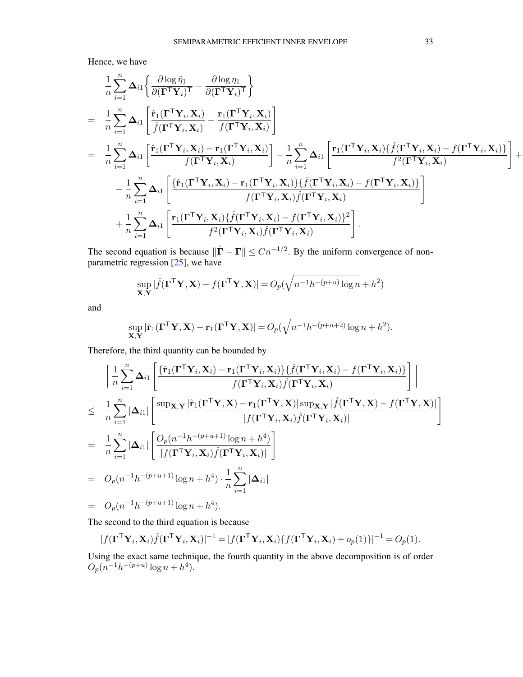Hence, we have

$$
\begin{split} &\frac{1}{n}\sum_{i=1}^{n}\Delta_{i1}\bigg\{\frac{\partial\log\hat{\eta}_{1}}{\partial(\boldsymbol{\Gamma}^{\mathsf{T}}\boldsymbol{Y}_{i})^{\mathsf{T}}}-\frac{\partial\log\eta_{1}}{\partial(\boldsymbol{\Gamma}^{\mathsf{T}}\boldsymbol{Y}_{i})^{\mathsf{T}}}\bigg\}\\ &=&\frac{1}{n}\sum_{i=1}^{n}\Delta_{i1}\Bigg[\frac{\hat{\mathbf{r}}_{1}(\boldsymbol{\Gamma}^{\mathsf{T}}\boldsymbol{Y}_{i},\boldsymbol{X}_{i})}{\hat{f}(\boldsymbol{\Gamma}^{\mathsf{T}}\boldsymbol{Y}_{i},\boldsymbol{X}_{i})}-\frac{\mathbf{r}_{1}(\boldsymbol{\Gamma}^{\mathsf{T}}\boldsymbol{Y}_{i},\boldsymbol{X}_{i})}{f(\boldsymbol{\Gamma}^{\mathsf{T}}\boldsymbol{Y}_{i},\boldsymbol{X}_{i})}\Bigg]\\ &=&\frac{1}{n}\sum_{i=1}^{n}\Delta_{i1}\Bigg[\frac{\hat{\mathbf{r}}_{1}(\boldsymbol{\Gamma}^{\mathsf{T}}\boldsymbol{Y}_{i},\boldsymbol{X}_{i})-\mathbf{r}_{1}(\boldsymbol{\Gamma}^{\mathsf{T}}\boldsymbol{Y}_{i},\boldsymbol{X}_{i})}{f(\boldsymbol{\Gamma}^{\mathsf{T}}\boldsymbol{Y}_{i},\boldsymbol{X}_{i})}\Bigg]-\frac{1}{n}\sum_{i=1}^{n}\Delta_{i1}\Bigg[\frac{\mathbf{r}_{1}(\boldsymbol{\Gamma}^{\mathsf{T}}\boldsymbol{Y}_{i},\boldsymbol{X}_{i})}{f^{2}(\boldsymbol{\Gamma}^{\mathsf{T}}\boldsymbol{Y}_{i},\boldsymbol{X}_{i})}\Bigg]+\\ &-\frac{1}{n}\sum_{i=1}^{n}\Delta_{i1}\Bigg[\frac{\{\hat{\mathbf{r}}_{1}(\boldsymbol{\Gamma}^{\mathsf{T}}\boldsymbol{Y}_{i},\boldsymbol{X}_{i})-\mathbf{r}_{1}(\boldsymbol{\Gamma}^{\mathsf{T}}\boldsymbol{Y}_{i},\boldsymbol{X}_{i})\}\{\hat{f}(\boldsymbol{\Gamma}^{\mathsf{T}}\boldsymbol{Y}_{i},\boldsymbol{X}_{i})-f(\boldsymbol{\Gamma}^{\mathsf{T}}\boldsymbol{Y}_{i},\boldsymbol{X}_{i})\}}{f(\boldsymbol{\Gamma}^{\mathsf{T}}\boldsymbol{Y}_{i},\boldsymbol{X}_{i})\hat{f}(\boldsymbol{\Gamma}^{\mathsf{T}}\boldsymbol{Y}_{i},\boldsymbol{X}_{i})}\Bigg]\
$$

The second equation is because  $\|\hat{\mathbf{\Gamma}} - \mathbf{\Gamma}\| \leq Cn^{-1/2}$ . By the uniform convergence of nonparametric regression  $\begin{bmatrix} 25 \end{bmatrix}$ , we have

$$
\sup_{\mathbf{X},\mathbf{Y}}|\hat{f}(\mathbf{\Gamma}^\mathsf{T}\mathbf{Y},\mathbf{X}) - f(\mathbf{\Gamma}^\mathsf{T}\mathbf{Y},\mathbf{X})| = O_p(\sqrt{n^{-1}h^{-(p+u)}\log n} + h^2)
$$

and

$$
\sup_{\mathbf{X},\mathbf{Y}} |\hat{\mathbf{r}}_1(\mathbf{\Gamma}^\mathsf{T}\mathbf{Y},\mathbf{X}) - \mathbf{r}_1(\mathbf{\Gamma}^\mathsf{T}\mathbf{Y},\mathbf{X})| = O_p(\sqrt{n^{-1}h^{-(p+u+2)}\log n} + h^2).
$$

Therefore, the third quantity can be bounded by

$$
\begin{split}\n&\left|\frac{1}{n}\sum_{i=1}^{n}\Delta_{i1}\left[\frac{\{\hat{\mathbf{r}}_{1}(\boldsymbol{\Gamma}^{\mathsf{T}}\mathbf{Y}_{i},\mathbf{X}_{i})-\mathbf{r}_{1}(\boldsymbol{\Gamma}^{\mathsf{T}}\mathbf{Y}_{i},\mathbf{X}_{i})\}\{f(\boldsymbol{\Gamma}^{\mathsf{T}}\mathbf{Y}_{i},\mathbf{X}_{i})-f(\boldsymbol{\Gamma}^{\mathsf{T}}\mathbf{Y}_{i},\mathbf{X}_{i})\}}{f(\boldsymbol{\Gamma}^{\mathsf{T}}\mathbf{Y}_{i},\mathbf{X}_{i})\hat{f}(\boldsymbol{\Gamma}^{\mathsf{T}}\mathbf{Y}_{i},\mathbf{X}_{i})}\right]\right| \\
&\leq \frac{1}{n}\sum_{i=1}^{n}|\Delta_{i1}|\left[\frac{\sup_{\mathbf{X},\mathbf{Y}}|\hat{\mathbf{r}}_{1}(\boldsymbol{\Gamma}^{\mathsf{T}}\mathbf{Y},\mathbf{X})-\mathbf{r}_{1}(\boldsymbol{\Gamma}^{\mathsf{T}}\mathbf{Y},\mathbf{X})|\sup_{\mathbf{X},\mathbf{Y}}|\hat{f}(\boldsymbol{\Gamma}^{\mathsf{T}}\mathbf{Y},\mathbf{X})-f(\boldsymbol{\Gamma}^{\mathsf{T}}\mathbf{Y},\mathbf{X})|}{|f(\boldsymbol{\Gamma}^{\mathsf{T}}\mathbf{Y}_{i},\mathbf{X}_{i})\hat{f}(\boldsymbol{\Gamma}^{\mathsf{T}}\mathbf{Y}_{i},\mathbf{X}_{i})|}\right] \\
&=\frac{1}{n}\sum_{i=1}^{n}|\Delta_{i1}|\left[\frac{O_{p}(n^{-1}h^{-(p+u+1)}\log n+h^{4})}{|f(\boldsymbol{\Gamma}^{\mathsf{T}}\mathbf{Y}_{i},\mathbf{X}_{i})\hat{f}(\boldsymbol{\Gamma}^{\mathsf{T}}\mathbf{Y}_{i},\mathbf{X}_{i})|}\right] \\
&=O_{p}(n^{-1}h^{-(p+u+1)}\log n+h^{4})\cdot\frac{1}{n}\sum_{i=1}^{n}|\Delta_{i1}| \\
&=O_{p}(n^{-1}h^{-(p+u+1)}\log n+h^{4}).\n\end{split}
$$

The second to the third equation is because

$$
|f(\mathbf{\Gamma}^\mathsf{T} \mathbf{Y}_i, \mathbf{X}_i) \hat{f}(\mathbf{\Gamma}^\mathsf{T} \mathbf{Y}_i, \mathbf{X}_i)|^{-1} = |f(\mathbf{\Gamma}^\mathsf{T} \mathbf{Y}_i, \mathbf{X}_i) \{f(\mathbf{\Gamma}^\mathsf{T} \mathbf{Y}_i, \mathbf{X}_i) + o_p(1)\}|^{-1} = O_p(1).
$$

Using the exact same technique, the fourth quantity in the above decomposition is of order  $O_p(n^{-1}h^{-(p+u)}\log n + h^4).$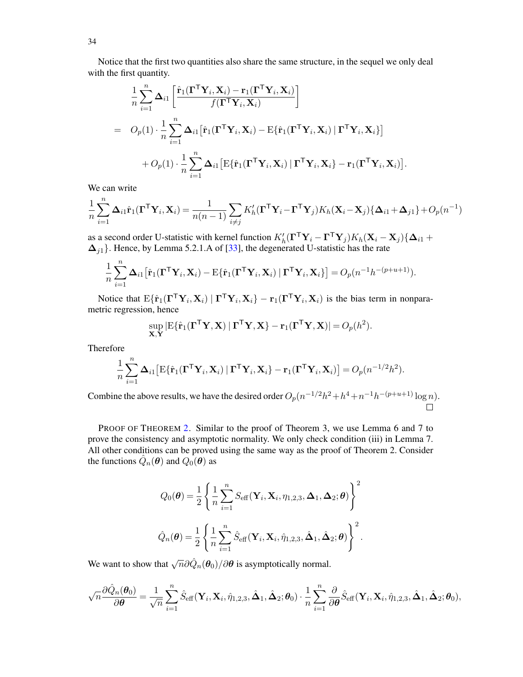Notice that the first two quantities also share the same structure, in the sequel we only deal with the first quantity.

$$
\frac{1}{n} \sum_{i=1}^{n} \Delta_{i1} \left[ \frac{\hat{\mathbf{r}}_1(\mathbf{\Gamma}^\mathsf{T}\mathbf{Y}_i, \mathbf{X}_i) - \mathbf{r}_1(\mathbf{\Gamma}^\mathsf{T}\mathbf{Y}_i, \mathbf{X}_i)}{f(\mathbf{\Gamma}^\mathsf{T}\mathbf{Y}_i, \mathbf{X}_i)} \right]
$$
\n
$$
= O_p(1) \cdot \frac{1}{n} \sum_{i=1}^{n} \Delta_{i1} \left[ \hat{\mathbf{r}}_1(\mathbf{\Gamma}^\mathsf{T}\mathbf{Y}_i, \mathbf{X}_i) - \mathbf{E} \{ \hat{\mathbf{r}}_1(\mathbf{\Gamma}^\mathsf{T}\mathbf{Y}_i, \mathbf{X}_i) \mid \mathbf{\Gamma}^\mathsf{T}\mathbf{Y}_i, \mathbf{X}_i \} \right]
$$
\n
$$
+ O_p(1) \cdot \frac{1}{n} \sum_{i=1}^{n} \Delta_{i1} \left[ \mathbf{E} \{ \hat{\mathbf{r}}_1(\mathbf{\Gamma}^\mathsf{T}\mathbf{Y}_i, \mathbf{X}_i) \mid \mathbf{\Gamma}^\mathsf{T}\mathbf{Y}_i, \mathbf{X}_i \} - \mathbf{r}_1(\mathbf{\Gamma}^\mathsf{T}\mathbf{Y}_i, \mathbf{X}_i) \right].
$$

We can write

$$
\frac{1}{n}\sum_{i=1}^{n}\Delta_{i1}\hat{\mathbf{r}}_1(\boldsymbol{\Gamma}^\mathsf{T}\mathbf{Y}_i,\mathbf{X}_i) = \frac{1}{n(n-1)}\sum_{i\neq j}K_h'(\boldsymbol{\Gamma}^\mathsf{T}\mathbf{Y}_i-\boldsymbol{\Gamma}^\mathsf{T}\mathbf{Y}_j)K_h(\mathbf{X}_i-\mathbf{X}_j)\{\Delta_{i1}+\Delta_{j1}\} + O_p(n^{-1})
$$

as a second order U-statistic with kernel function  $K'_h(\mathbf{\Gamma}^\top \mathbf{Y}_i - \mathbf{\Gamma}^\top \mathbf{Y}_j) K_h(\mathbf{X}_i - \mathbf{X}_j) \{\Delta_{i1} +$  $\Delta_{j1}$ . Hence, by Lemma 5.2.1.A of [\[33\]](#page-41-10), the degenerated U-statistic has the rate

$$
\frac{1}{n}\sum_{i=1}^n \mathbf{\Delta}_{i1} \big[\hat{\mathbf{r}}_1(\mathbf{\Gamma}^\mathsf{T} \mathbf{Y}_i, \mathbf{X}_i) - \mathrm{E}\{\hat{\mathbf{r}}_1(\mathbf{\Gamma}^\mathsf{T} \mathbf{Y}_i, \mathbf{X}_i) \mid \mathbf{\Gamma}^\mathsf{T} \mathbf{Y}_i, \mathbf{X}_i\}\big] = O_p(n^{-1}h^{-(p+u+1)}).
$$

Notice that  $E\{\hat{\mathbf{r}}_1(\mathbf{\Gamma}^\top \mathbf{Y}_i, \mathbf{X}_i) | \mathbf{\Gamma}^\top \mathbf{Y}_i, \mathbf{X}_i\} - \mathbf{r}_1(\mathbf{\Gamma}^\top \mathbf{Y}_i, \mathbf{X}_i)$  is the bias term in nonparametric regression, hence

$$
\sup_{\mathbf{X},\mathbf{Y}} |\mathrm{E}\{\hat{\mathbf{r}}_1(\mathbf{\Gamma}^\mathsf{T}\mathbf{Y},\mathbf{X})\mid \mathbf{\Gamma}^\mathsf{T}\mathbf{Y},\mathbf{X}\} - \mathbf{r}_1(\mathbf{\Gamma}^\mathsf{T}\mathbf{Y},\mathbf{X})| = O_p(h^2).
$$

Therefore

$$
\frac{1}{n}\sum_{i=1}^n \mathbf{\Delta}_{i1} \left[ \mathrm{E}\{\hat{\mathbf{r}}_1(\boldsymbol{\Gamma}^\mathsf{T}\mathbf{Y}_i, \mathbf{X}_i) \mid \boldsymbol{\Gamma}^\mathsf{T}\mathbf{Y}_i, \mathbf{X}_i \} - \mathbf{r}_1(\boldsymbol{\Gamma}^\mathsf{T}\mathbf{Y}_i, \mathbf{X}_i) \right] = O_p(n^{-1/2}h^2).
$$

Combine the above results, we have the desired order  $O_p(n^{-1/2}h^2 + h^4 + n^{-1}h^{-(p+u+1)}\log n)$ .  $\Box$ 

PROOF OF THEOREM [2.](#page-8-1) Similar to the proof of Theorem 3, we use Lemma 6 and 7 to prove the consistency and asymptotic normality. We only check condition (iii) in Lemma 7. All other conditions can be proved using the same way as the proof of Theorem 2. Consider the functions  $\hat{Q}_n(\theta)$  and  $\hat{Q}_0(\theta)$  as

$$
Q_0(\boldsymbol{\theta}) = \frac{1}{2} \left\{ \frac{1}{n} \sum_{i=1}^n S_{\text{eff}}(\mathbf{Y}_i, \mathbf{X}_i, \eta_{1,2,3}, \boldsymbol{\Delta}_1, \boldsymbol{\Delta}_2; \boldsymbol{\theta}) \right\}^2
$$

$$
\hat{Q}_n(\boldsymbol{\theta}) = \frac{1}{2} \left\{ \frac{1}{n} \sum_{i=1}^n \hat{S}_{\text{eff}}(\mathbf{Y}_i, \mathbf{X}_i, \hat{\eta}_{1,2,3}, \hat{\boldsymbol{\Delta}}_1, \hat{\boldsymbol{\Delta}}_2; \boldsymbol{\theta}) \right\}^2.
$$

We want to show that  $\sqrt{n}\partial \hat{Q}_n(\theta_0)/\partial \theta$  is asymptotically normal.

$$
\sqrt{n}\frac{\partial\hat{Q}_n(\pmb\theta_0)}{\partial\pmb\theta}=\frac{1}{\sqrt{n}}\sum_{i=1}^n\hat{S}_{\text{eff}}(\mathbf Y_i,\mathbf X_i,\hat\eta_{1,2,3},\hat{\pmb\Delta}_1,\hat{\pmb\Delta}_2;\pmb\theta_0)\cdot\frac{1}{n}\sum_{i=1}^n\frac{\partial}{\partial\pmb\theta}\hat{S}_{\text{eff}}(\mathbf Y_i,\mathbf X_i,\hat\eta_{1,2,3},\hat{\pmb\Delta}_1,\hat{\pmb\Delta}_2;\pmb\theta_0),
$$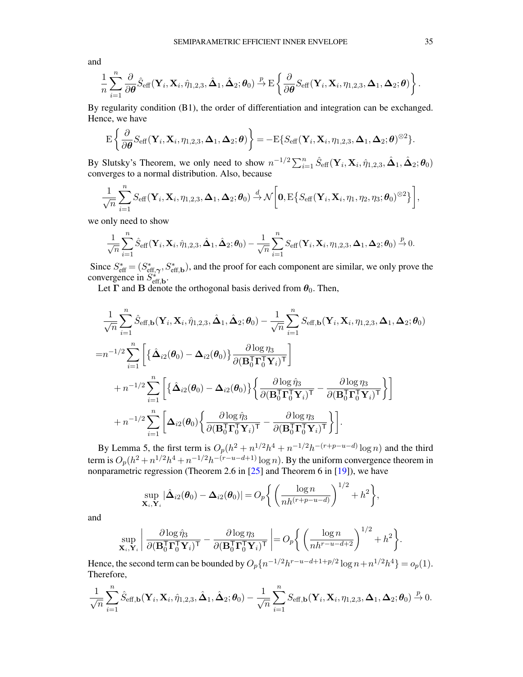and

$$
\frac{1}{n}\sum_{i=1}^n \frac{\partial}{\partial \boldsymbol{\theta}} \hat{S}_{\text{eff}}(\mathbf{Y}_i, \mathbf{X}_i, \hat{\eta}_{1,2,3}, \hat{\boldsymbol{\Delta}}_1, \hat{\boldsymbol{\Delta}}_2; \boldsymbol{\theta}_0) \overset{p}{\rightarrow} \mathrm{E}\left\{\frac{\partial}{\partial \boldsymbol{\theta}} S_{\text{eff}}(\mathbf{Y}_i, \mathbf{X}_i, \eta_{1,2,3}, \boldsymbol{\Delta}_1, \boldsymbol{\Delta}_2; \boldsymbol{\theta})\right\}.
$$

By regularity condition (B1), the order of differentiation and integration can be exchanged. Hence, we have

$$
\mathrm{E}\left\{\frac{\partial}{\partial\boldsymbol{\theta}}S_{\text{eff}}(\mathbf{Y}_i,\mathbf{X}_i,\eta_{1,2,3},\boldsymbol{\Delta}_1,\boldsymbol{\Delta}_2;\boldsymbol{\theta})\right\}=-\mathrm{E}\{S_{\text{eff}}(\mathbf{Y}_i,\mathbf{X}_i,\eta_{1,2,3},\boldsymbol{\Delta}_1,\boldsymbol{\Delta}_2;\boldsymbol{\theta})^{\otimes2}\}.
$$

By Slutsky's Theorem, we only need to show  $n^{-1/2} \sum_{i=1}^{n} \hat{S}_{\text{eff}}(\mathbf{Y}_i, \mathbf{X}_i, \hat{\eta}_{1,2,3}, \hat{\mathbf{\Delta}}_1, \hat{\mathbf{\Delta}}_2; \boldsymbol{\theta}_0)$ converges to a normal distribution. Also, because

$$
\frac{1}{\sqrt{n}}\sum_{i=1}^n S_{\text{eff}}(\mathbf{Y}_i,\mathbf{X}_i,\eta_{1,2,3},\mathbf{\Delta}_1,\mathbf{\Delta}_2;\boldsymbol{\theta}_0)\overset{d}{\rightarrow}\mathcal{N}\bigg[\mathbf{0},\mathrm{E}\big\{S_{\text{eff}}(\mathbf{Y}_i,\mathbf{X}_i,\eta_1,\eta_2,\eta_3;\boldsymbol{\theta}_0)^{\otimes2}\big\}\bigg],
$$

we only need to show

$$
\frac{1}{\sqrt{n}}\sum_{i=1}^n \hat{S}_{\text{eff}}(\mathbf{Y}_i,\mathbf{X}_i,\hat{\eta}_{1,2,3},\hat{\boldsymbol{\Delta}}_1,\hat{\boldsymbol{\Delta}}_2;\boldsymbol{\theta}_0)-\frac{1}{\sqrt{n}}\sum_{i=1}^n S_{\text{eff}}(\mathbf{Y}_i,\mathbf{X}_i,\eta_{1,2,3},\boldsymbol{\Delta}_1,\boldsymbol{\Delta}_2;\boldsymbol{\theta}_0)\overset{p}{\rightarrow} 0.
$$

Since  $S_{\text{eff}}^* = (S_{\text{eff},\gamma}^*, S_{\text{eff},\mathbf{b}}^*)$ , and the proof for each component are similar, we only prove the convergence in  $S_{\text{eff},\text{b}}^{*}$ .

Let  $\Gamma$  and  $\tilde{B}$  denote the orthogonal basis derived from  $\theta_0$ . Then,

$$
\frac{1}{\sqrt{n}} \sum_{i=1}^{n} \hat{S}_{\text{eff},\mathbf{b}}(\mathbf{Y}_{i},\mathbf{X}_{i},\hat{\eta}_{1,2,3},\hat{\mathbf{\Delta}}_{1},\hat{\mathbf{\Delta}}_{2};\boldsymbol{\theta}_{0}) - \frac{1}{\sqrt{n}} \sum_{i=1}^{n} S_{\text{eff},\mathbf{b}}(\mathbf{Y}_{i},\mathbf{X}_{i},\eta_{1,2,3},\mathbf{\Delta}_{1},\mathbf{\Delta}_{2};\boldsymbol{\theta}_{0})
$$
\n
$$
= n^{-1/2} \sum_{i=1}^{n} \left[ \left\{ \hat{\mathbf{\Delta}}_{i2}(\boldsymbol{\theta}_{0}) - \mathbf{\Delta}_{i2}(\boldsymbol{\theta}_{0}) \right\} \frac{\partial \log \eta_{3}}{\partial(\mathbf{B}_{0}^{T} \mathbf{\Gamma}_{0}^{T} \mathbf{Y}_{i})^{T}} \right] + n^{-1/2} \sum_{i=1}^{n} \left[ \left\{ \hat{\mathbf{\Delta}}_{i2}(\boldsymbol{\theta}_{0}) - \mathbf{\Delta}_{i2}(\boldsymbol{\theta}_{0}) \right\} \left\{ \frac{\partial \log \hat{\eta}_{3}}{\partial(\mathbf{B}_{0}^{T} \mathbf{\Gamma}_{0}^{T} \mathbf{Y}_{i})^{T}} - \frac{\partial \log \eta_{3}}{\partial(\mathbf{B}_{0}^{T} \mathbf{\Gamma}_{0}^{T} \mathbf{Y}_{i})^{T}} \right\} \right] + n^{-1/2} \sum_{i=1}^{n} \left[ \mathbf{\Delta}_{i2}(\boldsymbol{\theta}_{0}) \left\{ \frac{\partial \log \hat{\eta}_{3}}{\partial(\mathbf{B}_{0}^{T} \mathbf{\Gamma}_{0}^{T} \mathbf{Y}_{i})^{T}} - \frac{\partial \log \eta_{3}}{\partial(\mathbf{B}_{0}^{T} \mathbf{\Gamma}_{0}^{T} \mathbf{Y}_{i})^{T}} \right\} \right].
$$

By Lemma 5, the first term is  $O_p(h^2 + n^{1/2}h^4 + n^{-1/2}h^{-(r+p-u-d)}\log n)$  and the third term is  $O_p(h^2 + n^{1/2}h^4 + n^{-1/2}h^{-(r-u-d+1)}\log n)$ . By the uniform convergence theorem in nonparametric regression (Theorem 2.6 in [\[25\]](#page-40-5) and Theorem 6 in [\[19\]](#page-39-12)), we have

$$
\sup_{\mathbf{X}_i,\mathbf{Y}_i} |\hat{\boldsymbol{\Delta}}_{i2}(\boldsymbol{\theta}_0) - \boldsymbol{\Delta}_{i2}(\boldsymbol{\theta}_0)| = O_p\bigg\{\bigg(\frac{\log n}{nh^{(r+p-u-d)}}\bigg)^{1/2} + h^2\bigg\},\
$$

and

$$
\sup_{\mathbf{X}_i, \mathbf{Y}_i} \left| \frac{\partial \log \hat{\eta}_3}{\partial (\mathbf{B}_0^{\mathsf{T}} \mathbf{\Gamma}_0^{\mathsf{T}} \mathbf{Y}_i)^{\mathsf{T}}} - \frac{\partial \log \eta_3}{\partial (\mathbf{B}_0^{\mathsf{T}} \mathbf{\Gamma}_0^{\mathsf{T}} \mathbf{Y}_i)^{\mathsf{T}}} \right| = O_p \left\{ \left( \frac{\log n}{nh^{r-u-d+2}} \right)^{1/2} + h^2 \right\}.
$$

Hence, the second term can be bounded by  $O_p\{n^{-1/2}h^{r-u-d+1+p/2}\log n+n^{1/2}h^4\}=o_p(1)$ . Therefore,

$$
\frac{1}{\sqrt{n}}\sum_{i=1}^n\hat{S}_{\text{eff},\textbf{b}}(\textbf{Y}_i,\textbf{X}_i,\hat{\eta}_{1,2,3},\hat{\boldsymbol{\Delta}}_1,\hat{\boldsymbol{\Delta}}_2;\boldsymbol{\theta}_0)-\frac{1}{\sqrt{n}}\sum_{i=1}^nS_{\text{eff},\textbf{b}}(\textbf{Y}_i,\textbf{X}_i,\eta_{1,2,3},\boldsymbol{\Delta}_1,\boldsymbol{\Delta}_2;\boldsymbol{\theta}_0)\overset{p}{\rightarrow}0.
$$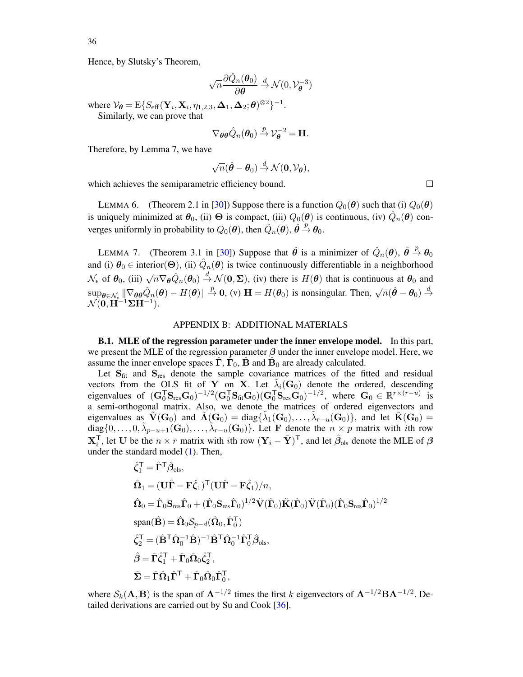Hence, by Slutsky's Theorem,

$$
\sqrt{n}\frac{\partial \hat{Q}_n(\boldsymbol{\theta}_0)}{\partial \boldsymbol{\theta}} \stackrel{d}{\rightarrow} \mathcal{N}(0, \mathcal{V}_{\boldsymbol{\theta}}^{-3})
$$

where  $\mathcal{V}_{\theta} = \mathrm{E}\{S_{\text{eff}}(\mathbf{Y}_i, \mathbf{X}_i, \eta_{1,2,3}, \mathbf{\Delta}_1, \mathbf{\Delta}_2; \theta)^{\otimes 2}\}^{-1}$ . Similarly, we can prove that

$$
\nabla_{\theta\theta}\hat{Q}_n(\theta_0) \stackrel{p}{\rightarrow} \mathcal{V}_{\theta}^{-2} = \mathbf{H}.
$$

Therefore, by Lemma 7, we have

$$
\sqrt{n}(\hat{\boldsymbol{\theta}}-\boldsymbol{\theta}_0) \overset{d}{\rightarrow} \mathcal{N}(\mathbf{0},\mathcal{V}_{\boldsymbol{\theta}}),
$$

which achieves the semiparametric efficiency bound.

LEMMA 6. (Theorem 2.1 in [\[30\]](#page-41-7)) Suppose there is a function  $Q_0(\theta)$  such that (i)  $Q_0(\theta)$ is uniquely minimized at  $\theta_0$ , (ii)  $\Theta$  is compact, (iii)  $Q_0(\theta)$  is continuous, (iv)  $\hat{Q}_n(\theta)$  converges uniformly in probability to  $Q_0(\theta)$ , then  $\hat{Q}_n(\theta)$ ,  $\hat{\theta} \stackrel{p}{\rightarrow} \theta_0$ .

LEMMA 7. (Theorem 3.1 in [\[30\]](#page-41-7)) Suppose that  $\hat{\theta}$  is a minimizer of  $\hat{Q}_n(\theta)$ ,  $\hat{\theta} \stackrel{p}{\rightarrow} \theta_0$ and (i)  $\theta_0 \in$  interior( $\Theta$ ), (ii)  $\hat{Q}_n(\theta)$  is twice continuously differentiable in a neighborhood  $\mathcal{N}_{\epsilon}$  of  $\theta_0$ , (iii)  $\sqrt{n} \nabla_{\theta} \hat{Q}_n(\theta_0) \stackrel{d}{\rightarrow} \mathcal{N}(0, \Sigma)$ , (iv) there is  $H(\theta)$  that is continuous at  $\theta_0$  and  $\sup_{\theta \in \mathcal{N}_{\epsilon}} \|\nabla_{\theta} \theta \hat{Q}_n(\theta) - H(\theta)\| \overset{p}{\to} \mathbf{0}$ , (v)  $\mathbf{H} = H(\theta_0)$  is nonsingular. Then,  $\sqrt{n}(\hat{\theta} - \theta_0) \overset{d}{\to}$  $\mathcal{N}(\mathbf{0}, \mathbf{H}^{-1}\mathbf{\Sigma}\mathbf{H}^{-1}).$ 

## APPENDIX B: ADDITIONAL MATERIALS

B.1. MLE of the regression parameter under the inner envelope model. In this part, we present the MLE of the regression parameter  $\beta$  under the inner envelope model. Here, we assume the inner envelope spaces  $\hat{\Gamma}$ ,  $\hat{\Gamma}_0$ ,  $\hat{\mathbf{B}}$  and  $\hat{\mathbf{B}}_0$  are already calculated.

Let  $S_{\text{fit}}$  and  $S_{\text{res}}$  denote the sample covariance matrices of the fitted and residual vectors from the OLS fit of Y on X. Let  $\tilde{\lambda}_i(\mathbf{G}_0)$  denote the ordered, descending eigenvalues of  $(\mathbf{G}_{0}^{\mathsf{T}}\mathbf{S}_{\text{res}}\mathbf{G}_{0})^{-1/2}(\mathbf{G}_{0}^{\mathsf{T}}\mathbf{S}_{\text{fit}}\mathbf{G}_{0})(\mathbf{G}_{0}^{\mathsf{T}}\mathbf{S}_{\text{res}}\mathbf{G}_{0})^{-1/2}$ , where  $\mathbf{G}_{0} \in \mathbb{R}^{r \times (r-u)}$  is a semi-orthogonal matrix. Also, we denote the matrices of ordered eigenvectors and eigenvalues as  $\tilde{V}(\mathbf{G}_0)$  and  $\tilde{\Lambda}(\mathbf{G}_0) = \text{diag}\{\tilde{\lambda}_1(\mathbf{G}_0), \dots, \tilde{\lambda}_{r-u}(\mathbf{G}_0)\}$ , and let  $\tilde{K}(\mathbf{G}_0) =$  $diag\{0,\ldots,0,\tilde{\lambda}_{p-u+1}(\mathbf{G}_0),\ldots,\tilde{\lambda}_{r-u}(\mathbf{G}_0)\}\right)$ . Let F denote the  $n \times p$  matrix with *i*th row  $X_i^{\mathsf{T}}$ , let U be the  $n \times r$  matrix with *i*th row  $(Y_i - \bar{Y})^{\mathsf{T}}$ , and let  $\hat{\beta}_{ols}$  denote the MLE of  $\beta$ under the standard model  $(1)$ . Then,

$$
\begin{aligned}\n\hat{\zeta}_1^{\mathsf{T}} &= \hat{\mathbf{\Gamma}}^{\mathsf{T}} \hat{\beta}_{\text{ols}}, \\
\hat{\Omega}_1 &= (\mathbf{U}\hat{\mathbf{\Gamma}} - \mathbf{F}\hat{\zeta}_1)^{\mathsf{T}} (\mathbf{U}\hat{\mathbf{\Gamma}} - \mathbf{F}\hat{\zeta}_1)/n, \\
\hat{\Omega}_0 &= \hat{\mathbf{\Gamma}}_0 \mathbf{S}_{\text{res}} \hat{\mathbf{\Gamma}}_0 + (\hat{\mathbf{\Gamma}}_0 \mathbf{S}_{\text{res}} \hat{\mathbf{\Gamma}}_0)^{1/2} \tilde{\mathbf{V}} (\hat{\mathbf{\Gamma}}_0) \tilde{\mathbf{K}} (\hat{\mathbf{\Gamma}}_0) (\hat{\mathbf{\Gamma}}_0 \mathbf{S}_{\text{res}} \hat{\mathbf{\Gamma}}_0)^{1/2} \\
\text{span}(\hat{\mathbf{B}}) &= \hat{\Omega}_0 \mathcal{S}_{p-d} (\hat{\Omega}_0, \hat{\mathbf{\Gamma}}_0^{\mathsf{T}}) \\
\hat{\zeta}_2^{\mathsf{T}} &= (\hat{\mathbf{B}}^{\mathsf{T}} \hat{\mathbf{\Omega}}_0^{-1} \hat{\mathbf{B}})^{-1} \hat{\mathbf{B}}^{\mathsf{T}} \hat{\mathbf{\Omega}}_0^{-1} \hat{\mathbf{\Gamma}}_0^{\mathsf{T}} \hat{\boldsymbol{\beta}}_{\text{ols}}, \\
\hat{\beta} &= \hat{\mathbf{\Gamma}} \hat{\zeta}_1^{\mathsf{T}} + \hat{\mathbf{\Gamma}}_0 \hat{\mathbf{\Omega}}_0 \hat{\zeta}_2^{\mathsf{T}}, \\
\hat{\mathbf{\Sigma}} &= \hat{\mathbf{\Gamma}} \hat{\mathbf{\Omega}}_1 \hat{\mathbf{\Gamma}}^{\mathsf{T}} + \hat{\mathbf{\Gamma}}_0 \hat{\mathbf{\Omega}}_0 \hat{\mathbf{\Gamma}}_0^{\mathsf{T}},\n\end{aligned}
$$

where  $S_k(A, B)$  is the span of  $A^{-1/2}$  times the first k eigenvectors of  $A^{-1/2}BA^{-1/2}$ . Detailed derivations are carried out by Su and Cook [\[36\]](#page-41-0).

36

 $\Box$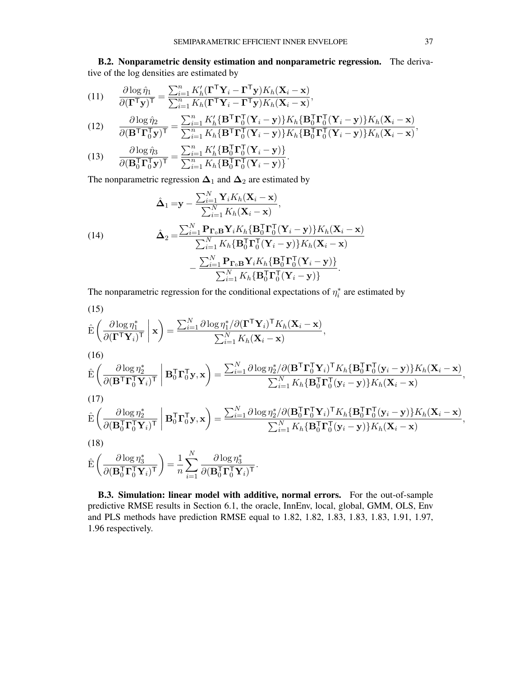B.2. Nonparametric density estimation and nonparametric regression. The derivative of the log densities are estimated by

(11) 
$$
\frac{\partial \log \hat{\eta}_1}{\partial (\mathbf{\Gamma}^\mathsf{T} \mathbf{y})^\mathsf{T}} = \frac{\sum_{i=1}^n K_h' (\mathbf{\Gamma}^\mathsf{T} \mathbf{Y}_i - \mathbf{\Gamma}^\mathsf{T} \mathbf{y}) K_h(\mathbf{X}_i - \mathbf{x})}{\sum_{i=1}^n K_h (\mathbf{\Gamma}^\mathsf{T} \mathbf{Y}_i - \mathbf{\Gamma}^\mathsf{T} \mathbf{y}) K_h(\mathbf{X}_i - \mathbf{x})},
$$

(12) 
$$
\frac{\partial \log \hat{\eta}_2}{\partial (\mathbf{B}^{\mathsf{T}} \mathbf{\Gamma}_0^{\mathsf{T}} \mathbf{y})^{\mathsf{T}}} = \frac{\sum_{i=1}^n K_h' \{ \mathbf{B}^{\mathsf{T}} \mathbf{\Gamma}_0^{\mathsf{T}} (\mathbf{Y}_i - \mathbf{y}) \} K_h \{ \mathbf{B}_0^{\mathsf{T}} \mathbf{\Gamma}_0^{\mathsf{T}} (\mathbf{Y}_i - \mathbf{y}) \} K_h (\mathbf{X}_i - \mathbf{x})}{\sum_{i=1}^n K_h \{ \mathbf{B}^{\mathsf{T}} \mathbf{\Gamma}_0^{\mathsf{T}} (\mathbf{Y}_i - \mathbf{y}) \} K_h \{ \mathbf{B}_0^{\mathsf{T}} \mathbf{\Gamma}_0^{\mathsf{T}} (\mathbf{Y}_i - \mathbf{y}) \} K_h (\mathbf{X}_i - \mathbf{x})},
$$

(13) 
$$
\frac{\partial \log \hat{\eta}_3}{\partial (\mathbf{B}_0^{\mathsf{T}} \mathbf{\Gamma}_0^{\mathsf{T}} \mathbf{y})^{\mathsf{T}}} = \frac{\sum_{i=1}^n K_h' {\mathbf{B}_0^{\mathsf{T}} \mathbf{\Gamma}_0^{\mathsf{T}} (\mathbf{Y}_i - \mathbf{y})} }{\sum_{i=1}^n K_h {\mathbf{B}_0^{\mathsf{T}} \mathbf{\Gamma}_0^{\mathsf{T}} (\mathbf{Y}_i - \mathbf{y})} }.
$$

The nonparametric regression  $\Delta_1$  and  $\Delta_2$  are estimated by

(14)  
\n
$$
\hat{\mathbf{\Delta}}_1 = \mathbf{y} - \frac{\sum_{i=1}^N \mathbf{Y}_i K_h(\mathbf{X}_i - \mathbf{x})}{\sum_{i=1}^N K_h(\mathbf{X}_i - \mathbf{x})},
$$
\n
$$
\hat{\mathbf{\Delta}}_2 = \frac{\sum_{i=1}^N \mathbf{P}_{\mathbf{\Gamma}_0} \mathbf{B} \mathbf{Y}_i K_h \{ \mathbf{B}_0^{\mathsf{T}} \mathbf{\Gamma}_0^{\mathsf{T}} (\mathbf{Y}_i - \mathbf{y}) \} K_h(\mathbf{X}_i - \mathbf{x})}{\sum_{i=1}^N K_h \{ \mathbf{B}_0^{\mathsf{T}} \mathbf{\Gamma}_0^{\mathsf{T}} (\mathbf{Y}_i - \mathbf{y}) \} K_h(\mathbf{X}_i - \mathbf{x})}
$$
\n
$$
- \frac{\sum_{i=1}^N \mathbf{P}_{\mathbf{\Gamma}_0} \mathbf{B} \mathbf{Y}_i K_h \{ \mathbf{B}_0^{\mathsf{T}} \mathbf{\Gamma}_0^{\mathsf{T}} (\mathbf{Y}_i - \mathbf{y}) \} }{\sum_{i=1}^N K_h \{ \mathbf{B}_0^{\mathsf{T}} \mathbf{\Gamma}_0^{\mathsf{T}} (\mathbf{Y}_i - \mathbf{y}) \} }.
$$

The nonparametric regression for the conditional expectations of  $\eta_i^*$  are estimated by

(15)  
\n
$$
\hat{\mathbf{E}}\left(\frac{\partial \log \eta_1^*}{\partial (\mathbf{\Gamma}^\mathsf{T} \mathbf{Y}_i)^\mathsf{T}} \middle| \mathbf{x}\right) = \frac{\sum_{i=1}^N \partial \log \eta_1^* / \partial (\mathbf{\Gamma}^\mathsf{T} \mathbf{Y}_i)^\mathsf{T} K_h(\mathbf{X}_i - \mathbf{x})}{\sum_{i=1}^N K_h(\mathbf{X}_i - \mathbf{x})},
$$
\n(16)

$$
\hat{\mathbf{E}}\left(\frac{\partial \log \eta_2^*}{\partial (\mathbf{B}^{\mathsf{T}} \mathbf{\Gamma}_0^{\mathsf{T}} \mathbf{Y}_i)^{\mathsf{T}}}\middle|\mathbf{B}_0^{\mathsf{T}} \mathbf{\Gamma}_0^{\mathsf{T}} \mathbf{y}, \mathbf{x}\right) = \frac{\sum_{i=1}^N \partial \log \eta_2^* / \partial (\mathbf{B}^{\mathsf{T}} \mathbf{\Gamma}_0^{\mathsf{T}} \mathbf{Y}_i)^{\mathsf{T}} K_h {\mathbf{B}_0^{\mathsf{T}} \mathbf{\Gamma}_0^{\mathsf{T}} (\mathbf{y}_i - \mathbf{y})} K_h {\mathbf{X}_i - \mathbf{x}}}{\sum_{i=1}^N K_h {\mathbf{B}_0^{\mathsf{T}} \mathbf{\Gamma}_0^{\mathsf{T}} (\mathbf{y}_i - \mathbf{y})} K_h {\mathbf{X}_i - \mathbf{x}}},
$$
\n(17)

$$
\hat{\mathbf{E}}\left(\frac{\partial \log \eta_2^*}{\partial (\mathbf{B}_0^T \mathbf{\Gamma}_0^T \mathbf{Y}_i)^{\mathsf{T}}}\middle|\mathbf{B}_0^{\mathsf{T}} \mathbf{\Gamma}_0^{\mathsf{T}} \mathbf{y}, \mathbf{x}\right) = \frac{\sum_{i=1}^N \partial \log \eta_2^*/\partial (\mathbf{B}_0^{\mathsf{T}} \mathbf{\Gamma}_0^{\mathsf{T}} \mathbf{Y}_i)^{\mathsf{T}} K_h {\{\mathbf{B}_0^{\mathsf{T}} \mathbf{\Gamma}_0^{\mathsf{T}} (\mathbf{y}_i - \mathbf{y})\}} K_h {\mathbf{X}_i - \mathbf{x}})}{\sum_{i=1}^N K_h {\{\mathbf{B}_0^{\mathsf{T}} \mathbf{\Gamma}_0^{\mathsf{T}} (\mathbf{y}_i - \mathbf{y})\}} K_h {\mathbf{X}_i - \mathbf{x}}},
$$

$$
(18)
$$

$$
\hat{\mathrm{E}}\left(\frac{\partial \log\eta_3^*}{\partial(\mathbf{B}_0^{\mathsf{T}}\mathbf{\Gamma}_0^{\mathsf{T}}\mathbf{Y}_i)^{\mathsf{T}}}\right) = \frac{1}{n}\sum_{i=1}^N \frac{\partial \log\eta_3^*}{\partial(\mathbf{B}_0^{\mathsf{T}}\mathbf{\Gamma}_0^{\mathsf{T}}\mathbf{Y}_i)^{\mathsf{T}}}.
$$

B.3. Simulation: linear model with additive, normal errors. For the out-of-sample predictive RMSE results in Section 6.1, the oracle, InnEnv, local, global, GMM, OLS, Env and PLS methods have prediction RMSE equal to 1.82, 1.82, 1.83, 1.83, 1.83, 1.91, 1.97, 1.96 respectively.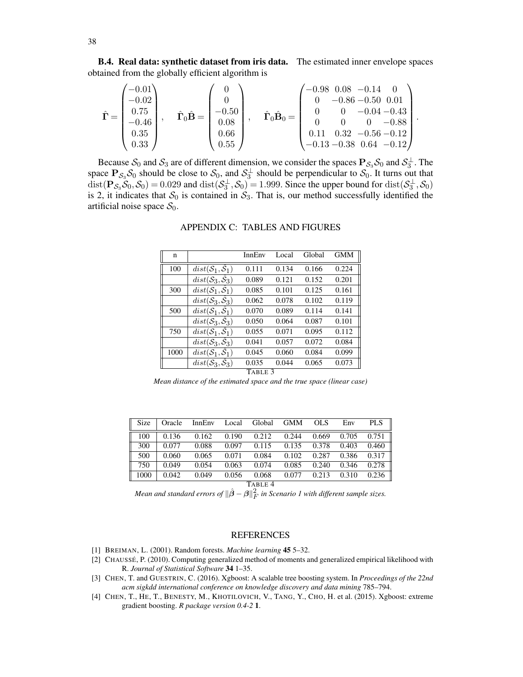B.4. Real data: synthetic dataset from iris data. The estimated inner envelope spaces obtained from the globally efficient algorithm is

$$
\hat{\mathbf{\Gamma}} = \begin{pmatrix}\n-0.01 \\
-0.02 \\
0.75 \\
-0.46 \\
0.35 \\
0.33\n\end{pmatrix}, \quad \hat{\mathbf{\Gamma}}_0 \hat{\mathbf{B}} = \begin{pmatrix}\n0 \\
0 \\
-0.50 \\
0.08 \\
0.66 \\
0.55\n\end{pmatrix}, \quad \hat{\mathbf{\Gamma}}_0 \hat{\mathbf{B}}_0 = \begin{pmatrix}\n-0.98 & 0.08 & -0.14 & 0 \\
0 & -0.86 & -0.50 & 0.01 \\
0 & 0 & -0.04 & -0.43 \\
0 & 0 & 0 & -0.88 \\
0.11 & 0.32 & -0.56 & -0.12 \\
-0.13 & -0.38 & 0.64 & -0.12\n\end{pmatrix}.
$$

<span id="page-37-4"></span>Because  $S_0$  and  $S_3$  are of different dimension, we consider the spaces  $P_{S_3}S_0$  and  $S_3^{\perp}$ . The space  $P_{S_3}S_0$  should be close to  $S_0$ , and  $S_3^{\perp}$  should be perpendicular to  $S_0$ . It turns out that  $dist(P_{\mathcal{S}_3} \mathcal{S}_0, \mathcal{S}_0) = 0.029$  and  $dist(\mathcal{S}_3^{\perp}, \mathcal{S}_0) = 1.999$ . Since the upper bound for  $dist(\mathcal{S}_3^{\perp}, \mathcal{S}_0)$ is 2, it indicates that  $S_0$  is contained in  $S_3$ . That is, our method successfully identified the artificial noise space  $S_0$ .

| n    |                                            | InnEnv  | Local | Global | <b>GMM</b> |
|------|--------------------------------------------|---------|-------|--------|------------|
| 100  | $dist(\mathcal{S}_1, \mathcal{S}_1)$       | 0.111   | 0.134 | 0.166  | 0.224      |
|      | $dist(\mathcal{S}_3, \hat{\mathcal{S}}_3)$ | 0.089   | 0.121 | 0.152  | 0.201      |
| 300  | $dist(\mathcal{S}_1, \mathcal{S}_1)$       | 0.085   | 0.101 | 0.125  | 0.161      |
|      | $dist(\mathcal{S}_3, \mathcal{S}_3)$       | 0.062   | 0.078 | 0.102  | 0.119      |
| 500  | $dist(\mathcal{S}_1, \hat{\mathcal{S}}_1)$ | 0.070   | 0.089 | 0.114  | 0.141      |
|      | $dist(\mathcal{S}_3, \hat{\mathcal{S}}_3)$ | 0.050   | 0.064 | 0.087  | 0.101      |
| 750  | $dist(\mathcal{S}_1, \hat{\mathcal{S}}_1)$ | 0.055   | 0.071 | 0.095  | 0.112      |
|      | $dist(\mathcal{S}_3, \hat{\mathcal{S}}_3)$ | 0.041   | 0.057 | 0.072  | 0.084      |
| 1000 | $dist(\mathcal{S}_1, \mathcal{S}_1)$       | 0.045   | 0.060 | 0.084  | 0.099      |
|      | $dist(\mathcal{S}_3, \mathcal{S}_3)$       | 0.035   | 0.044 | 0.065  | 0.073      |
|      |                                            | TABLE 3 |       |        |            |

## APPENDIX C: TABLES AND FIGURES

*Mean distance of the estimated space and the true space (linear case)*

<span id="page-37-3"></span>

| Size | Oracle | InnEnv | Local | Global  | <b>GMM</b> | OLS   | Env   | PLS   |
|------|--------|--------|-------|---------|------------|-------|-------|-------|
| 100  | 0.136  | 0.162  | 0.190 | 0.212   | 0.244      | 0.669 | 0.705 | 0.751 |
| 300  | 0.077  | 0.088  | 0.097 | 0.115   | 0.135      | 0.378 | 0.403 | 0.460 |
| 500  | 0.060  | 0.065  | 0.071 | 0.084   | 0.102      | 0.287 | 0.386 | 0.317 |
| 750  | 0.049  | 0.054  | 0.063 | 0.074   | 0.085      | 0.240 | 0.346 | 0.278 |
| 1000 | 0.042  | 0.049  | 0.056 | 0.068   | 0.077      | 0.213 | 0.310 | 0.236 |
|      |        |        |       | TABLE 4 |            |       |       |       |

Mean and standard errors of  $\|\hat{\boldsymbol{\beta}} - \boldsymbol{\beta}\|_F^2$  in Scenario 1 with different sample sizes.

### REFERENCES

- <span id="page-37-1"></span>[1] BREIMAN, L. (2001). Random forests. *Machine learning* 45 5–32.
- <span id="page-37-2"></span>[2] CHAUSSÉ, P. (2010). Computing generalized method of moments and generalized empirical likelihood with R. *Journal of Statistical Software* 34 1–35.
- <span id="page-37-5"></span>[3] CHEN, T. and GUESTRIN, C. (2016). Xgboost: A scalable tree boosting system. In *Proceedings of the 22nd acm sigkdd international conference on knowledge discovery and data mining* 785–794.
- <span id="page-37-0"></span>[4] CHEN, T., HE, T., BENESTY, M., KHOTILOVICH, V., TANG, Y., CHO, H. et al. (2015). Xgboost: extreme gradient boosting. *R package version 0.4-2* 1.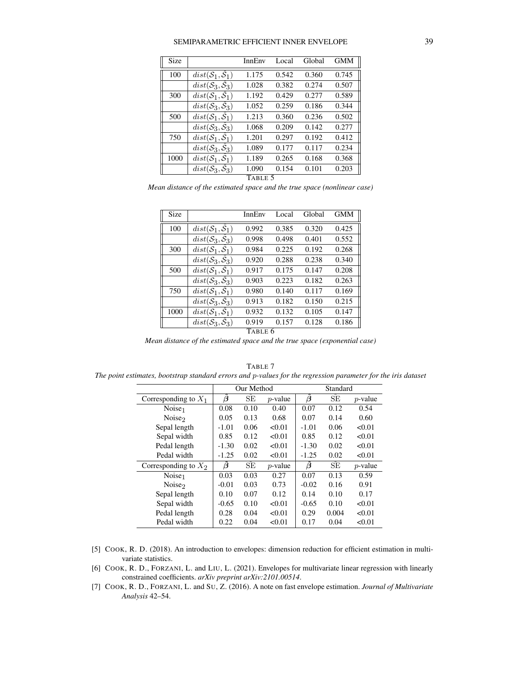### SEMIPARAMETRIC EFFICIENT INNER ENVELOPE 39

| <b>Size</b> |                                            | InnEnv  | Local | Global | <b>GMM</b> |
|-------------|--------------------------------------------|---------|-------|--------|------------|
| 100         | $dist(\mathcal{S}_1, \mathcal{S}_1)$       | 1.175   | 0.542 | 0.360  | 0.745      |
|             | $dist(\mathcal{S}_3, \hat{\mathcal{S}}_3)$ | 1.028   | 0.382 | 0.274  | 0.507      |
| 300         | $dist(\mathcal{S}_1, \hat{\mathcal{S}}_1)$ | 1.192   | 0.429 | 0.277  | 0.589      |
|             | $dist(\mathcal{S}_3, \hat{\mathcal{S}}_3)$ | 1.052   | 0.259 | 0.186  | 0.344      |
| 500         | $dist(\mathcal{S}_1, \hat{\mathcal{S}}_1)$ | 1.213   | 0.360 | 0.236  | 0.502      |
|             | $dist(\mathcal{S}_3, \hat{\mathcal{S}}_3)$ | 1.068   | 0.209 | 0.142  | 0.277      |
| 750         | $dist(\mathcal{S}_1, \hat{\mathcal{S}}_1)$ | 1.201   | 0.297 | 0.192  | 0.412      |
|             | $dist(\mathcal{S}_3, \hat{\mathcal{S}}_3)$ | 1.089   | 0.177 | 0.117  | 0.234      |
| 1000        | $dist(S_1, S_1)$                           | 1.189   | 0.265 | 0.168  | 0.368      |
|             | $dist(\mathcal{S}_3, \mathcal{S}_3)$       | 1.090   | 0.154 | 0.101  | 0.203      |
|             |                                            | TABLE 5 |       |        |            |

*Mean distance of the estimated space and the true space (nonlinear case)*

| Size |                                            | InnEnv  | Local | Global | <b>GMM</b> |
|------|--------------------------------------------|---------|-------|--------|------------|
| 100  | $dist(\mathcal{S}_1, \mathcal{S}_1)$       | 0.992   | 0.385 | 0.320  | 0.425      |
|      | $dist(\mathcal{S}_3, \hat{\mathcal{S}}_3)$ | 0.998   | 0.498 | 0.401  | 0.552      |
| 300  | $dist(\mathcal{S}_1, \hat{\mathcal{S}}_1)$ | 0.984   | 0.225 | 0.192  | 0.268      |
|      | $dist(\mathcal{S}_3, \hat{\mathcal{S}}_3)$ | 0.920   | 0.288 | 0.238  | 0.340      |
| 500  | $dist(\mathcal{S}_1, \hat{\mathcal{S}}_1)$ | 0.917   | 0.175 | 0.147  | 0.208      |
|      | $dist(\mathcal{S}_3, \hat{\mathcal{S}}_3)$ | 0.903   | 0.223 | 0.182  | 0.263      |
| 750  | $dist(\mathcal{S}_1, \hat{\mathcal{S}}_1)$ | 0.980   | 0.140 | 0.117  | 0.169      |
|      | $dist(\mathcal{S}_3, \hat{\mathcal{S}}_3)$ | 0.913   | 0.182 | 0.150  | 0.215      |
| 1000 | $dist(\mathcal{S}_1, \mathcal{S}_1)$       | 0.932   | 0.132 | 0.105  | 0.147      |
|      | $dist(\mathcal{S}_3, \mathcal{S}_3)$       | 0.919   | 0.157 | 0.128  | 0.186      |
|      |                                            | TABLE 6 |       |        |            |

*Mean distance of the estimated space and the true space (exponential case)*

|                        |         | Our Method |            |         | Standard |            |
|------------------------|---------|------------|------------|---------|----------|------------|
| Corresponding to $X_1$ | B       | SE         | $p$ -value | Ä       | SE       | $p$ -value |
| Noise <sub>1</sub>     | 0.08    | 0.10       | 0.40       | 0.07    | 0.12     | 0.54       |
| Noise <sub>2</sub>     | 0.05    | 0.13       | 0.68       | 0.07    | 0.14     | 0.60       |
| Sepal length           | $-1.01$ | 0.06       | < 0.01     | $-1.01$ | 0.06     | < 0.01     |
| Sepal width            | 0.85    | 0.12       | < 0.01     | 0.85    | 0.12     | < 0.01     |
| Pedal length           | $-1.30$ | 0.02       | < 0.01     | $-1.30$ | 0.02     | < 0.01     |
| Pedal width            | $-1.25$ | 0.02       | < 0.01     | $-1.25$ | 0.02     | < 0.01     |
| Corresponding to $X_2$ | ß       | SË         | $p$ -value | Ä       | SE       | $p$ -value |
| Noise <sub>1</sub>     | 0.03    | 0.03       | 0.27       | 0.07    | 0.13     | 0.59       |
| Noise <sub>2</sub>     | $-0.01$ | 0.03       | 0.73       | $-0.02$ | 0.16     | 0.91       |
| Sepal length           | 0.10    | 0.07       | 0.12       | 0.14    | 0.10     | 0.17       |
| Sepal width            | $-0.65$ | 0.10       | < 0.01     | $-0.65$ | 0.10     | < 0.01     |
| Pedal length           | 0.28    | 0.04       | < 0.01     | 0.29    | 0.004    | < 0.01     |
| Pedal width            | 0.22    | 0.04       | < 0.01     | 0.17    | 0.04     | < 0.01     |

<span id="page-38-3"></span>TABLE 7 *The point estimates, bootstrap standard errors and* p*-values for the regression parameter for the iris dataset*

- <span id="page-38-2"></span>[5] COOK, R. D. (2018). An introduction to envelopes: dimension reduction for efficient estimation in multivariate statistics.
- <span id="page-38-0"></span>[6] COOK, R. D., FORZANI, L. and LIU, L. (2021). Envelopes for multivariate linear regression with linearly constrained coefficients. *arXiv preprint arXiv:2101.00514*.
- <span id="page-38-1"></span>[7] COOK, R. D., FORZANI, L. and SU, Z. (2016). A note on fast envelope estimation. *Journal of Multivariate Analysis* 42–54.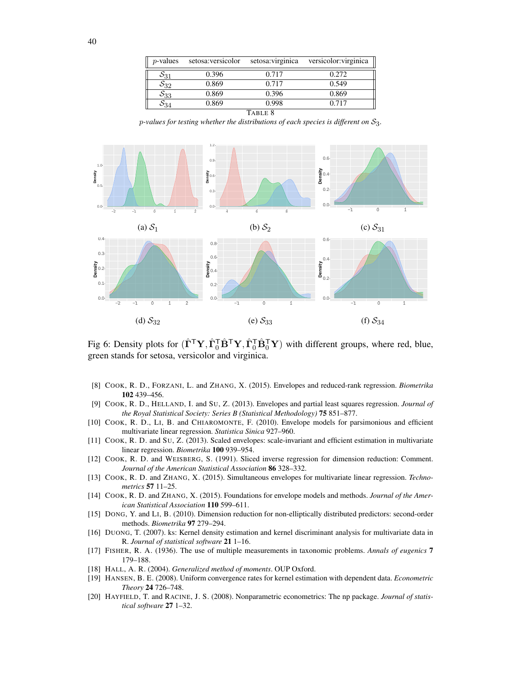| $p$ -values        | setosa: versicolor | setosa: virginica | versicolor: virginica |  |  |  |  |
|--------------------|--------------------|-------------------|-----------------------|--|--|--|--|
| $S_{31}$           | 0.396              | 0.717             | 0.272                 |  |  |  |  |
| $\mathcal{S}_{32}$ | 0.869              | 0.717             | 0.549                 |  |  |  |  |
| $\mathcal{S}_{33}$ | 0.869              | 0.396             | 0.869                 |  |  |  |  |
| $\mathcal{S}_{34}$ | 0.869              | 0.998             | 0.717                 |  |  |  |  |
| TABLE 8            |                    |                   |                       |  |  |  |  |

 $p$ -values for testing whether the distributions of each species is different on  $S_3$ .



Fig 6: Density plots for  $(\hat{\Gamma}^{\mathsf{T}} Y, \hat{\Gamma}_0^{\mathsf{T}} \hat{\mathbf{B}}^{\mathsf{T}} Y, \hat{\Gamma}_0^{\mathsf{T}} \hat{\mathbf{B}}_0^{\mathsf{T}} Y)$  with different groups, where red, blue, green stands for setosa, versicolor and virginica.

- <span id="page-39-3"></span>[8] COOK, R. D., FORZANI, L. and ZHANG, X. (2015). Envelopes and reduced-rank regression. *Biometrika* 102 439–456.
- <span id="page-39-2"></span>[9] COOK, R. D., HELLAND, I. and SU, Z. (2013). Envelopes and partial least squares regression. *Journal of the Royal Statistical Society: Series B (Statistical Methodology)* 75 851–877.
- <span id="page-39-0"></span>[10] COOK, R. D., LI, B. and CHIAROMONTE, F. (2010). Envelope models for parsimonious and efficient multivariate linear regression. *Statistica Sinica* 927–960.
- <span id="page-39-1"></span>[11] COOK, R. D. and SU, Z. (2013). Scaled envelopes: scale-invariant and efficient estimation in multivariate linear regression. *Biometrika* 100 939–954.
- <span id="page-39-6"></span>[12] COOK, R. D. and WEISBERG, S. (1991). Sliced inverse regression for dimension reduction: Comment. *Journal of the American Statistical Association* 86 328–332.
- <span id="page-39-4"></span>[13] COOK, R. D. and ZHANG, X. (2015). Simultaneous envelopes for multivariate linear regression. *Technometrics* 57 11–25.
- <span id="page-39-5"></span>[14] COOK, R. D. and ZHANG, X. (2015). Foundations for envelope models and methods. *Journal of the American Statistical Association* 110 599–611.
- <span id="page-39-9"></span>[15] DONG, Y. and LI, B. (2010). Dimension reduction for non-elliptically distributed predictors: second-order methods. *Biometrika* 97 279–294.
- <span id="page-39-8"></span>[16] DUONG, T. (2007). ks: Kernel density estimation and kernel discriminant analysis for multivariate data in R. *Journal of statistical software* 21 1–16.
- <span id="page-39-10"></span>[17] FISHER, R. A. (1936). The use of multiple measurements in taxonomic problems. *Annals of eugenics* 7 179–188.
- <span id="page-39-11"></span>[18] HALL, A. R. (2004). *Generalized method of moments*. OUP Oxford.
- <span id="page-39-12"></span>[19] HANSEN, B. E. (2008). Uniform convergence rates for kernel estimation with dependent data. *Econometric Theory* 24 726–748.
- <span id="page-39-7"></span>[20] HAYFIELD, T. and RACINE, J. S. (2008). Nonparametric econometrics: The np package. *Journal of statistical software* 27 1–32.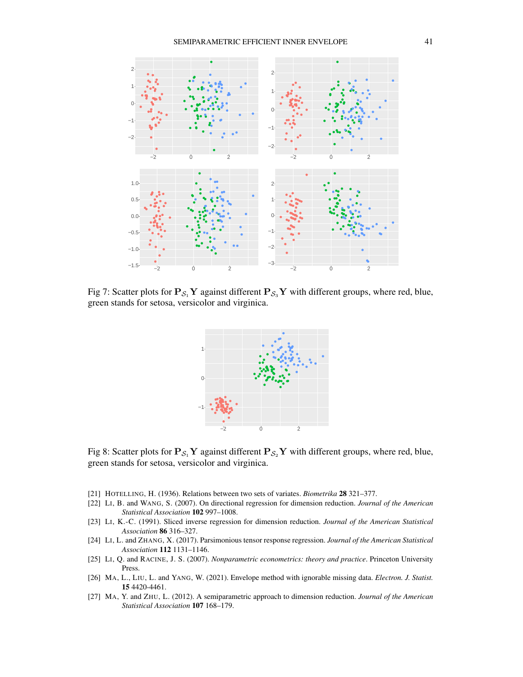

Fig 7: Scatter plots for  $P_{S_1}Y$  against different  $P_{S_3}Y$  with different groups, where red, blue, green stands for setosa, versicolor and virginica.



Fig 8: Scatter plots for  $P_{S_1}Y$  against different  $P_{S_2}Y$  with different groups, where red, blue, green stands for setosa, versicolor and virginica.

- <span id="page-40-6"></span>[21] HOTELLING, H. (1936). Relations between two sets of variates. *Biometrika* 28 321–377.
- <span id="page-40-4"></span>[22] LI, B. and WANG, S. (2007). On directional regression for dimension reduction. *Journal of the American Statistical Association* 102 997–1008.
- <span id="page-40-3"></span>[23] LI, K.-C. (1991). Sliced inverse regression for dimension reduction. *Journal of the American Statistical Association* 86 316–327.
- <span id="page-40-0"></span>[24] LI, L. and ZHANG, X. (2017). Parsimonious tensor response regression. *Journal of the American Statistical Association* 112 1131–1146.
- <span id="page-40-5"></span>[25] LI, Q. and RACINE, J. S. (2007). *Nonparametric econometrics: theory and practice*. Princeton University Press.
- <span id="page-40-1"></span>[26] MA, L., LIU, L. and YANG, W. (2021). Envelope method with ignorable missing data. *Electron. J. Statist.* 15 4420-4461.
- <span id="page-40-2"></span>[27] MA, Y. and ZHU, L. (2012). A semiparametric approach to dimension reduction. *Journal of the American Statistical Association* 107 168–179.